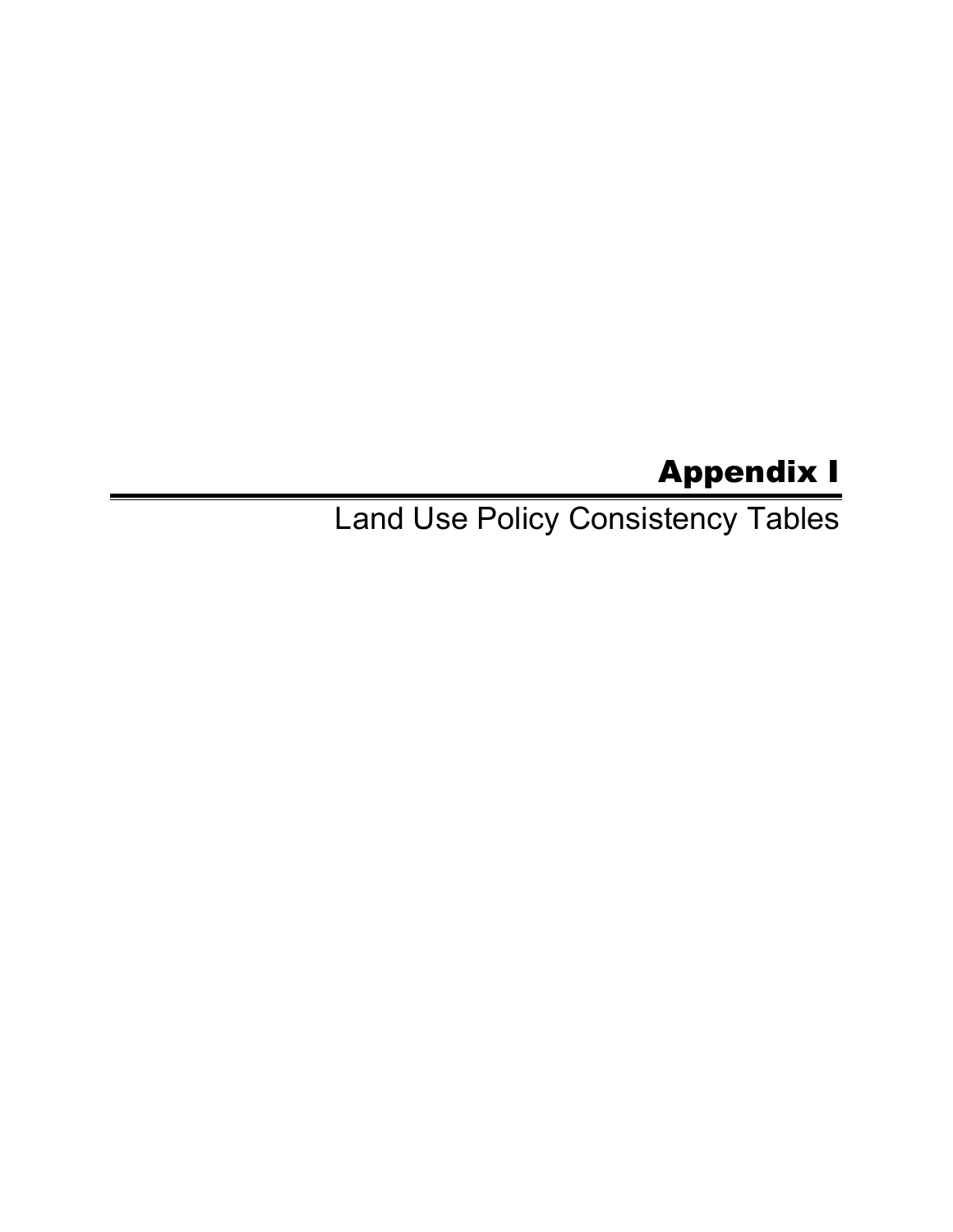## Appendix I

Land Use Policy Consistency Tables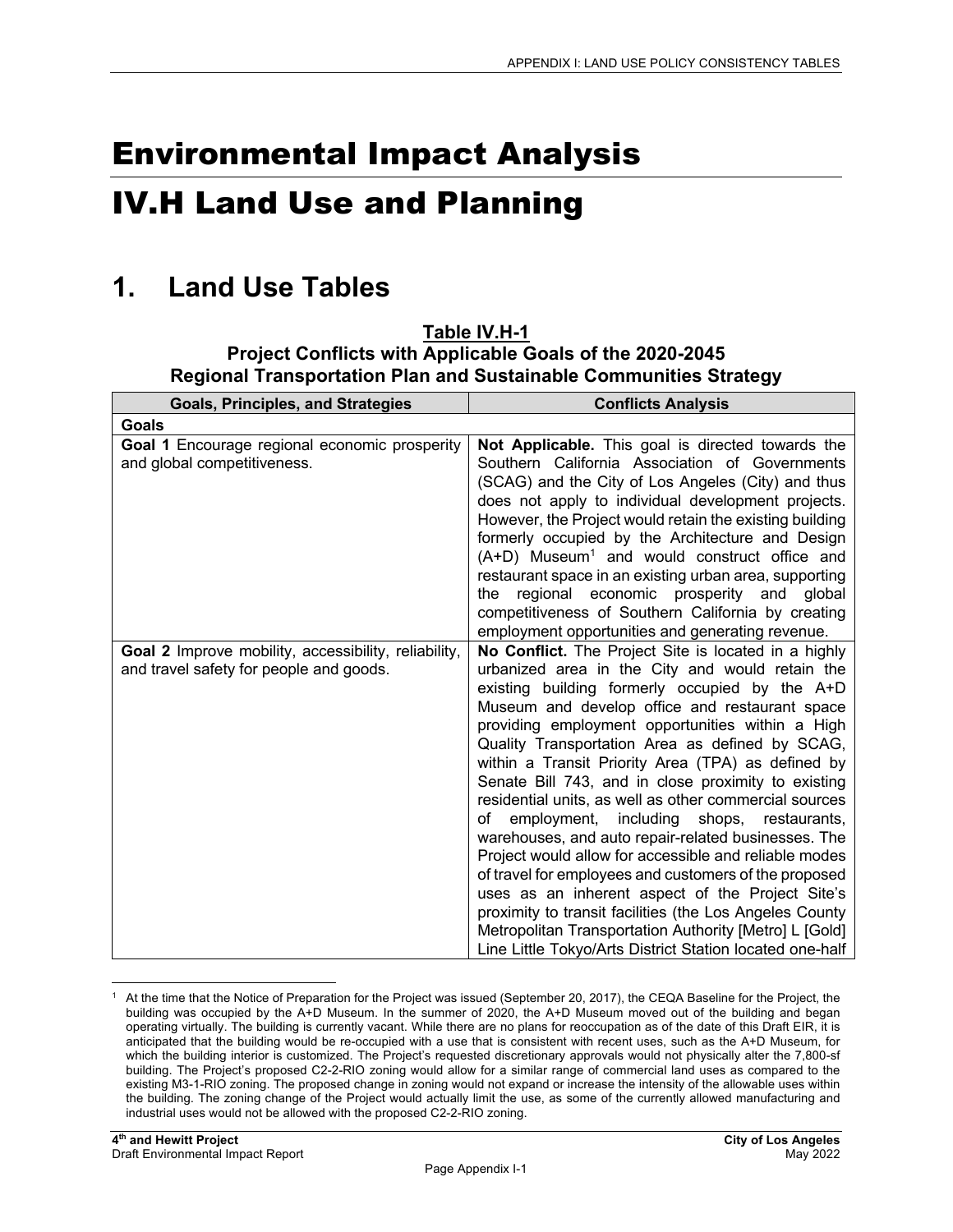## Environmental Impact Analysis

## IV.H Land Use and Planning

## **1. Land Use Tables**

| Regional Transportation Plan and Sustainable Communities Strategy                               |                                                                                                                                                                                                                                                                                                                                                                                                                                                                                                                                                                                                                                                                                                                                                                                                                                                                                                                                                         |
|-------------------------------------------------------------------------------------------------|---------------------------------------------------------------------------------------------------------------------------------------------------------------------------------------------------------------------------------------------------------------------------------------------------------------------------------------------------------------------------------------------------------------------------------------------------------------------------------------------------------------------------------------------------------------------------------------------------------------------------------------------------------------------------------------------------------------------------------------------------------------------------------------------------------------------------------------------------------------------------------------------------------------------------------------------------------|
| <b>Goals, Principles, and Strategies</b>                                                        | <b>Conflicts Analysis</b>                                                                                                                                                                                                                                                                                                                                                                                                                                                                                                                                                                                                                                                                                                                                                                                                                                                                                                                               |
| <b>Goals</b>                                                                                    |                                                                                                                                                                                                                                                                                                                                                                                                                                                                                                                                                                                                                                                                                                                                                                                                                                                                                                                                                         |
| Goal 1 Encourage regional economic prosperity<br>and global competitiveness.                    | Not Applicable. This goal is directed towards the<br>Southern California Association of Governments<br>(SCAG) and the City of Los Angeles (City) and thus<br>does not apply to individual development projects.<br>However, the Project would retain the existing building<br>formerly occupied by the Architecture and Design<br>(A+D) Museum <sup>1</sup> and would construct office and<br>restaurant space in an existing urban area, supporting<br>regional economic prosperity<br>and<br>the<br>global<br>competitiveness of Southern California by creating<br>employment opportunities and generating revenue.                                                                                                                                                                                                                                                                                                                                  |
| Goal 2 Improve mobility, accessibility, reliability,<br>and travel safety for people and goods. | No Conflict. The Project Site is located in a highly<br>urbanized area in the City and would retain the<br>existing building formerly occupied by the A+D<br>Museum and develop office and restaurant space<br>providing employment opportunities within a High<br>Quality Transportation Area as defined by SCAG,<br>within a Transit Priority Area (TPA) as defined by<br>Senate Bill 743, and in close proximity to existing<br>residential units, as well as other commercial sources<br>of employment, including shops, restaurants,<br>warehouses, and auto repair-related businesses. The<br>Project would allow for accessible and reliable modes<br>of travel for employees and customers of the proposed<br>uses as an inherent aspect of the Project Site's<br>proximity to transit facilities (the Los Angeles County<br>Metropolitan Transportation Authority [Metro] L [Gold]<br>Line Little Tokyo/Arts District Station located one-half |

 **Table IV.H-1 Project Conflicts with Applicable Goals of the 2020-2045 Regional Transportation Plan and Sustainable Communities Strategy** 

 At the time that the Notice of Preparation for the Project was issued (September 20, 2017), the CEQA Baseline for the Project, the building was occupied by the A+D Museum. In the summer of 2020, the A+D Museum moved out of the building and began operating virtually. The building is currently vacant. While there are no plans for reoccupation as of the date of this Draft EIR, it is anticipated that the building would be re-occupied with a use that is consistent with recent uses, such as the A+D Museum, for which the building interior is customized. The Project's requested discretionary approvals would not physically alter the 7,800-sf building. The Project's proposed C2-2-RIO zoning would allow for a similar range of commercial land uses as compared to the existing M3-1-RIO zoning. The proposed change in zoning would not expand or increase the intensity of the allowable uses within the building. The zoning change of the Project would actually limit the use, as some of the currently allowed manufacturing and industrial uses would not be allowed with the proposed C2-2-RIO zoning. 1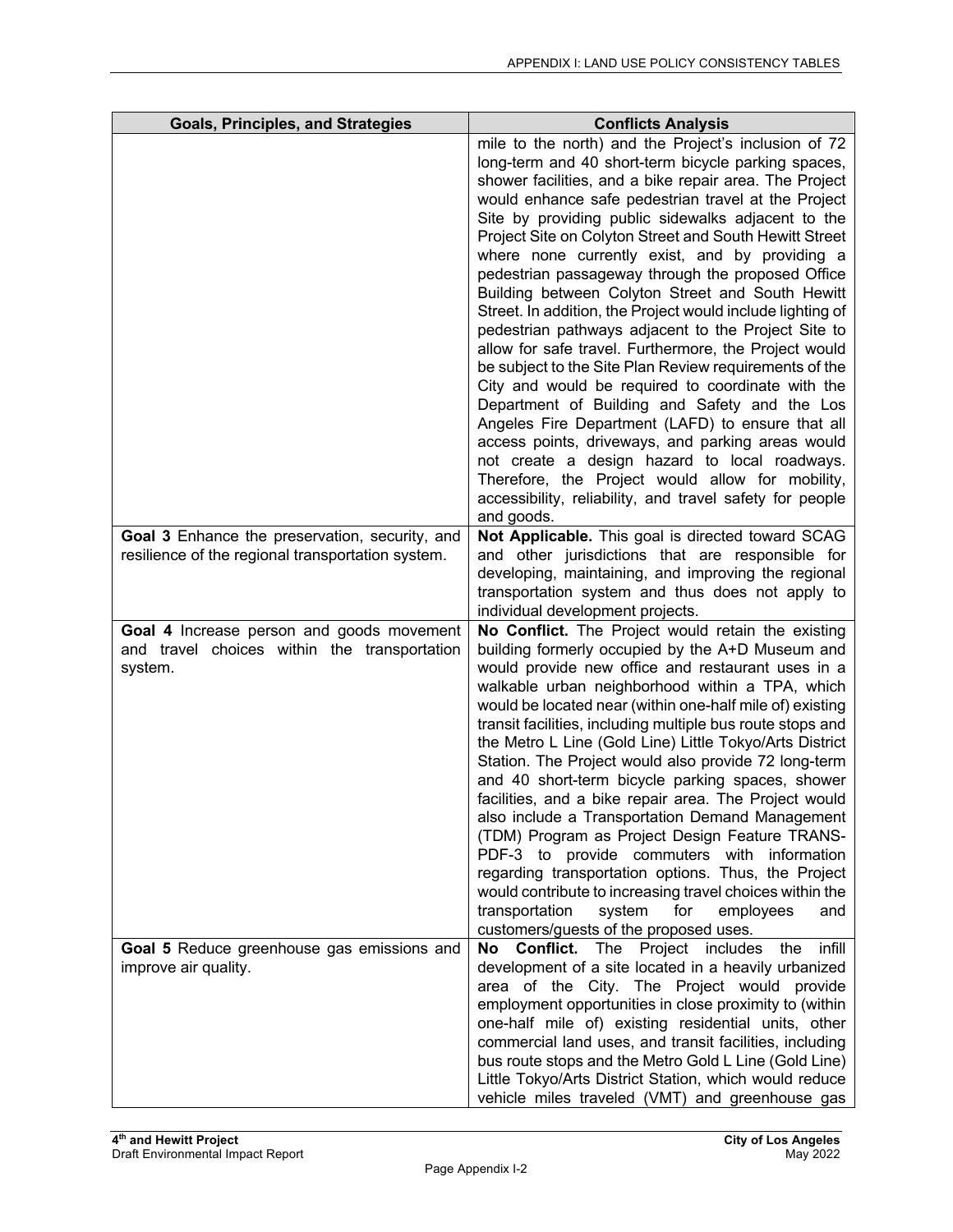| <b>Goals, Principles, and Strategies</b>                                                             | <b>Conflicts Analysis</b>                                                                                                                                                                                                                                                                                                                                                                                                                                                                                                                                                                                                                                                                                                                                                                                                                                                                                                                                                                                                                                                                                                                      |
|------------------------------------------------------------------------------------------------------|------------------------------------------------------------------------------------------------------------------------------------------------------------------------------------------------------------------------------------------------------------------------------------------------------------------------------------------------------------------------------------------------------------------------------------------------------------------------------------------------------------------------------------------------------------------------------------------------------------------------------------------------------------------------------------------------------------------------------------------------------------------------------------------------------------------------------------------------------------------------------------------------------------------------------------------------------------------------------------------------------------------------------------------------------------------------------------------------------------------------------------------------|
|                                                                                                      | mile to the north) and the Project's inclusion of 72<br>long-term and 40 short-term bicycle parking spaces,<br>shower facilities, and a bike repair area. The Project<br>would enhance safe pedestrian travel at the Project<br>Site by providing public sidewalks adjacent to the<br>Project Site on Colyton Street and South Hewitt Street<br>where none currently exist, and by providing a<br>pedestrian passageway through the proposed Office<br>Building between Colyton Street and South Hewitt<br>Street. In addition, the Project would include lighting of<br>pedestrian pathways adjacent to the Project Site to<br>allow for safe travel. Furthermore, the Project would<br>be subject to the Site Plan Review requirements of the<br>City and would be required to coordinate with the<br>Department of Building and Safety and the Los<br>Angeles Fire Department (LAFD) to ensure that all<br>access points, driveways, and parking areas would<br>not create a design hazard to local roadways.<br>Therefore, the Project would allow for mobility,<br>accessibility, reliability, and travel safety for people<br>and goods. |
| Goal 3 Enhance the preservation, security, and<br>resilience of the regional transportation system.  | Not Applicable. This goal is directed toward SCAG<br>and other jurisdictions that are responsible for<br>developing, maintaining, and improving the regional<br>transportation system and thus does not apply to<br>individual development projects.                                                                                                                                                                                                                                                                                                                                                                                                                                                                                                                                                                                                                                                                                                                                                                                                                                                                                           |
| Goal 4 Increase person and goods movement<br>and travel choices within the transportation<br>system. | No Conflict. The Project would retain the existing<br>building formerly occupied by the A+D Museum and<br>would provide new office and restaurant uses in a<br>walkable urban neighborhood within a TPA, which<br>would be located near (within one-half mile of) existing<br>transit facilities, including multiple bus route stops and<br>the Metro L Line (Gold Line) Little Tokyo/Arts District<br>Station. The Project would also provide 72 long-term<br>and 40 short-term bicycle parking spaces, shower<br>facilities, and a bike repair area. The Project would<br>also include a Transportation Demand Management<br>(TDM) Program as Project Design Feature TRANS-<br>PDF-3 to provide commuters with information<br>regarding transportation options. Thus, the Project<br>would contribute to increasing travel choices within the<br>transportation<br>system<br>for<br>employees<br>and<br>customers/guests of the proposed uses.                                                                                                                                                                                               |
| Goal 5 Reduce greenhouse gas emissions and<br>improve air quality.                                   | <b>Conflict.</b> The Project includes<br>No l<br>the<br>infill<br>development of a site located in a heavily urbanized<br>area of the City. The Project would provide<br>employment opportunities in close proximity to (within<br>one-half mile of) existing residential units, other<br>commercial land uses, and transit facilities, including<br>bus route stops and the Metro Gold L Line (Gold Line)<br>Little Tokyo/Arts District Station, which would reduce<br>vehicle miles traveled (VMT) and greenhouse gas                                                                                                                                                                                                                                                                                                                                                                                                                                                                                                                                                                                                                        |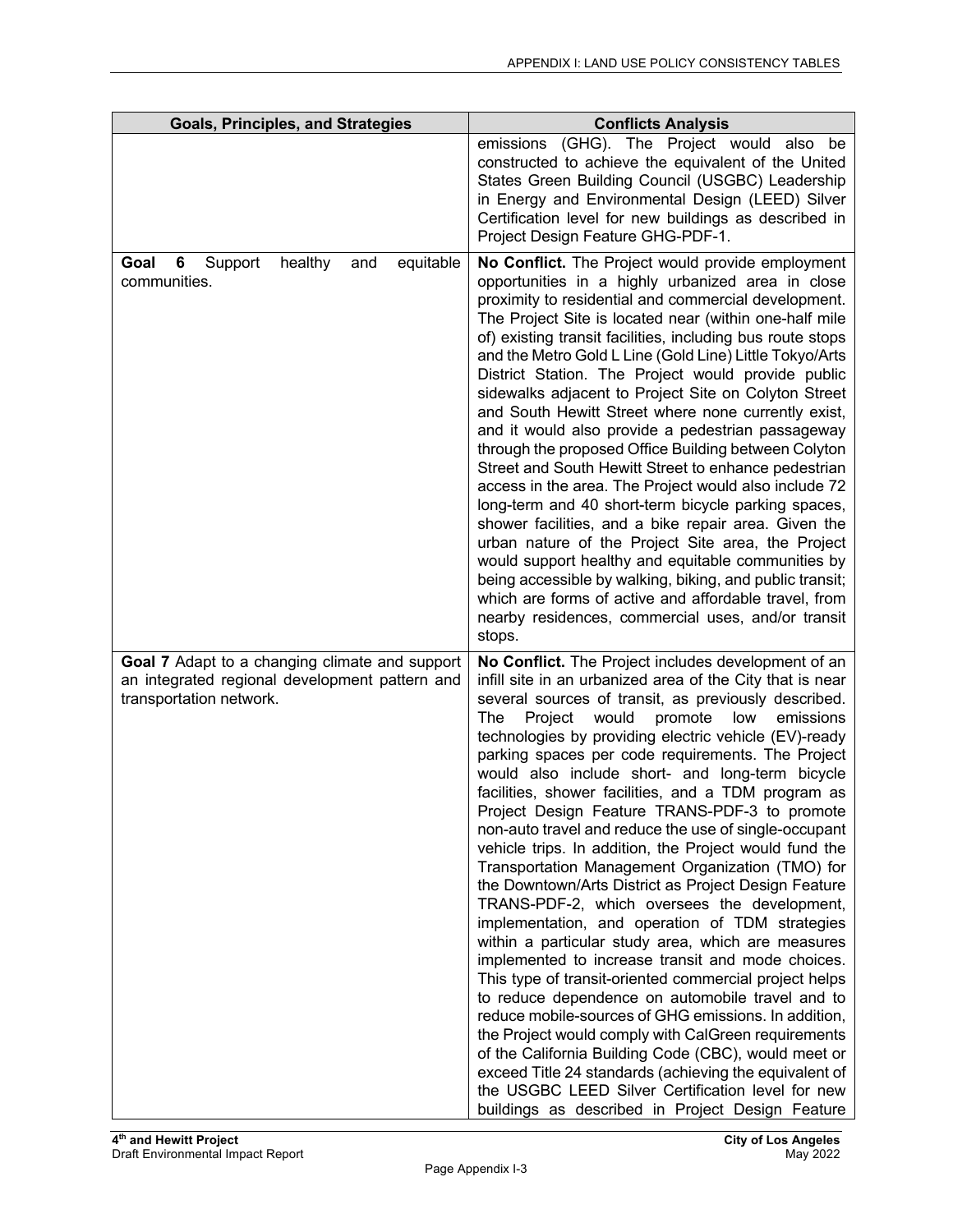| <b>Goals, Principles, and Strategies</b>                                                                                    | <b>Conflicts Analysis</b>                                                                                                                                                                                                                                                                                                                                                                                                                                                                                                                                                                                                                                                                                                                                                                                                                                                                                                                                                                                                                                                                                                                                                                                                                                                                                                                                                                                        |
|-----------------------------------------------------------------------------------------------------------------------------|------------------------------------------------------------------------------------------------------------------------------------------------------------------------------------------------------------------------------------------------------------------------------------------------------------------------------------------------------------------------------------------------------------------------------------------------------------------------------------------------------------------------------------------------------------------------------------------------------------------------------------------------------------------------------------------------------------------------------------------------------------------------------------------------------------------------------------------------------------------------------------------------------------------------------------------------------------------------------------------------------------------------------------------------------------------------------------------------------------------------------------------------------------------------------------------------------------------------------------------------------------------------------------------------------------------------------------------------------------------------------------------------------------------|
|                                                                                                                             | emissions (GHG). The Project would also be<br>constructed to achieve the equivalent of the United<br>States Green Building Council (USGBC) Leadership<br>in Energy and Environmental Design (LEED) Silver<br>Certification level for new buildings as described in<br>Project Design Feature GHG-PDF-1.                                                                                                                                                                                                                                                                                                                                                                                                                                                                                                                                                                                                                                                                                                                                                                                                                                                                                                                                                                                                                                                                                                          |
| healthy<br>equitable<br>Goal<br>6<br>Support<br>and<br>communities.                                                         | No Conflict. The Project would provide employment<br>opportunities in a highly urbanized area in close<br>proximity to residential and commercial development.<br>The Project Site is located near (within one-half mile<br>of) existing transit facilities, including bus route stops<br>and the Metro Gold L Line (Gold Line) Little Tokyo/Arts<br>District Station. The Project would provide public<br>sidewalks adjacent to Project Site on Colyton Street<br>and South Hewitt Street where none currently exist,<br>and it would also provide a pedestrian passageway<br>through the proposed Office Building between Colyton<br>Street and South Hewitt Street to enhance pedestrian<br>access in the area. The Project would also include 72<br>long-term and 40 short-term bicycle parking spaces,<br>shower facilities, and a bike repair area. Given the<br>urban nature of the Project Site area, the Project<br>would support healthy and equitable communities by<br>being accessible by walking, biking, and public transit;<br>which are forms of active and affordable travel, from<br>nearby residences, commercial uses, and/or transit<br>stops.                                                                                                                                                                                                                                             |
| Goal 7 Adapt to a changing climate and support<br>an integrated regional development pattern and<br>transportation network. | No Conflict. The Project includes development of an<br>infill site in an urbanized area of the City that is near<br>several sources of transit, as previously described.<br>Project<br>would<br>promote<br>low<br>emissions<br>The<br>technologies by providing electric vehicle (EV)-ready<br>parking spaces per code requirements. The Project<br>would also include short- and long-term bicycle<br>facilities, shower facilities, and a TDM program as<br>Project Design Feature TRANS-PDF-3 to promote<br>non-auto travel and reduce the use of single-occupant<br>vehicle trips. In addition, the Project would fund the<br>Transportation Management Organization (TMO) for<br>the Downtown/Arts District as Project Design Feature<br>TRANS-PDF-2, which oversees the development,<br>implementation, and operation of TDM strategies<br>within a particular study area, which are measures<br>implemented to increase transit and mode choices.<br>This type of transit-oriented commercial project helps<br>to reduce dependence on automobile travel and to<br>reduce mobile-sources of GHG emissions. In addition,<br>the Project would comply with CalGreen requirements<br>of the California Building Code (CBC), would meet or<br>exceed Title 24 standards (achieving the equivalent of<br>the USGBC LEED Silver Certification level for new<br>buildings as described in Project Design Feature |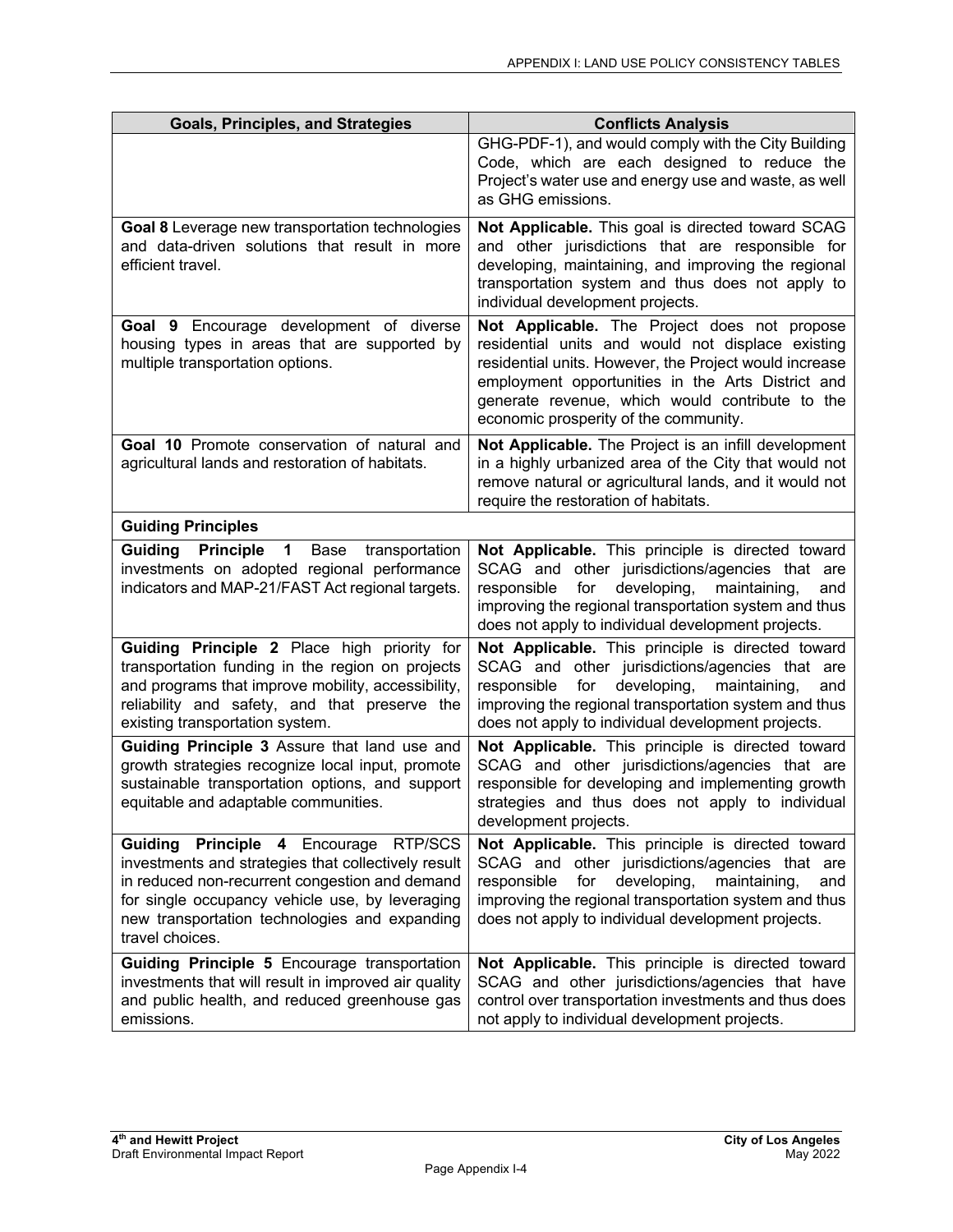| <b>Goals, Principles, and Strategies</b>                                                                                                                                                                                                                                 | <b>Conflicts Analysis</b>                                                                                                                                                                                                                                                                                    |
|--------------------------------------------------------------------------------------------------------------------------------------------------------------------------------------------------------------------------------------------------------------------------|--------------------------------------------------------------------------------------------------------------------------------------------------------------------------------------------------------------------------------------------------------------------------------------------------------------|
|                                                                                                                                                                                                                                                                          | GHG-PDF-1), and would comply with the City Building<br>Code, which are each designed to reduce the<br>Project's water use and energy use and waste, as well<br>as GHG emissions.                                                                                                                             |
| Goal 8 Leverage new transportation technologies<br>and data-driven solutions that result in more<br>efficient travel.                                                                                                                                                    | Not Applicable. This goal is directed toward SCAG<br>and other jurisdictions that are responsible for<br>developing, maintaining, and improving the regional<br>transportation system and thus does not apply to<br>individual development projects.                                                         |
| Goal 9 Encourage development of diverse<br>housing types in areas that are supported by<br>multiple transportation options.                                                                                                                                              | Not Applicable. The Project does not propose<br>residential units and would not displace existing<br>residential units. However, the Project would increase<br>employment opportunities in the Arts District and<br>generate revenue, which would contribute to the<br>economic prosperity of the community. |
| Goal 10 Promote conservation of natural and<br>agricultural lands and restoration of habitats.                                                                                                                                                                           | Not Applicable. The Project is an infill development<br>in a highly urbanized area of the City that would not<br>remove natural or agricultural lands, and it would not<br>require the restoration of habitats.                                                                                              |
| <b>Guiding Principles</b>                                                                                                                                                                                                                                                |                                                                                                                                                                                                                                                                                                              |
| Guiding<br><b>Principle</b><br>$\mathbf 1$<br>Base<br>transportation<br>investments on adopted regional performance<br>indicators and MAP-21/FAST Act regional targets.                                                                                                  | Not Applicable. This principle is directed toward<br>SCAG and other jurisdictions/agencies that are<br>developing,<br>for<br>maintaining,<br>responsible<br>and<br>improving the regional transportation system and thus<br>does not apply to individual development projects.                               |
| Guiding Principle 2 Place high priority for<br>transportation funding in the region on projects<br>and programs that improve mobility, accessibility,<br>reliability and safety, and that preserve the<br>existing transportation system.                                | Not Applicable. This principle is directed toward<br>SCAG and other jurisdictions/agencies that are<br>developing,<br>for<br>maintaining,<br>responsible<br>and<br>improving the regional transportation system and thus<br>does not apply to individual development projects.                               |
| Guiding Principle 3 Assure that land use and<br>growth strategies recognize local input, promote<br>sustainable transportation options, and support<br>equitable and adaptable communities.                                                                              | Not Applicable. This principle is directed toward<br>SCAG and other jurisdictions/agencies that are<br>responsible for developing and implementing growth<br>strategies and thus does not apply to individual<br>development projects.                                                                       |
| Principle 4 Encourage RTP/SCS<br>Guiding<br>investments and strategies that collectively result<br>in reduced non-recurrent congestion and demand<br>for single occupancy vehicle use, by leveraging<br>new transportation technologies and expanding<br>travel choices. | Not Applicable. This principle is directed toward<br>SCAG and other jurisdictions/agencies that are<br>responsible<br>for<br>developing,<br>maintaining,<br>and<br>improving the regional transportation system and thus<br>does not apply to individual development projects.                               |
| Guiding Principle 5 Encourage transportation<br>investments that will result in improved air quality<br>and public health, and reduced greenhouse gas<br>emissions.                                                                                                      | Not Applicable. This principle is directed toward<br>SCAG and other jurisdictions/agencies that have<br>control over transportation investments and thus does<br>not apply to individual development projects.                                                                                               |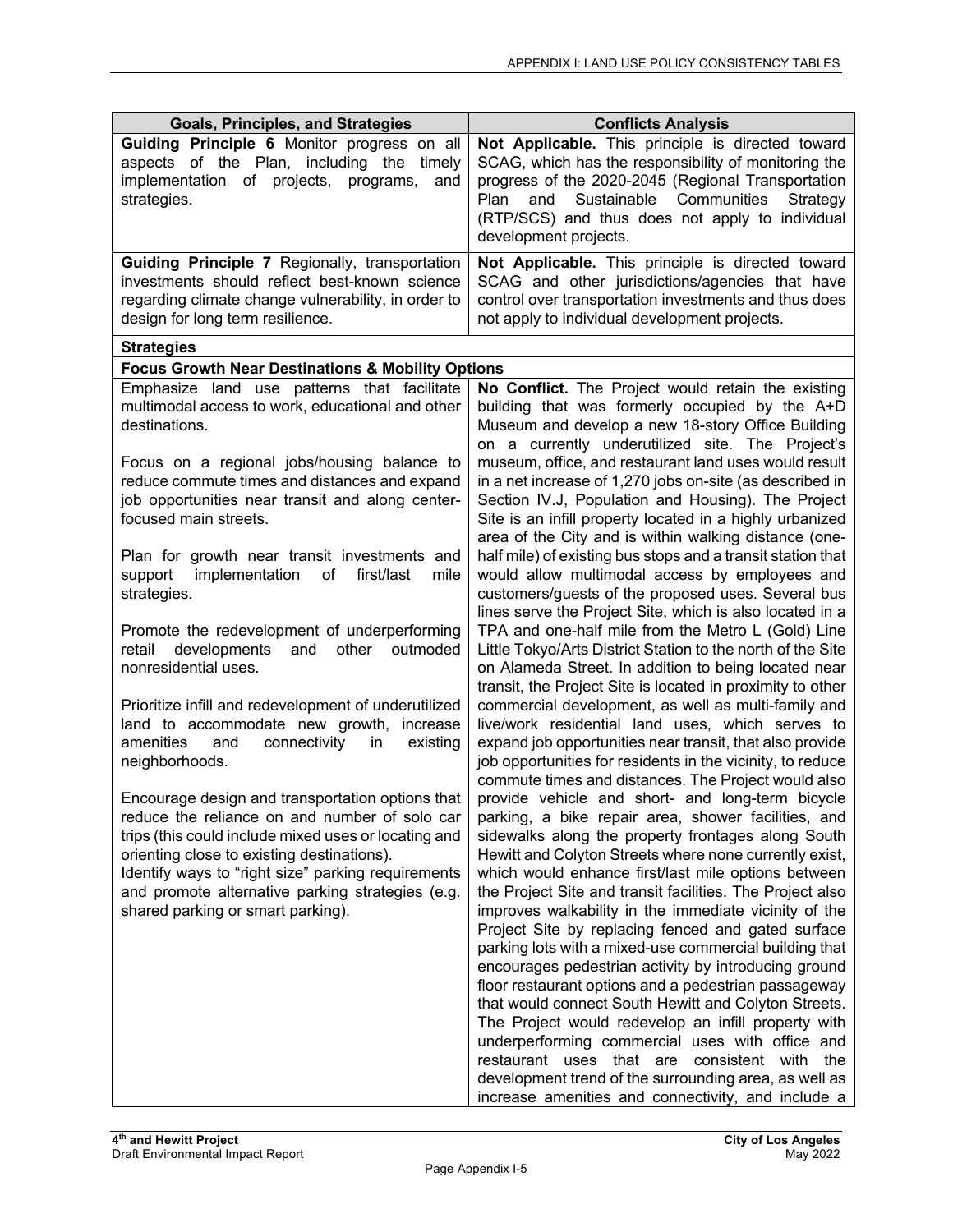| <b>Goals, Principles, and Strategies</b>                                                                                                                                                                                                                                                                                                               | <b>Conflicts Analysis</b>                                                                                                                                                                                                                                                                                                                                                                                                                                                                                                                                                                                                                                                                                                                                                                                                                                                                                                                                             |
|--------------------------------------------------------------------------------------------------------------------------------------------------------------------------------------------------------------------------------------------------------------------------------------------------------------------------------------------------------|-----------------------------------------------------------------------------------------------------------------------------------------------------------------------------------------------------------------------------------------------------------------------------------------------------------------------------------------------------------------------------------------------------------------------------------------------------------------------------------------------------------------------------------------------------------------------------------------------------------------------------------------------------------------------------------------------------------------------------------------------------------------------------------------------------------------------------------------------------------------------------------------------------------------------------------------------------------------------|
| Guiding Principle 6 Monitor progress on all<br>aspects of the Plan, including the<br>timely<br>implementation of projects, programs,<br>and<br>strategies.                                                                                                                                                                                             | Not Applicable. This principle is directed toward<br>SCAG, which has the responsibility of monitoring the<br>progress of the 2020-2045 (Regional Transportation<br>Communities<br><b>Plan</b><br>Sustainable<br>and<br>Strategy<br>(RTP/SCS) and thus does not apply to individual<br>development projects.                                                                                                                                                                                                                                                                                                                                                                                                                                                                                                                                                                                                                                                           |
| Guiding Principle 7 Regionally, transportation<br>investments should reflect best-known science<br>regarding climate change vulnerability, in order to<br>design for long term resilience.                                                                                                                                                             | Not Applicable. This principle is directed toward<br>SCAG and other jurisdictions/agencies that have<br>control over transportation investments and thus does<br>not apply to individual development projects.                                                                                                                                                                                                                                                                                                                                                                                                                                                                                                                                                                                                                                                                                                                                                        |
| <b>Strategies</b>                                                                                                                                                                                                                                                                                                                                      |                                                                                                                                                                                                                                                                                                                                                                                                                                                                                                                                                                                                                                                                                                                                                                                                                                                                                                                                                                       |
| <b>Focus Growth Near Destinations &amp; Mobility Options</b>                                                                                                                                                                                                                                                                                           |                                                                                                                                                                                                                                                                                                                                                                                                                                                                                                                                                                                                                                                                                                                                                                                                                                                                                                                                                                       |
| Emphasize land use patterns that facilitate<br>multimodal access to work, educational and other<br>destinations.<br>Focus on a regional jobs/housing balance to                                                                                                                                                                                        | No Conflict. The Project would retain the existing<br>building that was formerly occupied by the A+D<br>Museum and develop a new 18-story Office Building<br>on a currently underutilized site. The Project's<br>museum, office, and restaurant land uses would result                                                                                                                                                                                                                                                                                                                                                                                                                                                                                                                                                                                                                                                                                                |
| reduce commute times and distances and expand<br>job opportunities near transit and along center-<br>focused main streets.                                                                                                                                                                                                                             | in a net increase of 1,270 jobs on-site (as described in<br>Section IV.J, Population and Housing). The Project<br>Site is an infill property located in a highly urbanized<br>area of the City and is within walking distance (one-                                                                                                                                                                                                                                                                                                                                                                                                                                                                                                                                                                                                                                                                                                                                   |
| Plan for growth near transit investments and<br>implementation<br>first/last<br>support<br>of<br>mile<br>strategies.                                                                                                                                                                                                                                   | half mile) of existing bus stops and a transit station that<br>would allow multimodal access by employees and<br>customers/guests of the proposed uses. Several bus<br>lines serve the Project Site, which is also located in a                                                                                                                                                                                                                                                                                                                                                                                                                                                                                                                                                                                                                                                                                                                                       |
| Promote the redevelopment of underperforming<br>developments<br>other<br>retail<br>and<br>outmoded<br>nonresidential uses.                                                                                                                                                                                                                             | TPA and one-half mile from the Metro L (Gold) Line<br>Little Tokyo/Arts District Station to the north of the Site<br>on Alameda Street. In addition to being located near<br>transit, the Project Site is located in proximity to other                                                                                                                                                                                                                                                                                                                                                                                                                                                                                                                                                                                                                                                                                                                               |
| Prioritize infill and redevelopment of underutilized<br>land to accommodate new growth, increase<br>amenities<br>and<br>connectivity<br>existing<br>in<br>neighborhoods.                                                                                                                                                                               | commercial development, as well as multi-family and<br>live/work residential land uses, which serves to<br>expand job opportunities near transit, that also provide<br>job opportunities for residents in the vicinity, to reduce<br>commute times and distances. The Project would also                                                                                                                                                                                                                                                                                                                                                                                                                                                                                                                                                                                                                                                                              |
| Encourage design and transportation options that<br>reduce the reliance on and number of solo car<br>trips (this could include mixed uses or locating and<br>orienting close to existing destinations).<br>Identify ways to "right size" parking requirements<br>and promote alternative parking strategies (e.g.<br>shared parking or smart parking). | provide vehicle and short- and long-term bicycle<br>parking, a bike repair area, shower facilities, and<br>sidewalks along the property frontages along South<br>Hewitt and Colyton Streets where none currently exist,<br>which would enhance first/last mile options between<br>the Project Site and transit facilities. The Project also<br>improves walkability in the immediate vicinity of the<br>Project Site by replacing fenced and gated surface<br>parking lots with a mixed-use commercial building that<br>encourages pedestrian activity by introducing ground<br>floor restaurant options and a pedestrian passageway<br>that would connect South Hewitt and Colyton Streets.<br>The Project would redevelop an infill property with<br>underperforming commercial uses with office and<br>restaurant uses that are consistent with the<br>development trend of the surrounding area, as well as<br>increase amenities and connectivity, and include a |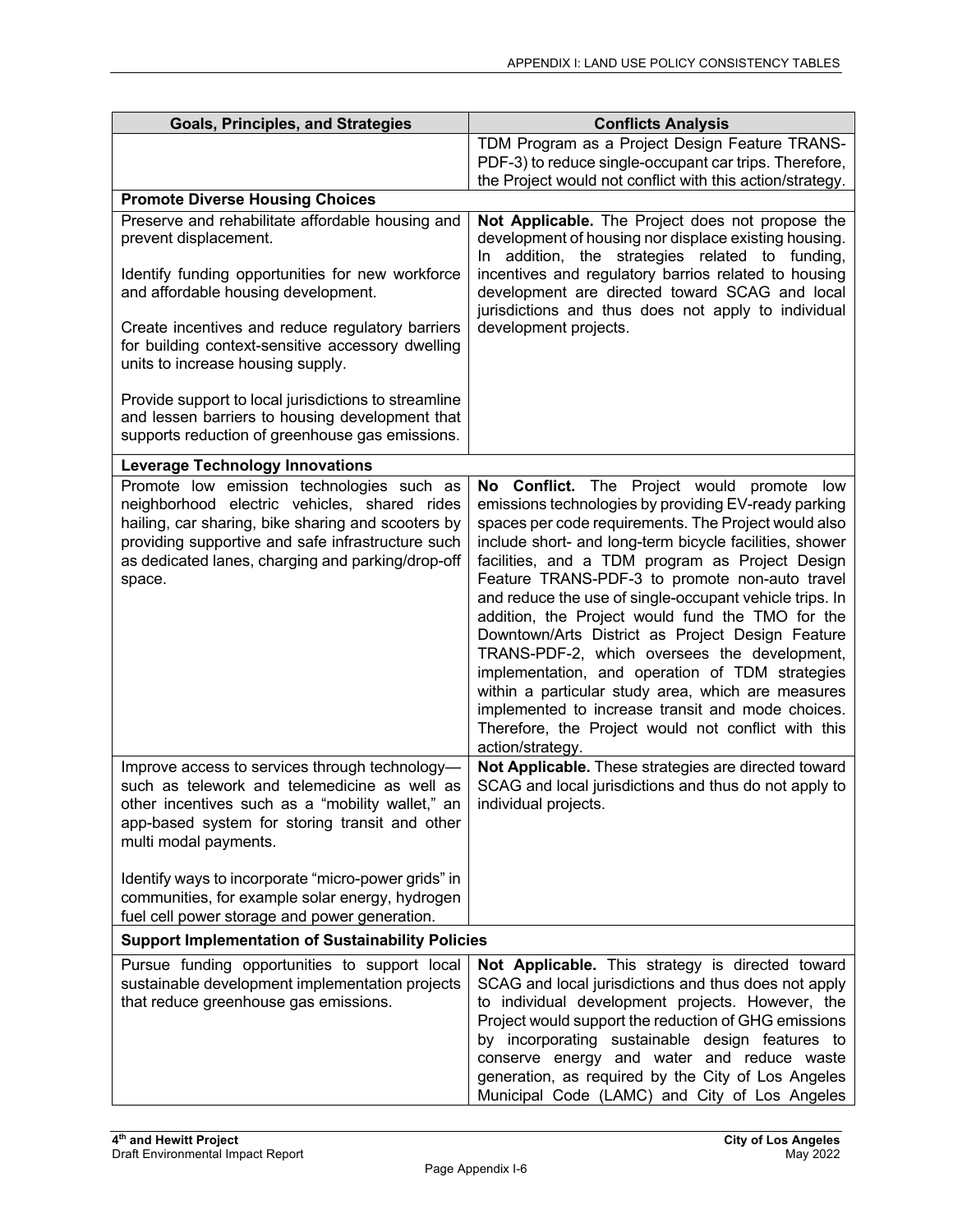| <b>Goals, Principles, and Strategies</b>                                                                                                                                                                                                                                                                                                                                                                                                                                                             | <b>Conflicts Analysis</b>                                                                                                                                                                                                                                                                                                                                                                                                                                                                                                                                                                                                                                                                                                                                                                                                                                                                                                       |
|------------------------------------------------------------------------------------------------------------------------------------------------------------------------------------------------------------------------------------------------------------------------------------------------------------------------------------------------------------------------------------------------------------------------------------------------------------------------------------------------------|---------------------------------------------------------------------------------------------------------------------------------------------------------------------------------------------------------------------------------------------------------------------------------------------------------------------------------------------------------------------------------------------------------------------------------------------------------------------------------------------------------------------------------------------------------------------------------------------------------------------------------------------------------------------------------------------------------------------------------------------------------------------------------------------------------------------------------------------------------------------------------------------------------------------------------|
|                                                                                                                                                                                                                                                                                                                                                                                                                                                                                                      | TDM Program as a Project Design Feature TRANS-                                                                                                                                                                                                                                                                                                                                                                                                                                                                                                                                                                                                                                                                                                                                                                                                                                                                                  |
|                                                                                                                                                                                                                                                                                                                                                                                                                                                                                                      | PDF-3) to reduce single-occupant car trips. Therefore,<br>the Project would not conflict with this action/strategy.                                                                                                                                                                                                                                                                                                                                                                                                                                                                                                                                                                                                                                                                                                                                                                                                             |
| <b>Promote Diverse Housing Choices</b>                                                                                                                                                                                                                                                                                                                                                                                                                                                               |                                                                                                                                                                                                                                                                                                                                                                                                                                                                                                                                                                                                                                                                                                                                                                                                                                                                                                                                 |
| Preserve and rehabilitate affordable housing and<br>prevent displacement.                                                                                                                                                                                                                                                                                                                                                                                                                            | Not Applicable. The Project does not propose the<br>development of housing nor displace existing housing.<br>In addition, the strategies related to funding,                                                                                                                                                                                                                                                                                                                                                                                                                                                                                                                                                                                                                                                                                                                                                                    |
| Identify funding opportunities for new workforce<br>and affordable housing development.                                                                                                                                                                                                                                                                                                                                                                                                              | incentives and regulatory barrios related to housing<br>development are directed toward SCAG and local<br>jurisdictions and thus does not apply to individual                                                                                                                                                                                                                                                                                                                                                                                                                                                                                                                                                                                                                                                                                                                                                                   |
| Create incentives and reduce regulatory barriers<br>for building context-sensitive accessory dwelling<br>units to increase housing supply.                                                                                                                                                                                                                                                                                                                                                           | development projects.                                                                                                                                                                                                                                                                                                                                                                                                                                                                                                                                                                                                                                                                                                                                                                                                                                                                                                           |
| Provide support to local jurisdictions to streamline<br>and lessen barriers to housing development that<br>supports reduction of greenhouse gas emissions.                                                                                                                                                                                                                                                                                                                                           |                                                                                                                                                                                                                                                                                                                                                                                                                                                                                                                                                                                                                                                                                                                                                                                                                                                                                                                                 |
| <b>Leverage Technology Innovations</b>                                                                                                                                                                                                                                                                                                                                                                                                                                                               |                                                                                                                                                                                                                                                                                                                                                                                                                                                                                                                                                                                                                                                                                                                                                                                                                                                                                                                                 |
| Promote low emission technologies such as<br>neighborhood electric vehicles, shared rides<br>hailing, car sharing, bike sharing and scooters by<br>providing supportive and safe infrastructure such<br>as dedicated lanes, charging and parking/drop-off<br>space.<br>Improve access to services through technology-<br>such as telework and telemedicine as well as<br>other incentives such as a "mobility wallet," an<br>app-based system for storing transit and other<br>multi modal payments. | No Conflict. The Project would promote low<br>emissions technologies by providing EV-ready parking<br>spaces per code requirements. The Project would also<br>include short- and long-term bicycle facilities, shower<br>facilities, and a TDM program as Project Design<br>Feature TRANS-PDF-3 to promote non-auto travel<br>and reduce the use of single-occupant vehicle trips. In<br>addition, the Project would fund the TMO for the<br>Downtown/Arts District as Project Design Feature<br>TRANS-PDF-2, which oversees the development,<br>implementation, and operation of TDM strategies<br>within a particular study area, which are measures<br>implemented to increase transit and mode choices.<br>Therefore, the Project would not conflict with this<br>action/strategy.<br>Not Applicable. These strategies are directed toward<br>SCAG and local jurisdictions and thus do not apply to<br>individual projects. |
| Identify ways to incorporate "micro-power grids" in<br>communities, for example solar energy, hydrogen<br>fuel cell power storage and power generation.                                                                                                                                                                                                                                                                                                                                              |                                                                                                                                                                                                                                                                                                                                                                                                                                                                                                                                                                                                                                                                                                                                                                                                                                                                                                                                 |
| <b>Support Implementation of Sustainability Policies</b>                                                                                                                                                                                                                                                                                                                                                                                                                                             |                                                                                                                                                                                                                                                                                                                                                                                                                                                                                                                                                                                                                                                                                                                                                                                                                                                                                                                                 |
| Pursue funding opportunities to support local<br>sustainable development implementation projects<br>that reduce greenhouse gas emissions.                                                                                                                                                                                                                                                                                                                                                            | Not Applicable. This strategy is directed toward<br>SCAG and local jurisdictions and thus does not apply<br>to individual development projects. However, the<br>Project would support the reduction of GHG emissions<br>by incorporating sustainable design features to<br>conserve energy and water and reduce waste<br>generation, as required by the City of Los Angeles<br>Municipal Code (LAMC) and City of Los Angeles                                                                                                                                                                                                                                                                                                                                                                                                                                                                                                    |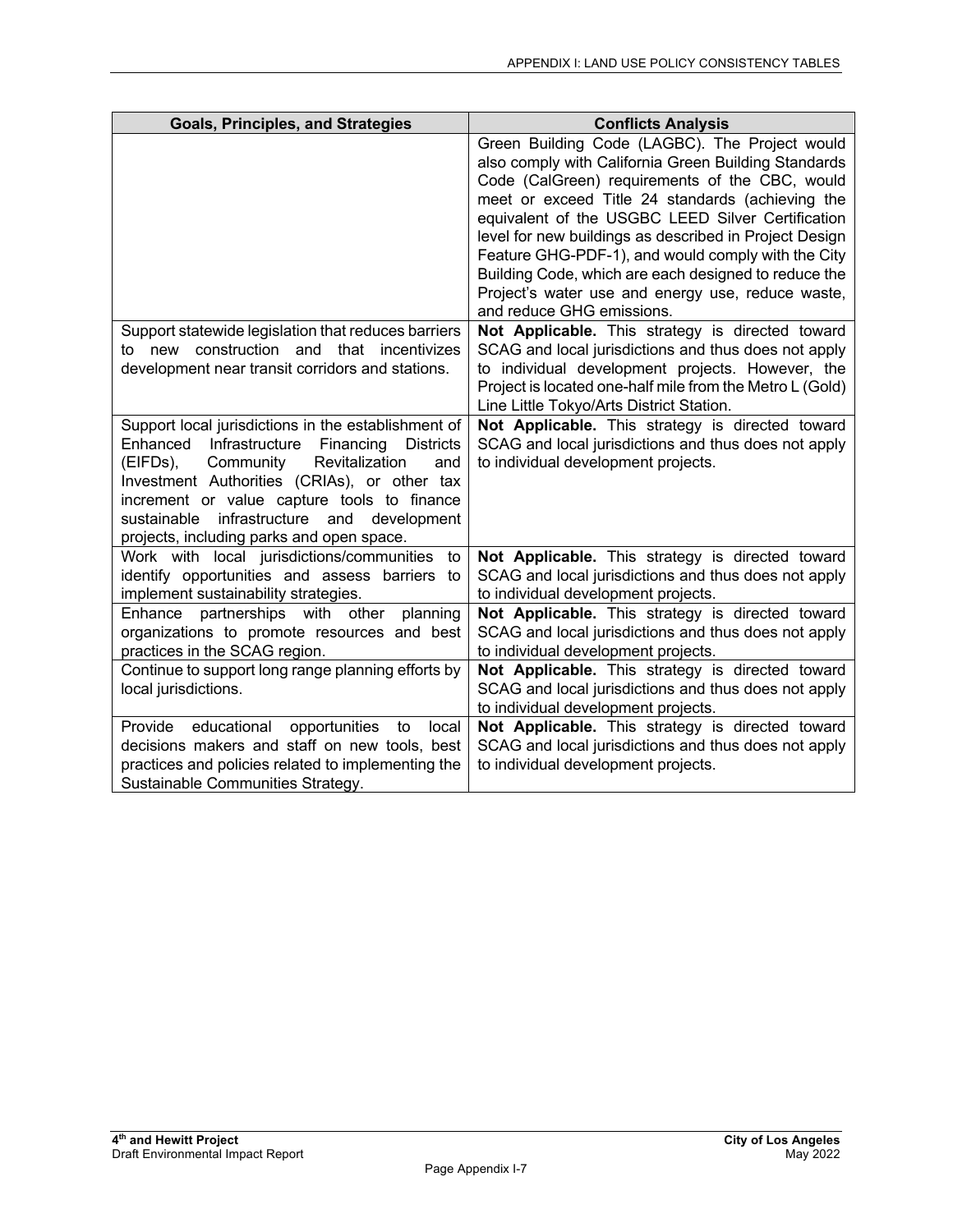| <b>Goals, Principles, and Strategies</b>                                                                                                                                                                                                                                                                                                                             | <b>Conflicts Analysis</b>                                                                                                                                                                                                                                                                                                                                                                                                                                                                                                   |
|----------------------------------------------------------------------------------------------------------------------------------------------------------------------------------------------------------------------------------------------------------------------------------------------------------------------------------------------------------------------|-----------------------------------------------------------------------------------------------------------------------------------------------------------------------------------------------------------------------------------------------------------------------------------------------------------------------------------------------------------------------------------------------------------------------------------------------------------------------------------------------------------------------------|
|                                                                                                                                                                                                                                                                                                                                                                      | Green Building Code (LAGBC). The Project would<br>also comply with California Green Building Standards<br>Code (CalGreen) requirements of the CBC, would<br>meet or exceed Title 24 standards (achieving the<br>equivalent of the USGBC LEED Silver Certification<br>level for new buildings as described in Project Design<br>Feature GHG-PDF-1), and would comply with the City<br>Building Code, which are each designed to reduce the<br>Project's water use and energy use, reduce waste,<br>and reduce GHG emissions. |
| Support statewide legislation that reduces barriers<br>to new construction<br>and that incentivizes<br>development near transit corridors and stations.                                                                                                                                                                                                              | Not Applicable. This strategy is directed toward<br>SCAG and local jurisdictions and thus does not apply<br>to individual development projects. However, the<br>Project is located one-half mile from the Metro L (Gold)                                                                                                                                                                                                                                                                                                    |
| Support local jurisdictions in the establishment of<br>Enhanced<br>Infrastructure<br><b>Districts</b><br>Financing<br>(EIFDs),<br>Community<br>Revitalization<br>and<br>Investment Authorities (CRIAs), or other tax<br>increment or value capture tools to finance<br>infrastructure<br>sustainable<br>and development<br>projects, including parks and open space. | Line Little Tokyo/Arts District Station.<br>Not Applicable. This strategy is directed toward<br>SCAG and local jurisdictions and thus does not apply<br>to individual development projects.                                                                                                                                                                                                                                                                                                                                 |
| Work with local jurisdictions/communities<br>to<br>identify opportunities and assess barriers to<br>implement sustainability strategies.                                                                                                                                                                                                                             | Not Applicable. This strategy is directed toward<br>SCAG and local jurisdictions and thus does not apply<br>to individual development projects.                                                                                                                                                                                                                                                                                                                                                                             |
| Enhance partnerships with other<br>planning<br>organizations to promote resources and best<br>practices in the SCAG region.                                                                                                                                                                                                                                          | Not Applicable. This strategy is directed toward<br>SCAG and local jurisdictions and thus does not apply<br>to individual development projects.                                                                                                                                                                                                                                                                                                                                                                             |
| Continue to support long range planning efforts by<br>local jurisdictions.                                                                                                                                                                                                                                                                                           | Not Applicable. This strategy is directed toward<br>SCAG and local jurisdictions and thus does not apply<br>to individual development projects.                                                                                                                                                                                                                                                                                                                                                                             |
| Provide<br>educational<br>opportunities<br>to<br>local<br>decisions makers and staff on new tools, best<br>practices and policies related to implementing the<br>Sustainable Communities Strategy.                                                                                                                                                                   | Not Applicable. This strategy is directed toward<br>SCAG and local jurisdictions and thus does not apply<br>to individual development projects.                                                                                                                                                                                                                                                                                                                                                                             |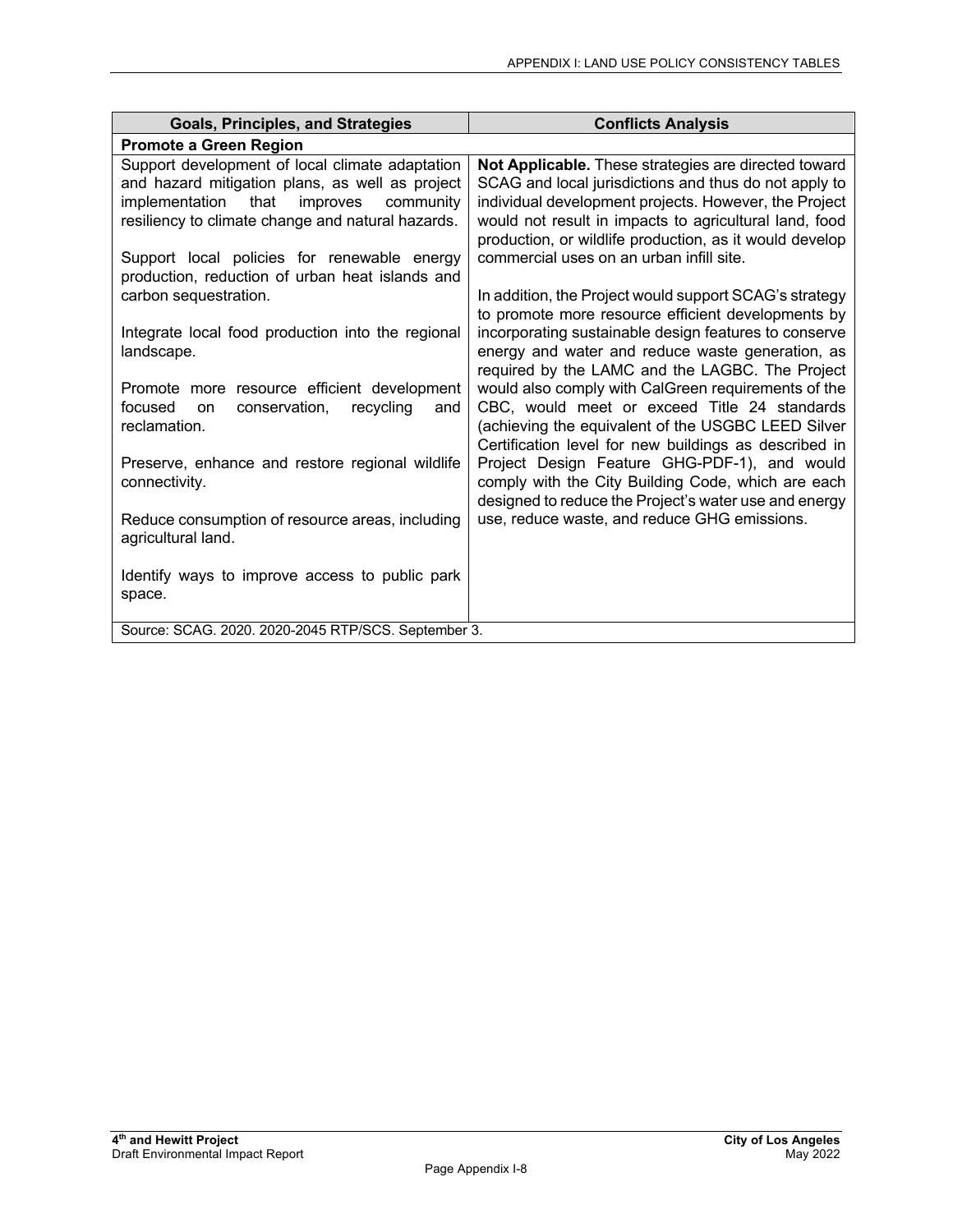| <b>Goals, Principles, and Strategies</b>                                                                                                                                                                   | <b>Conflicts Analysis</b>                                                                                                                                                                                                                                                                   |
|------------------------------------------------------------------------------------------------------------------------------------------------------------------------------------------------------------|---------------------------------------------------------------------------------------------------------------------------------------------------------------------------------------------------------------------------------------------------------------------------------------------|
| <b>Promote a Green Region</b>                                                                                                                                                                              |                                                                                                                                                                                                                                                                                             |
| Support development of local climate adaptation<br>and hazard mitigation plans, as well as project<br>implementation<br>that<br>improves<br>community<br>resiliency to climate change and natural hazards. | Not Applicable. These strategies are directed toward<br>SCAG and local jurisdictions and thus do not apply to<br>individual development projects. However, the Project<br>would not result in impacts to agricultural land, food<br>production, or wildlife production, as it would develop |
| Support local policies for renewable energy<br>production, reduction of urban heat islands and                                                                                                             | commercial uses on an urban infill site.                                                                                                                                                                                                                                                    |
| carbon sequestration.                                                                                                                                                                                      | In addition, the Project would support SCAG's strategy<br>to promote more resource efficient developments by                                                                                                                                                                                |
| Integrate local food production into the regional<br>landscape.                                                                                                                                            | incorporating sustainable design features to conserve<br>energy and water and reduce waste generation, as<br>required by the LAMC and the LAGBC. The Project                                                                                                                                |
| Promote more resource efficient development<br>focused<br>conservation,<br>recycling<br><b>on</b><br>and<br>reclamation.                                                                                   | would also comply with CalGreen requirements of the<br>CBC, would meet or exceed Title 24 standards<br>(achieving the equivalent of the USGBC LEED Silver<br>Certification level for new buildings as described in                                                                          |
| Preserve, enhance and restore regional wildlife<br>connectivity.                                                                                                                                           | Project Design Feature GHG-PDF-1), and would<br>comply with the City Building Code, which are each<br>designed to reduce the Project's water use and energy                                                                                                                                 |
| Reduce consumption of resource areas, including<br>agricultural land.                                                                                                                                      | use, reduce waste, and reduce GHG emissions.                                                                                                                                                                                                                                                |
| Identify ways to improve access to public park<br>space.                                                                                                                                                   |                                                                                                                                                                                                                                                                                             |
| Source: SCAG. 2020. 2020-2045 RTP/SCS. September 3.                                                                                                                                                        |                                                                                                                                                                                                                                                                                             |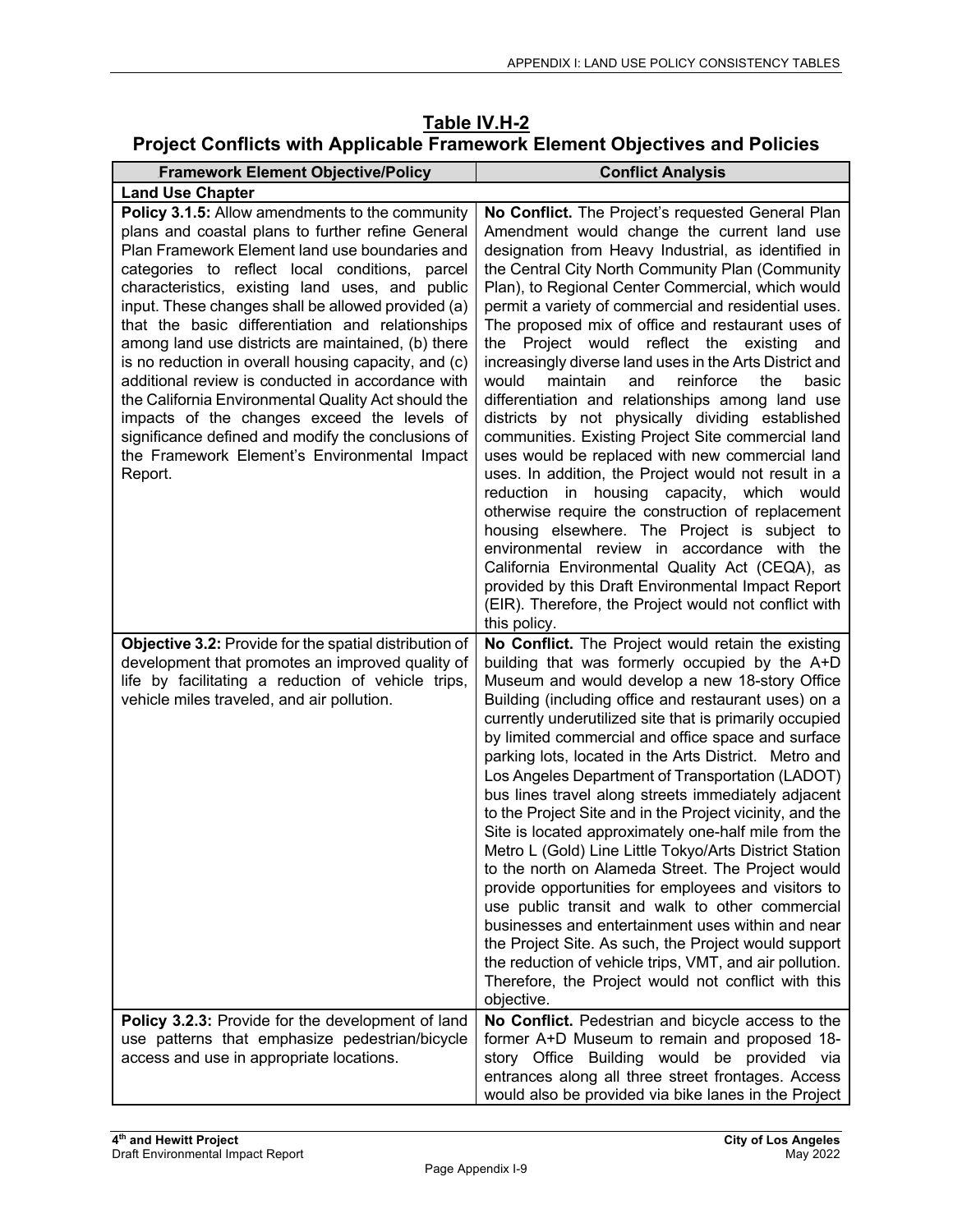| Table IV.H-2                                                                       |
|------------------------------------------------------------------------------------|
| <b>Project Conflicts with Applicable Framework Element Objectives and Policies</b> |

| <b>Framework Element Objective/Policy</b>                                                                                                                                                                                                                                                                                                                                                                                                                                                                                                                                                                                                                                                                                                                       | <b>Conflict Analysis</b>                                                                                                                                                                                                                                                                                                                                                                                                                                                                                                                                                                                                                                                                                                                                                                                                                                                                                                                                                                                                                                                                                                                                                                                           |
|-----------------------------------------------------------------------------------------------------------------------------------------------------------------------------------------------------------------------------------------------------------------------------------------------------------------------------------------------------------------------------------------------------------------------------------------------------------------------------------------------------------------------------------------------------------------------------------------------------------------------------------------------------------------------------------------------------------------------------------------------------------------|--------------------------------------------------------------------------------------------------------------------------------------------------------------------------------------------------------------------------------------------------------------------------------------------------------------------------------------------------------------------------------------------------------------------------------------------------------------------------------------------------------------------------------------------------------------------------------------------------------------------------------------------------------------------------------------------------------------------------------------------------------------------------------------------------------------------------------------------------------------------------------------------------------------------------------------------------------------------------------------------------------------------------------------------------------------------------------------------------------------------------------------------------------------------------------------------------------------------|
| <b>Land Use Chapter</b>                                                                                                                                                                                                                                                                                                                                                                                                                                                                                                                                                                                                                                                                                                                                         |                                                                                                                                                                                                                                                                                                                                                                                                                                                                                                                                                                                                                                                                                                                                                                                                                                                                                                                                                                                                                                                                                                                                                                                                                    |
| Policy 3.1.5: Allow amendments to the community<br>plans and coastal plans to further refine General<br>Plan Framework Element land use boundaries and<br>categories to reflect local conditions, parcel<br>characteristics, existing land uses, and public<br>input. These changes shall be allowed provided (a)<br>that the basic differentiation and relationships<br>among land use districts are maintained, (b) there<br>is no reduction in overall housing capacity, and (c)<br>additional review is conducted in accordance with<br>the California Environmental Quality Act should the<br>impacts of the changes exceed the levels of<br>significance defined and modify the conclusions of<br>the Framework Element's Environmental Impact<br>Report. | No Conflict. The Project's requested General Plan<br>Amendment would change the current land use<br>designation from Heavy Industrial, as identified in<br>the Central City North Community Plan (Community<br>Plan), to Regional Center Commercial, which would<br>permit a variety of commercial and residential uses.<br>The proposed mix of office and restaurant uses of<br>the Project would reflect the existing<br>and<br>increasingly diverse land uses in the Arts District and<br>would<br>maintain<br>and<br>reinforce<br>the<br>basic<br>differentiation and relationships among land use<br>districts by not physically dividing established<br>communities. Existing Project Site commercial land<br>uses would be replaced with new commercial land<br>uses. In addition, the Project would not result in a<br>housing capacity, which would<br>reduction in<br>otherwise require the construction of replacement<br>housing elsewhere. The Project is subject to<br>environmental review in accordance with the<br>California Environmental Quality Act (CEQA), as<br>provided by this Draft Environmental Impact Report<br>(EIR). Therefore, the Project would not conflict with<br>this policy. |
| Objective 3.2: Provide for the spatial distribution of<br>development that promotes an improved quality of<br>life by facilitating a reduction of vehicle trips,<br>vehicle miles traveled, and air pollution.                                                                                                                                                                                                                                                                                                                                                                                                                                                                                                                                                  | No Conflict. The Project would retain the existing<br>building that was formerly occupied by the A+D<br>Museum and would develop a new 18-story Office<br>Building (including office and restaurant uses) on a<br>currently underutilized site that is primarily occupied<br>by limited commercial and office space and surface<br>parking lots, located in the Arts District. Metro and<br>Los Angeles Department of Transportation (LADOT)<br>bus lines travel along streets immediately adjacent<br>to the Project Site and in the Project vicinity, and the<br>Site is located approximately one-half mile from the<br>Metro L (Gold) Line Little Tokyo/Arts District Station<br>to the north on Alameda Street. The Project would<br>provide opportunities for employees and visitors to<br>use public transit and walk to other commercial<br>businesses and entertainment uses within and near<br>the Project Site. As such, the Project would support<br>the reduction of vehicle trips, VMT, and air pollution.<br>Therefore, the Project would not conflict with this<br>objective.                                                                                                                      |
| Policy 3.2.3: Provide for the development of land<br>use patterns that emphasize pedestrian/bicycle<br>access and use in appropriate locations.                                                                                                                                                                                                                                                                                                                                                                                                                                                                                                                                                                                                                 | No Conflict. Pedestrian and bicycle access to the<br>former A+D Museum to remain and proposed 18-<br>story Office Building would be provided via<br>entrances along all three street frontages. Access<br>would also be provided via bike lanes in the Project                                                                                                                                                                                                                                                                                                                                                                                                                                                                                                                                                                                                                                                                                                                                                                                                                                                                                                                                                     |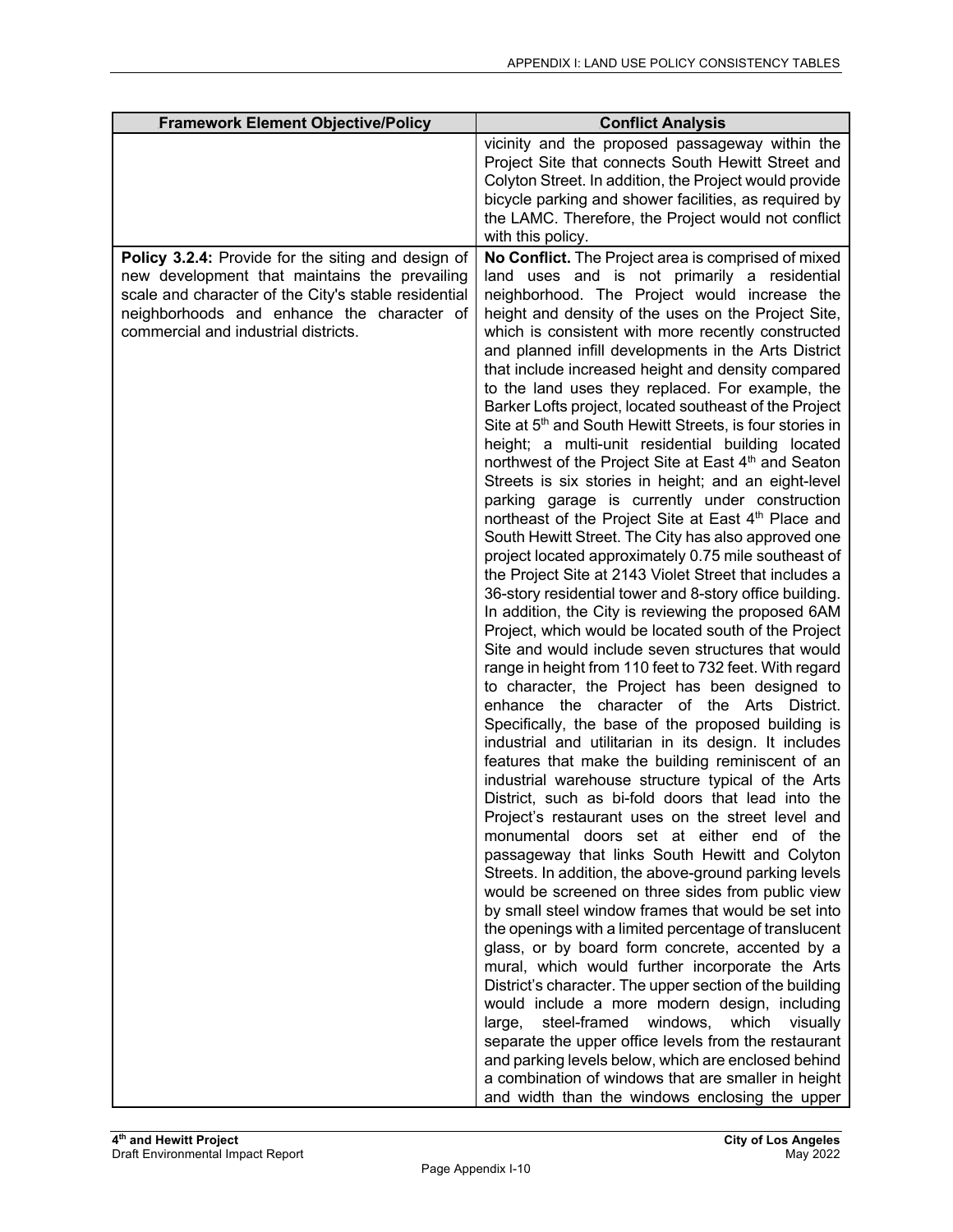| <b>Framework Element Objective/Policy</b>                                                                                                                                                                                                         | <b>Conflict Analysis</b>                                                                                                                                                                                                                                                                                                                                                                                                                                                                                                                                                                                                                                                                                                                                                                                                                                                                                                                                                                                                                                                                                                                                                                                                                                                                                                                                                                                                                                                                                                                                                                                                                                                                                                                                                                                                                                                                                                                                                                                                                                                                                                                                                                                                                                                                                                                                                                                                                                                          |
|---------------------------------------------------------------------------------------------------------------------------------------------------------------------------------------------------------------------------------------------------|-----------------------------------------------------------------------------------------------------------------------------------------------------------------------------------------------------------------------------------------------------------------------------------------------------------------------------------------------------------------------------------------------------------------------------------------------------------------------------------------------------------------------------------------------------------------------------------------------------------------------------------------------------------------------------------------------------------------------------------------------------------------------------------------------------------------------------------------------------------------------------------------------------------------------------------------------------------------------------------------------------------------------------------------------------------------------------------------------------------------------------------------------------------------------------------------------------------------------------------------------------------------------------------------------------------------------------------------------------------------------------------------------------------------------------------------------------------------------------------------------------------------------------------------------------------------------------------------------------------------------------------------------------------------------------------------------------------------------------------------------------------------------------------------------------------------------------------------------------------------------------------------------------------------------------------------------------------------------------------------------------------------------------------------------------------------------------------------------------------------------------------------------------------------------------------------------------------------------------------------------------------------------------------------------------------------------------------------------------------------------------------------------------------------------------------------------------------------------------------|
|                                                                                                                                                                                                                                                   | vicinity and the proposed passageway within the<br>Project Site that connects South Hewitt Street and<br>Colyton Street. In addition, the Project would provide<br>bicycle parking and shower facilities, as required by<br>the LAMC. Therefore, the Project would not conflict<br>with this policy.                                                                                                                                                                                                                                                                                                                                                                                                                                                                                                                                                                                                                                                                                                                                                                                                                                                                                                                                                                                                                                                                                                                                                                                                                                                                                                                                                                                                                                                                                                                                                                                                                                                                                                                                                                                                                                                                                                                                                                                                                                                                                                                                                                              |
|                                                                                                                                                                                                                                                   |                                                                                                                                                                                                                                                                                                                                                                                                                                                                                                                                                                                                                                                                                                                                                                                                                                                                                                                                                                                                                                                                                                                                                                                                                                                                                                                                                                                                                                                                                                                                                                                                                                                                                                                                                                                                                                                                                                                                                                                                                                                                                                                                                                                                                                                                                                                                                                                                                                                                                   |
| Policy 3.2.4: Provide for the siting and design of<br>new development that maintains the prevailing<br>scale and character of the City's stable residential<br>neighborhoods and enhance the character of<br>commercial and industrial districts. | No Conflict. The Project area is comprised of mixed<br>land uses and is not primarily a residential<br>neighborhood. The Project would increase the<br>height and density of the uses on the Project Site,<br>which is consistent with more recently constructed<br>and planned infill developments in the Arts District<br>that include increased height and density compared<br>to the land uses they replaced. For example, the<br>Barker Lofts project, located southeast of the Project<br>Site at 5 <sup>th</sup> and South Hewitt Streets, is four stories in<br>height; a multi-unit residential building located<br>northwest of the Project Site at East 4th and Seaton<br>Streets is six stories in height; and an eight-level<br>parking garage is currently under construction<br>northeast of the Project Site at East 4th Place and<br>South Hewitt Street. The City has also approved one<br>project located approximately 0.75 mile southeast of<br>the Project Site at 2143 Violet Street that includes a<br>36-story residential tower and 8-story office building.<br>In addition, the City is reviewing the proposed 6AM<br>Project, which would be located south of the Project<br>Site and would include seven structures that would<br>range in height from 110 feet to 732 feet. With regard<br>to character, the Project has been designed to<br>enhance the character of the Arts District.<br>Specifically, the base of the proposed building is<br>industrial and utilitarian in its design. It includes<br>features that make the building reminiscent of an<br>industrial warehouse structure typical of the Arts<br>District, such as bi-fold doors that lead into the<br>Project's restaurant uses on the street level and<br>monumental doors set at either end of the<br>passageway that links South Hewitt and Colyton<br>Streets. In addition, the above-ground parking levels<br>would be screened on three sides from public view<br>by small steel window frames that would be set into<br>the openings with a limited percentage of translucent<br>glass, or by board form concrete, accented by a<br>mural, which would further incorporate the Arts<br>District's character. The upper section of the building<br>would include a more modern design, including<br>steel-framed windows,<br>which<br>large,<br>visually<br>separate the upper office levels from the restaurant<br>and parking levels below, which are enclosed behind |
|                                                                                                                                                                                                                                                   | a combination of windows that are smaller in height<br>and width than the windows enclosing the upper                                                                                                                                                                                                                                                                                                                                                                                                                                                                                                                                                                                                                                                                                                                                                                                                                                                                                                                                                                                                                                                                                                                                                                                                                                                                                                                                                                                                                                                                                                                                                                                                                                                                                                                                                                                                                                                                                                                                                                                                                                                                                                                                                                                                                                                                                                                                                                             |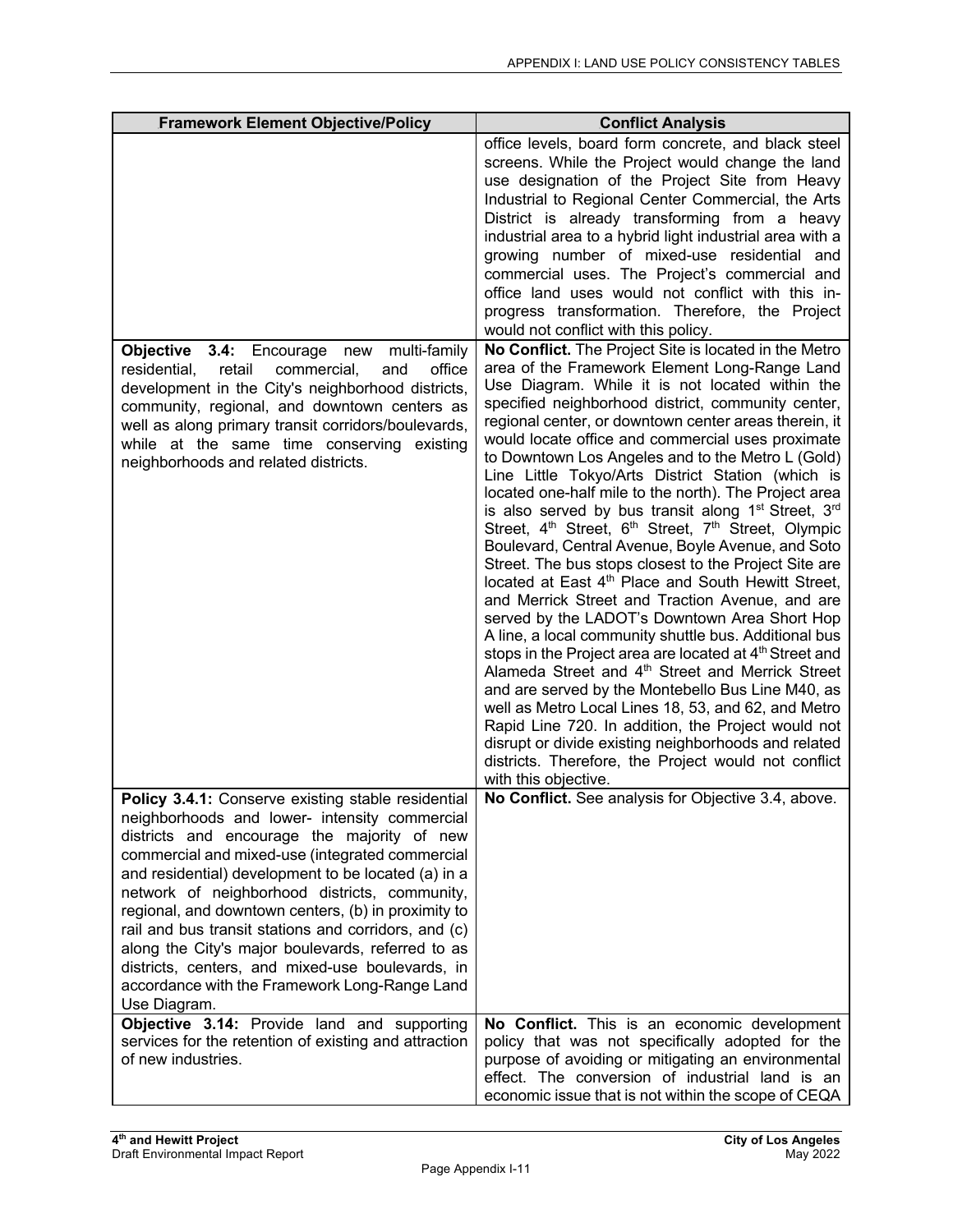| <b>Framework Element Objective/Policy</b>                                                                                                                                                                                                                                                                                                                                                                                                                                                                                                                                                              | <b>Conflict Analysis</b>                                                                                                                                                                                                                                                                                                                                                                                                                                                                                                                                                                                                                                                                                                                                                                                                                                                                                                                                                                                                                                                                                                                                                                                                                                                                                                                                                                                                                                     |
|--------------------------------------------------------------------------------------------------------------------------------------------------------------------------------------------------------------------------------------------------------------------------------------------------------------------------------------------------------------------------------------------------------------------------------------------------------------------------------------------------------------------------------------------------------------------------------------------------------|--------------------------------------------------------------------------------------------------------------------------------------------------------------------------------------------------------------------------------------------------------------------------------------------------------------------------------------------------------------------------------------------------------------------------------------------------------------------------------------------------------------------------------------------------------------------------------------------------------------------------------------------------------------------------------------------------------------------------------------------------------------------------------------------------------------------------------------------------------------------------------------------------------------------------------------------------------------------------------------------------------------------------------------------------------------------------------------------------------------------------------------------------------------------------------------------------------------------------------------------------------------------------------------------------------------------------------------------------------------------------------------------------------------------------------------------------------------|
|                                                                                                                                                                                                                                                                                                                                                                                                                                                                                                                                                                                                        | office levels, board form concrete, and black steel<br>screens. While the Project would change the land<br>use designation of the Project Site from Heavy<br>Industrial to Regional Center Commercial, the Arts<br>District is already transforming from a heavy<br>industrial area to a hybrid light industrial area with a<br>growing number of mixed-use residential and<br>commercial uses. The Project's commercial and<br>office land uses would not conflict with this in-<br>progress transformation. Therefore, the Project<br>would not conflict with this policy.                                                                                                                                                                                                                                                                                                                                                                                                                                                                                                                                                                                                                                                                                                                                                                                                                                                                                 |
| multi-family<br><b>Objective 3.4: Encourage</b><br>new<br>office<br>residential,<br>retail<br>commercial,<br>and<br>development in the City's neighborhood districts,<br>community, regional, and downtown centers as<br>well as along primary transit corridors/boulevards,<br>while at the same time conserving existing<br>neighborhoods and related districts.                                                                                                                                                                                                                                     | No Conflict. The Project Site is located in the Metro<br>area of the Framework Element Long-Range Land<br>Use Diagram. While it is not located within the<br>specified neighborhood district, community center,<br>regional center, or downtown center areas therein, it<br>would locate office and commercial uses proximate<br>to Downtown Los Angeles and to the Metro L (Gold)<br>Line Little Tokyo/Arts District Station (which is<br>located one-half mile to the north). The Project area<br>is also served by bus transit along 1 <sup>st</sup> Street, 3 <sup>rd</sup><br>Street, 4 <sup>th</sup> Street, 6 <sup>th</sup> Street, 7 <sup>th</sup> Street, Olympic<br>Boulevard, Central Avenue, Boyle Avenue, and Soto<br>Street. The bus stops closest to the Project Site are<br>located at East 4th Place and South Hewitt Street,<br>and Merrick Street and Traction Avenue, and are<br>served by the LADOT's Downtown Area Short Hop<br>A line, a local community shuttle bus. Additional bus<br>stops in the Project area are located at 4 <sup>th</sup> Street and<br>Alameda Street and 4 <sup>th</sup> Street and Merrick Street<br>and are served by the Montebello Bus Line M40, as<br>well as Metro Local Lines 18, 53, and 62, and Metro<br>Rapid Line 720. In addition, the Project would not<br>disrupt or divide existing neighborhoods and related<br>districts. Therefore, the Project would not conflict<br>with this objective. |
| Policy 3.4.1: Conserve existing stable residential<br>neighborhoods and lower- intensity commercial<br>districts and encourage the majority of new<br>commercial and mixed-use (integrated commercial<br>and residential) development to be located (a) in a<br>network of neighborhood districts, community,<br>regional, and downtown centers, (b) in proximity to<br>rail and bus transit stations and corridors, and (c)<br>along the City's major boulevards, referred to as<br>districts, centers, and mixed-use boulevards, in<br>accordance with the Framework Long-Range Land<br>Use Diagram. | No Conflict. See analysis for Objective 3.4, above.                                                                                                                                                                                                                                                                                                                                                                                                                                                                                                                                                                                                                                                                                                                                                                                                                                                                                                                                                                                                                                                                                                                                                                                                                                                                                                                                                                                                          |
| Objective 3.14: Provide land and supporting<br>services for the retention of existing and attraction<br>of new industries.                                                                                                                                                                                                                                                                                                                                                                                                                                                                             | No Conflict. This is an economic development<br>policy that was not specifically adopted for the<br>purpose of avoiding or mitigating an environmental<br>effect. The conversion of industrial land is an<br>economic issue that is not within the scope of CEQA                                                                                                                                                                                                                                                                                                                                                                                                                                                                                                                                                                                                                                                                                                                                                                                                                                                                                                                                                                                                                                                                                                                                                                                             |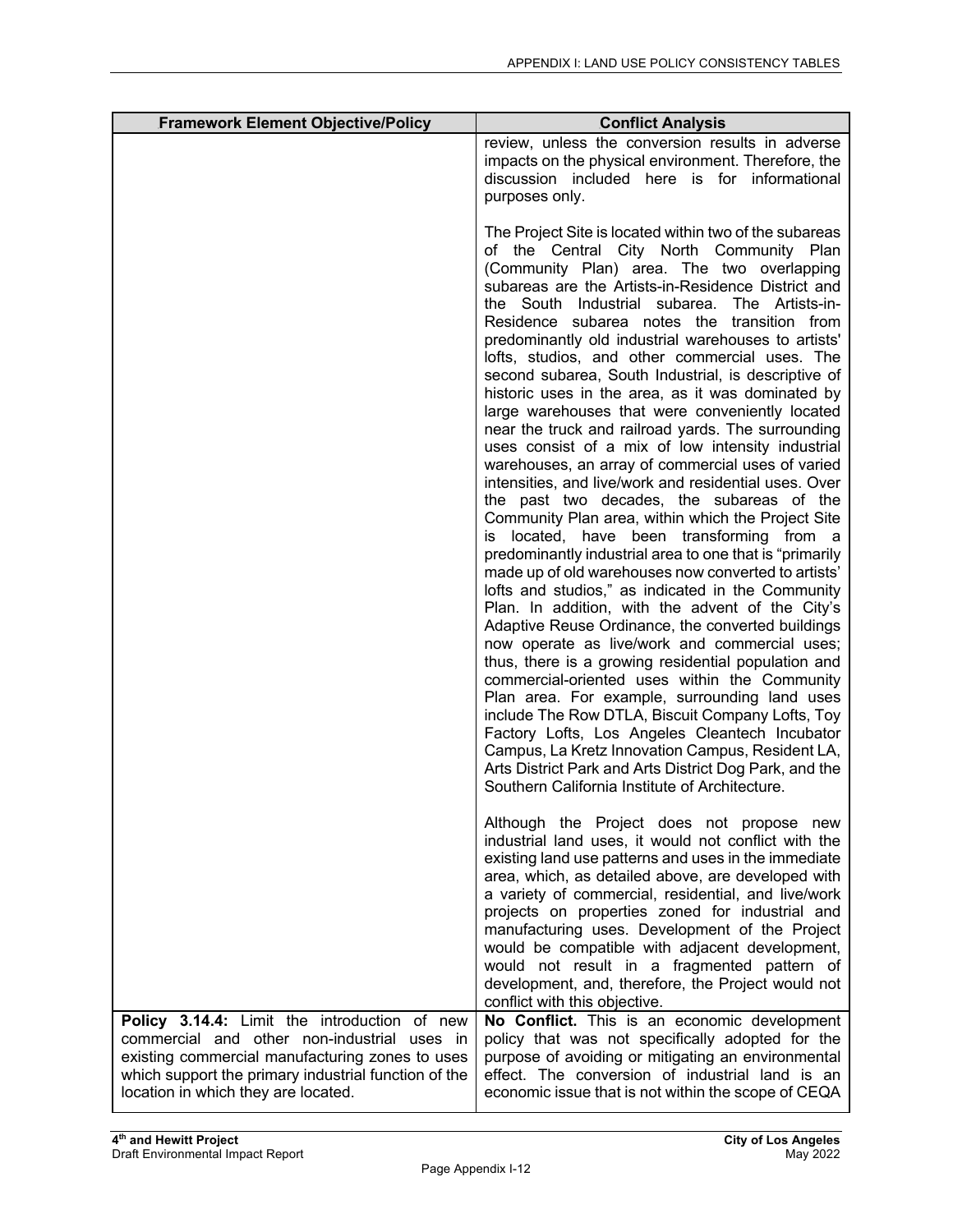| <b>Framework Element Objective/Policy</b>                                                                                                                                                                                                     | <b>Conflict Analysis</b>                                                                                                                                                                                                                                                                                                                                                                                                                                                                                                                                                                                                                                                                                                                                                                                                                                                                                                                                                                                                                                                                                                                                                                                                                                                                                                                                                                                                                                                                                                                                                                                                                                                                                                |
|-----------------------------------------------------------------------------------------------------------------------------------------------------------------------------------------------------------------------------------------------|-------------------------------------------------------------------------------------------------------------------------------------------------------------------------------------------------------------------------------------------------------------------------------------------------------------------------------------------------------------------------------------------------------------------------------------------------------------------------------------------------------------------------------------------------------------------------------------------------------------------------------------------------------------------------------------------------------------------------------------------------------------------------------------------------------------------------------------------------------------------------------------------------------------------------------------------------------------------------------------------------------------------------------------------------------------------------------------------------------------------------------------------------------------------------------------------------------------------------------------------------------------------------------------------------------------------------------------------------------------------------------------------------------------------------------------------------------------------------------------------------------------------------------------------------------------------------------------------------------------------------------------------------------------------------------------------------------------------------|
|                                                                                                                                                                                                                                               | review, unless the conversion results in adverse<br>impacts on the physical environment. Therefore, the<br>discussion included here is for informational<br>purposes only.                                                                                                                                                                                                                                                                                                                                                                                                                                                                                                                                                                                                                                                                                                                                                                                                                                                                                                                                                                                                                                                                                                                                                                                                                                                                                                                                                                                                                                                                                                                                              |
|                                                                                                                                                                                                                                               | The Project Site is located within two of the subareas<br>of the Central City North Community Plan<br>(Community Plan) area. The two overlapping<br>subareas are the Artists-in-Residence District and<br>the South Industrial subarea. The Artists-in-<br>Residence subarea notes the transition from<br>predominantly old industrial warehouses to artists'<br>lofts, studios, and other commercial uses. The<br>second subarea, South Industrial, is descriptive of<br>historic uses in the area, as it was dominated by<br>large warehouses that were conveniently located<br>near the truck and railroad yards. The surrounding<br>uses consist of a mix of low intensity industrial<br>warehouses, an array of commercial uses of varied<br>intensities, and live/work and residential uses. Over<br>the past two decades, the subareas of the<br>Community Plan area, within which the Project Site<br>is located, have been transforming from a<br>predominantly industrial area to one that is "primarily<br>made up of old warehouses now converted to artists'<br>lofts and studios," as indicated in the Community<br>Plan. In addition, with the advent of the City's<br>Adaptive Reuse Ordinance, the converted buildings<br>now operate as live/work and commercial uses;<br>thus, there is a growing residential population and<br>commercial-oriented uses within the Community<br>Plan area. For example, surrounding land uses<br>include The Row DTLA, Biscuit Company Lofts, Toy<br>Factory Lofts, Los Angeles Cleantech Incubator<br>Campus, La Kretz Innovation Campus, Resident LA,<br>Arts District Park and Arts District Dog Park, and the<br>Southern California Institute of Architecture. |
| Policy 3.14.4: Limit the introduction of new<br>commercial and other non-industrial uses in<br>existing commercial manufacturing zones to uses<br>which support the primary industrial function of the<br>location in which they are located. | Although the Project does not propose new<br>industrial land uses, it would not conflict with the<br>existing land use patterns and uses in the immediate<br>area, which, as detailed above, are developed with<br>a variety of commercial, residential, and live/work<br>projects on properties zoned for industrial and<br>manufacturing uses. Development of the Project<br>would be compatible with adjacent development,<br>would not result in a fragmented pattern of<br>development, and, therefore, the Project would not<br>conflict with this objective.<br>No Conflict. This is an economic development<br>policy that was not specifically adopted for the<br>purpose of avoiding or mitigating an environmental<br>effect. The conversion of industrial land is an<br>economic issue that is not within the scope of CEQA                                                                                                                                                                                                                                                                                                                                                                                                                                                                                                                                                                                                                                                                                                                                                                                                                                                                                 |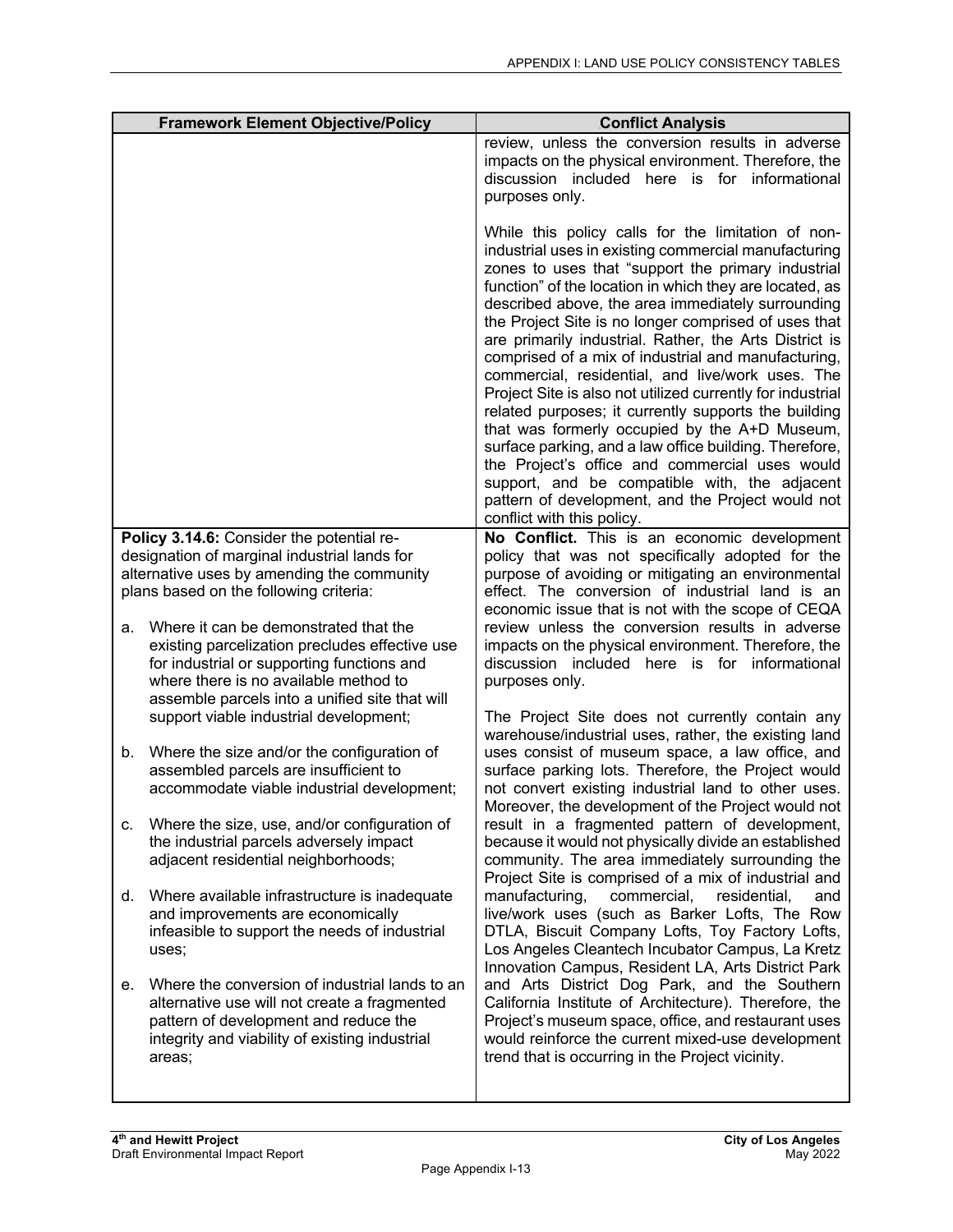|    | <b>Framework Element Objective/Policy</b>                                                                                                                                                                                        | <b>Conflict Analysis</b>                                                                                                                                                                                                                                                                                                                                                                                                                                                                                                                                                                                                                                                                                                                                                                                                                                                                                                             |
|----|----------------------------------------------------------------------------------------------------------------------------------------------------------------------------------------------------------------------------------|--------------------------------------------------------------------------------------------------------------------------------------------------------------------------------------------------------------------------------------------------------------------------------------------------------------------------------------------------------------------------------------------------------------------------------------------------------------------------------------------------------------------------------------------------------------------------------------------------------------------------------------------------------------------------------------------------------------------------------------------------------------------------------------------------------------------------------------------------------------------------------------------------------------------------------------|
|    |                                                                                                                                                                                                                                  | review, unless the conversion results in adverse<br>impacts on the physical environment. Therefore, the<br>discussion included here is for informational<br>purposes only.                                                                                                                                                                                                                                                                                                                                                                                                                                                                                                                                                                                                                                                                                                                                                           |
|    |                                                                                                                                                                                                                                  | While this policy calls for the limitation of non-<br>industrial uses in existing commercial manufacturing<br>zones to uses that "support the primary industrial<br>function" of the location in which they are located, as<br>described above, the area immediately surrounding<br>the Project Site is no longer comprised of uses that<br>are primarily industrial. Rather, the Arts District is<br>comprised of a mix of industrial and manufacturing,<br>commercial, residential, and live/work uses. The<br>Project Site is also not utilized currently for industrial<br>related purposes; it currently supports the building<br>that was formerly occupied by the A+D Museum,<br>surface parking, and a law office building. Therefore,<br>the Project's office and commercial uses would<br>support, and be compatible with, the adjacent<br>pattern of development, and the Project would not<br>conflict with this policy. |
|    | Policy 3.14.6: Consider the potential re-<br>designation of marginal industrial lands for<br>alternative uses by amending the community                                                                                          | No Conflict. This is an economic development<br>policy that was not specifically adopted for the<br>purpose of avoiding or mitigating an environmental                                                                                                                                                                                                                                                                                                                                                                                                                                                                                                                                                                                                                                                                                                                                                                               |
|    | plans based on the following criteria:                                                                                                                                                                                           | effect. The conversion of industrial land is an                                                                                                                                                                                                                                                                                                                                                                                                                                                                                                                                                                                                                                                                                                                                                                                                                                                                                      |
| a. | Where it can be demonstrated that the<br>existing parcelization precludes effective use<br>for industrial or supporting functions and<br>where there is no available method to<br>assemble parcels into a unified site that will | economic issue that is not with the scope of CEQA<br>review unless the conversion results in adverse<br>impacts on the physical environment. Therefore, the<br>discussion included here is for informational<br>purposes only.                                                                                                                                                                                                                                                                                                                                                                                                                                                                                                                                                                                                                                                                                                       |
|    | support viable industrial development;                                                                                                                                                                                           | The Project Site does not currently contain any                                                                                                                                                                                                                                                                                                                                                                                                                                                                                                                                                                                                                                                                                                                                                                                                                                                                                      |
| b. | Where the size and/or the configuration of<br>assembled parcels are insufficient to<br>accommodate viable industrial development;                                                                                                | warehouse/industrial uses, rather, the existing land<br>uses consist of museum space, a law office, and<br>surface parking lots. Therefore, the Project would<br>not convert existing industrial land to other uses.<br>Moreover, the development of the Project would not                                                                                                                                                                                                                                                                                                                                                                                                                                                                                                                                                                                                                                                           |
| c. | Where the size, use, and/or configuration of<br>the industrial parcels adversely impact<br>adjacent residential neighborhoods;                                                                                                   | result in a fragmented pattern of development,<br>because it would not physically divide an established<br>community. The area immediately surrounding the<br>Project Site is comprised of a mix of industrial and                                                                                                                                                                                                                                                                                                                                                                                                                                                                                                                                                                                                                                                                                                                   |
| d. | Where available infrastructure is inadequate<br>and improvements are economically<br>infeasible to support the needs of industrial<br>uses;                                                                                      | manufacturing,<br>commercial,<br>residential,<br>and<br>live/work uses (such as Barker Lofts, The Row<br>DTLA, Biscuit Company Lofts, Toy Factory Lofts,<br>Los Angeles Cleantech Incubator Campus, La Kretz<br>Innovation Campus, Resident LA, Arts District Park                                                                                                                                                                                                                                                                                                                                                                                                                                                                                                                                                                                                                                                                   |
| е. | Where the conversion of industrial lands to an<br>alternative use will not create a fragmented<br>pattern of development and reduce the<br>integrity and viability of existing industrial<br>areas;                              | and Arts District Dog Park, and the Southern<br>California Institute of Architecture). Therefore, the<br>Project's museum space, office, and restaurant uses<br>would reinforce the current mixed-use development<br>trend that is occurring in the Project vicinity.                                                                                                                                                                                                                                                                                                                                                                                                                                                                                                                                                                                                                                                                |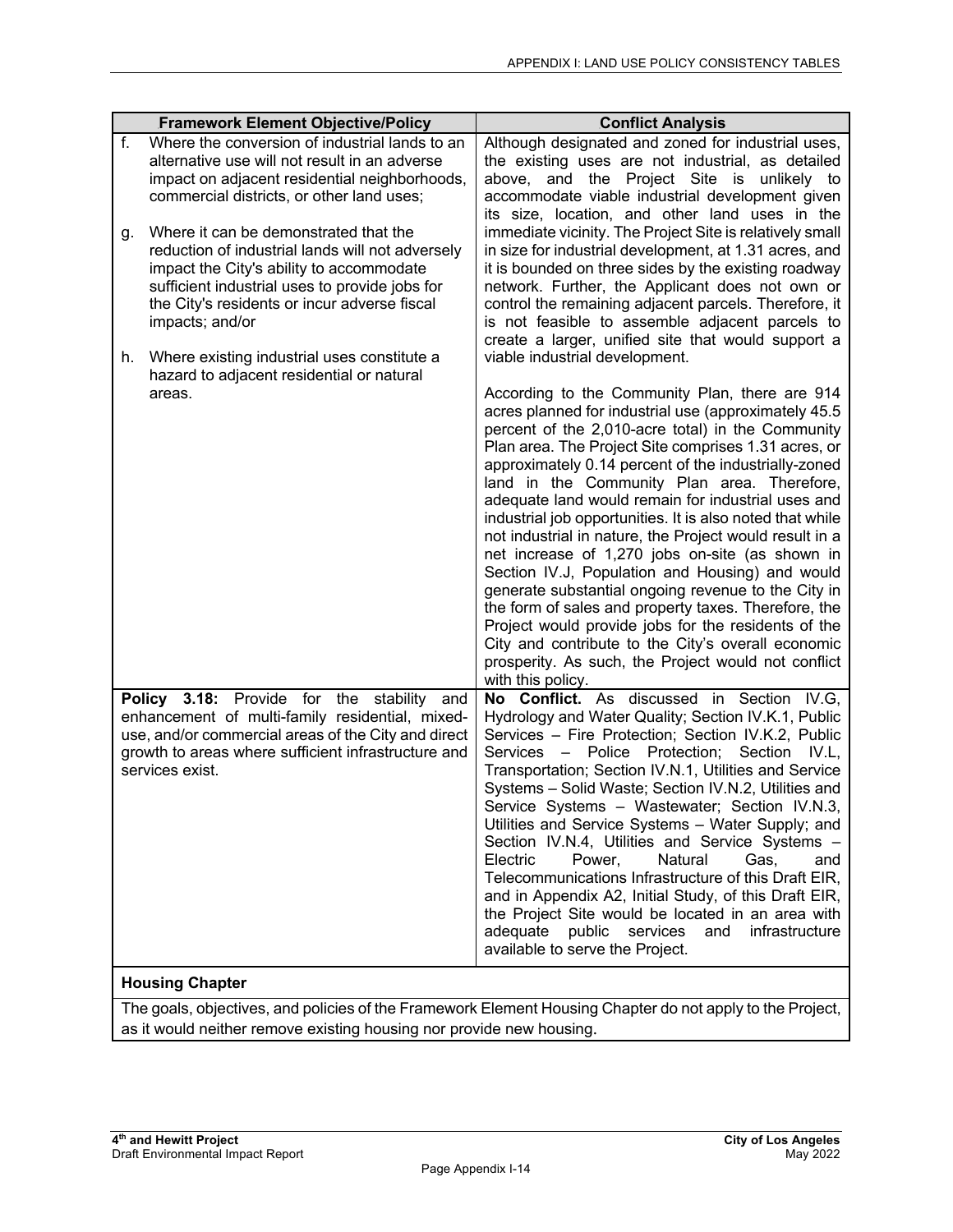| <b>Framework Element Objective/Policy</b>                                                                                                                                                                                                                                                                                                                                                                                                                                                                                    | <b>Conflict Analysis</b>                                                                                                                                                                                                                                                                                                                                                                                                                                                                                                                                                                                                                                                                                                                                                                                                                                                                                               |  |
|------------------------------------------------------------------------------------------------------------------------------------------------------------------------------------------------------------------------------------------------------------------------------------------------------------------------------------------------------------------------------------------------------------------------------------------------------------------------------------------------------------------------------|------------------------------------------------------------------------------------------------------------------------------------------------------------------------------------------------------------------------------------------------------------------------------------------------------------------------------------------------------------------------------------------------------------------------------------------------------------------------------------------------------------------------------------------------------------------------------------------------------------------------------------------------------------------------------------------------------------------------------------------------------------------------------------------------------------------------------------------------------------------------------------------------------------------------|--|
| Where the conversion of industrial lands to an<br>f.<br>alternative use will not result in an adverse<br>impact on adjacent residential neighborhoods,<br>commercial districts, or other land uses;<br>Where it can be demonstrated that the<br>g.<br>reduction of industrial lands will not adversely<br>impact the City's ability to accommodate<br>sufficient industrial uses to provide jobs for<br>the City's residents or incur adverse fiscal<br>impacts; and/or<br>Where existing industrial uses constitute a<br>h. | Although designated and zoned for industrial uses,<br>the existing uses are not industrial, as detailed<br>above, and the Project Site is unlikely to<br>accommodate viable industrial development given<br>its size, location, and other land uses in the<br>immediate vicinity. The Project Site is relatively small<br>in size for industrial development, at 1.31 acres, and<br>it is bounded on three sides by the existing roadway<br>network. Further, the Applicant does not own or<br>control the remaining adjacent parcels. Therefore, it<br>is not feasible to assemble adjacent parcels to<br>create a larger, unified site that would support a<br>viable industrial development.                                                                                                                                                                                                                        |  |
| hazard to adjacent residential or natural<br>areas.                                                                                                                                                                                                                                                                                                                                                                                                                                                                          | According to the Community Plan, there are 914<br>acres planned for industrial use (approximately 45.5<br>percent of the 2,010-acre total) in the Community<br>Plan area. The Project Site comprises 1.31 acres, or<br>approximately 0.14 percent of the industrially-zoned<br>land in the Community Plan area. Therefore,<br>adequate land would remain for industrial uses and<br>industrial job opportunities. It is also noted that while<br>not industrial in nature, the Project would result in a<br>net increase of 1,270 jobs on-site (as shown in<br>Section IV.J, Population and Housing) and would<br>generate substantial ongoing revenue to the City in<br>the form of sales and property taxes. Therefore, the<br>Project would provide jobs for the residents of the<br>City and contribute to the City's overall economic<br>prosperity. As such, the Project would not conflict<br>with this policy. |  |
| <b>Policy 3.18:</b> Provide for the stability<br>and<br>enhancement of multi-family residential, mixed-<br>use, and/or commercial areas of the City and direct<br>growth to areas where sufficient infrastructure and<br>services exist.                                                                                                                                                                                                                                                                                     | No Conflict. As discussed in Section IV.G,<br>Hydrology and Water Quality; Section IV.K.1, Public<br>Services - Fire Protection; Section IV.K.2, Public<br>Services - Police Protection; Section IV.L,<br>Transportation; Section IV.N.1, Utilities and Service<br>Systems - Solid Waste; Section IV.N.2, Utilities and<br>Service Systems - Wastewater; Section IV.N.3,<br>Utilities and Service Systems - Water Supply; and<br>Section IV.N.4, Utilities and Service Systems -<br>Electric<br>Power,<br>Natural<br>Gas,<br>and<br>Telecommunications Infrastructure of this Draft EIR,<br>and in Appendix A2, Initial Study, of this Draft EIR,<br>the Project Site would be located in an area with<br>adequate<br>public services<br>and<br>infrastructure<br>available to serve the Project.                                                                                                                      |  |
| <b>Housing Chapter</b>                                                                                                                                                                                                                                                                                                                                                                                                                                                                                                       |                                                                                                                                                                                                                                                                                                                                                                                                                                                                                                                                                                                                                                                                                                                                                                                                                                                                                                                        |  |
|                                                                                                                                                                                                                                                                                                                                                                                                                                                                                                                              | The goals, objectives, and policies of the Framework Element Housing Chapter do not apply to the Project,                                                                                                                                                                                                                                                                                                                                                                                                                                                                                                                                                                                                                                                                                                                                                                                                              |  |

as it would neither remove existing housing nor provide new housing.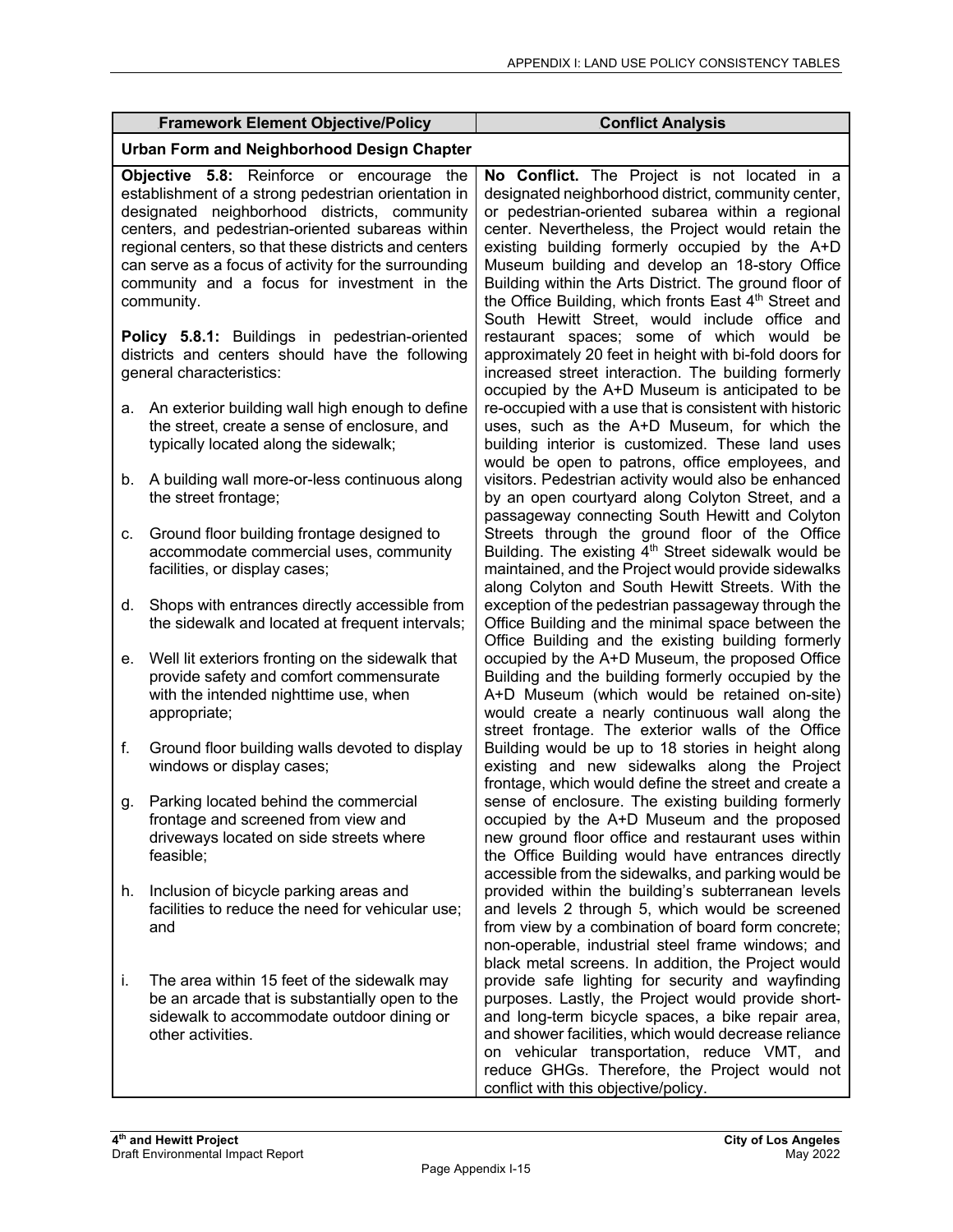|    | <b>Framework Element Objective/Policy</b>                                                                                                                                                                                                                                                                                                                                               | <b>Conflict Analysis</b>                                                                                                                                                                                                                                                                                                                                                                                                                                                                       |
|----|-----------------------------------------------------------------------------------------------------------------------------------------------------------------------------------------------------------------------------------------------------------------------------------------------------------------------------------------------------------------------------------------|------------------------------------------------------------------------------------------------------------------------------------------------------------------------------------------------------------------------------------------------------------------------------------------------------------------------------------------------------------------------------------------------------------------------------------------------------------------------------------------------|
|    | <b>Urban Form and Neighborhood Design Chapter</b>                                                                                                                                                                                                                                                                                                                                       |                                                                                                                                                                                                                                                                                                                                                                                                                                                                                                |
|    | Objective 5.8: Reinforce or encourage the                                                                                                                                                                                                                                                                                                                                               | No Conflict. The Project is not located in a                                                                                                                                                                                                                                                                                                                                                                                                                                                   |
|    | establishment of a strong pedestrian orientation in<br>designated neighborhood districts, community<br>centers, and pedestrian-oriented subareas within<br>regional centers, so that these districts and centers<br>can serve as a focus of activity for the surrounding<br>community and a focus for investment in the<br>community.<br>Policy 5.8.1: Buildings in pedestrian-oriented | designated neighborhood district, community center,<br>or pedestrian-oriented subarea within a regional<br>center. Nevertheless, the Project would retain the<br>existing building formerly occupied by the A+D<br>Museum building and develop an 18-story Office<br>Building within the Arts District. The ground floor of<br>the Office Building, which fronts East 4 <sup>th</sup> Street and<br>South Hewitt Street, would include office and<br>restaurant spaces; some of which would be |
|    | districts and centers should have the following<br>general characteristics:                                                                                                                                                                                                                                                                                                             | approximately 20 feet in height with bi-fold doors for<br>increased street interaction. The building formerly<br>occupied by the A+D Museum is anticipated to be                                                                                                                                                                                                                                                                                                                               |
| а. | An exterior building wall high enough to define<br>the street, create a sense of enclosure, and<br>typically located along the sidewalk;                                                                                                                                                                                                                                                | re-occupied with a use that is consistent with historic<br>uses, such as the A+D Museum, for which the<br>building interior is customized. These land uses<br>would be open to patrons, office employees, and                                                                                                                                                                                                                                                                                  |
| b. | A building wall more-or-less continuous along<br>the street frontage;                                                                                                                                                                                                                                                                                                                   | visitors. Pedestrian activity would also be enhanced<br>by an open courtyard along Colyton Street, and a<br>passageway connecting South Hewitt and Colyton                                                                                                                                                                                                                                                                                                                                     |
| c. | Ground floor building frontage designed to<br>accommodate commercial uses, community<br>facilities, or display cases;                                                                                                                                                                                                                                                                   | Streets through the ground floor of the Office<br>Building. The existing 4 <sup>th</sup> Street sidewalk would be<br>maintained, and the Project would provide sidewalks<br>along Colyton and South Hewitt Streets. With the                                                                                                                                                                                                                                                                   |
| d. | Shops with entrances directly accessible from<br>the sidewalk and located at frequent intervals;                                                                                                                                                                                                                                                                                        | exception of the pedestrian passageway through the<br>Office Building and the minimal space between the<br>Office Building and the existing building formerly                                                                                                                                                                                                                                                                                                                                  |
| е. | Well lit exteriors fronting on the sidewalk that<br>provide safety and comfort commensurate<br>with the intended nighttime use, when<br>appropriate;                                                                                                                                                                                                                                    | occupied by the A+D Museum, the proposed Office<br>Building and the building formerly occupied by the<br>A+D Museum (which would be retained on-site)<br>would create a nearly continuous wall along the<br>street frontage. The exterior walls of the Office                                                                                                                                                                                                                                  |
| f. | Ground floor building walls devoted to display<br>windows or display cases;                                                                                                                                                                                                                                                                                                             | Building would be up to 18 stories in height along<br>existing and new sidewalks along the Project<br>frontage, which would define the street and create a                                                                                                                                                                                                                                                                                                                                     |
| g. | Parking located behind the commercial<br>frontage and screened from view and<br>driveways located on side streets where<br>feasible;                                                                                                                                                                                                                                                    | sense of enclosure. The existing building formerly<br>occupied by the A+D Museum and the proposed<br>new ground floor office and restaurant uses within<br>the Office Building would have entrances directly<br>accessible from the sidewalks, and parking would be                                                                                                                                                                                                                            |
| h. | Inclusion of bicycle parking areas and<br>facilities to reduce the need for vehicular use;<br>and                                                                                                                                                                                                                                                                                       | provided within the building's subterranean levels<br>and levels 2 through 5, which would be screened<br>from view by a combination of board form concrete;<br>non-operable, industrial steel frame windows; and<br>black metal screens. In addition, the Project would                                                                                                                                                                                                                        |
| i. | The area within 15 feet of the sidewalk may<br>be an arcade that is substantially open to the<br>sidewalk to accommodate outdoor dining or<br>other activities.                                                                                                                                                                                                                         | provide safe lighting for security and wayfinding<br>purposes. Lastly, the Project would provide short-<br>and long-term bicycle spaces, a bike repair area,<br>and shower facilities, which would decrease reliance<br>on vehicular transportation, reduce VMT, and<br>reduce GHGs. Therefore, the Project would not<br>conflict with this objective/policy.                                                                                                                                  |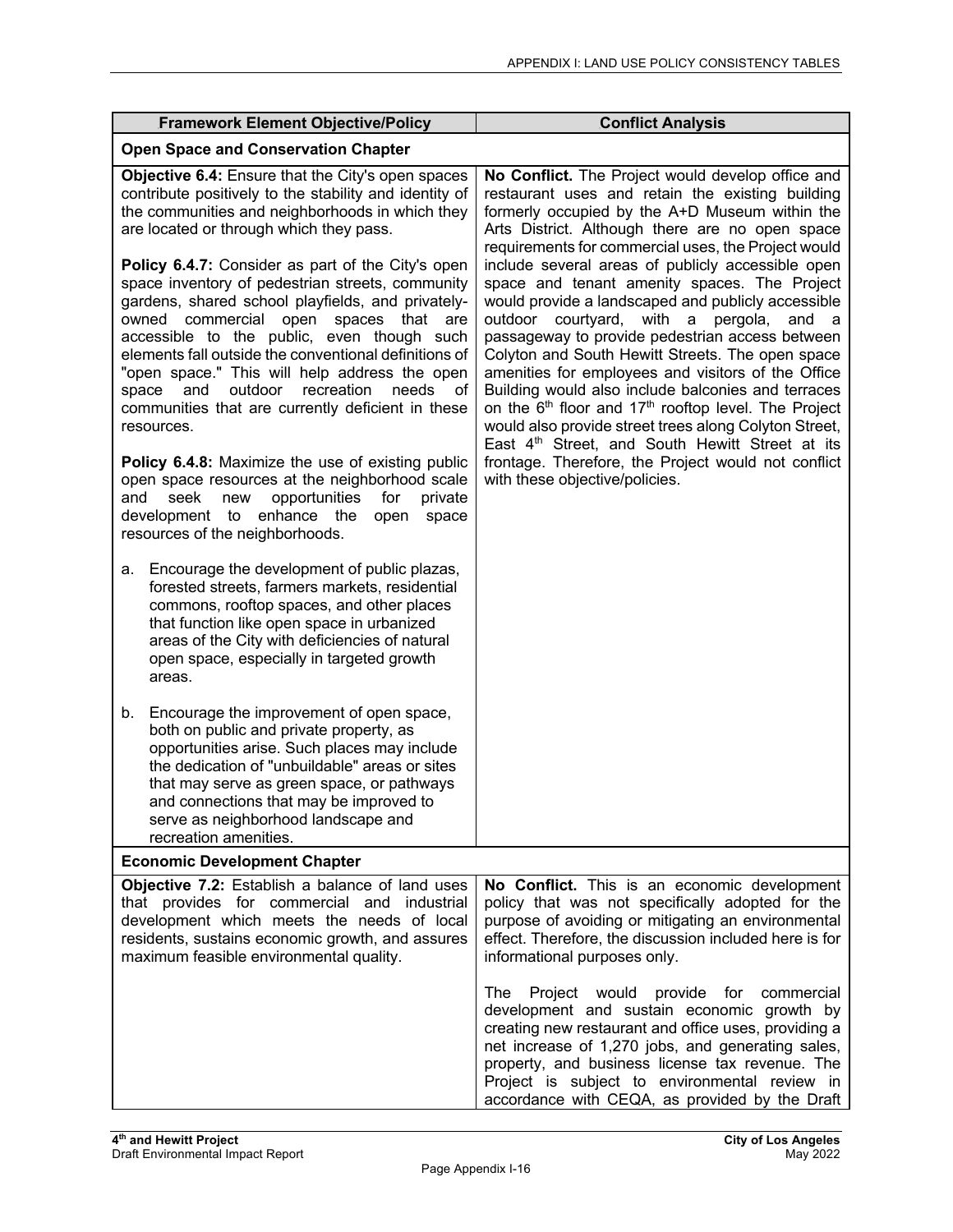| <b>Framework Element Objective/Policy</b>                                                                                                                                                                                                                                                                                                                                                                                                                                                                                                                                                         | <b>Conflict Analysis</b>                                                                                                                                                                                                                                                                                                                                                                                                                                                                                                                                                                                                                                                                                                                                                          |
|---------------------------------------------------------------------------------------------------------------------------------------------------------------------------------------------------------------------------------------------------------------------------------------------------------------------------------------------------------------------------------------------------------------------------------------------------------------------------------------------------------------------------------------------------------------------------------------------------|-----------------------------------------------------------------------------------------------------------------------------------------------------------------------------------------------------------------------------------------------------------------------------------------------------------------------------------------------------------------------------------------------------------------------------------------------------------------------------------------------------------------------------------------------------------------------------------------------------------------------------------------------------------------------------------------------------------------------------------------------------------------------------------|
| <b>Open Space and Conservation Chapter</b>                                                                                                                                                                                                                                                                                                                                                                                                                                                                                                                                                        |                                                                                                                                                                                                                                                                                                                                                                                                                                                                                                                                                                                                                                                                                                                                                                                   |
| Objective 6.4: Ensure that the City's open spaces<br>contribute positively to the stability and identity of<br>the communities and neighborhoods in which they<br>are located or through which they pass.                                                                                                                                                                                                                                                                                                                                                                                         | No Conflict. The Project would develop office and<br>restaurant uses and retain the existing building<br>formerly occupied by the A+D Museum within the<br>Arts District. Although there are no open space                                                                                                                                                                                                                                                                                                                                                                                                                                                                                                                                                                        |
| <b>Policy 6.4.7:</b> Consider as part of the City's open<br>space inventory of pedestrian streets, community<br>gardens, shared school playfields, and privately-<br>owned commercial open<br>spaces that are<br>accessible to the public, even though such<br>elements fall outside the conventional definitions of<br>"open space." This will help address the open<br>outdoor recreation<br>needs<br>space and<br>of<br>communities that are currently deficient in these<br>resources.<br>Policy 6.4.8: Maximize the use of existing public<br>open space resources at the neighborhood scale | requirements for commercial uses, the Project would<br>include several areas of publicly accessible open<br>space and tenant amenity spaces. The Project<br>would provide a landscaped and publicly accessible<br>outdoor courtyard, with a pergola,<br>and a<br>passageway to provide pedestrian access between<br>Colyton and South Hewitt Streets. The open space<br>amenities for employees and visitors of the Office<br>Building would also include balconies and terraces<br>on the 6 <sup>th</sup> floor and 17 <sup>th</sup> rooftop level. The Project<br>would also provide street trees along Colyton Street,<br>East 4 <sup>th</sup> Street, and South Hewitt Street at its<br>frontage. Therefore, the Project would not conflict<br>with these objective/policies. |
| seek<br>opportunities<br>for<br>private<br>and<br>new<br>development to enhance the<br>open<br>space<br>resources of the neighborhoods.                                                                                                                                                                                                                                                                                                                                                                                                                                                           |                                                                                                                                                                                                                                                                                                                                                                                                                                                                                                                                                                                                                                                                                                                                                                                   |
| Encourage the development of public plazas,<br>а.<br>forested streets, farmers markets, residential<br>commons, rooftop spaces, and other places<br>that function like open space in urbanized<br>areas of the City with deficiencies of natural<br>open space, especially in targeted growth<br>areas.                                                                                                                                                                                                                                                                                           |                                                                                                                                                                                                                                                                                                                                                                                                                                                                                                                                                                                                                                                                                                                                                                                   |
| b.<br>Encourage the improvement of open space,<br>both on public and private property, as<br>opportunities arise. Such places may include<br>the dedication of "unbuildable" areas or sites<br>that may serve as green space, or pathways<br>and connections that may be improved to<br>serve as neighborhood landscape and<br>recreation amenities.                                                                                                                                                                                                                                              |                                                                                                                                                                                                                                                                                                                                                                                                                                                                                                                                                                                                                                                                                                                                                                                   |
| <b>Economic Development Chapter</b>                                                                                                                                                                                                                                                                                                                                                                                                                                                                                                                                                               |                                                                                                                                                                                                                                                                                                                                                                                                                                                                                                                                                                                                                                                                                                                                                                                   |
| Objective 7.2: Establish a balance of land uses<br>that provides for commercial and industrial<br>development which meets the needs of local<br>residents, sustains economic growth, and assures<br>maximum feasible environmental quality.                                                                                                                                                                                                                                                                                                                                                       | No Conflict. This is an economic development<br>policy that was not specifically adopted for the<br>purpose of avoiding or mitigating an environmental<br>effect. Therefore, the discussion included here is for<br>informational purposes only.                                                                                                                                                                                                                                                                                                                                                                                                                                                                                                                                  |
|                                                                                                                                                                                                                                                                                                                                                                                                                                                                                                                                                                                                   | Project would<br>provide for<br>The<br>commercial<br>development and sustain economic growth by<br>creating new restaurant and office uses, providing a<br>net increase of 1,270 jobs, and generating sales,<br>property, and business license tax revenue. The<br>Project is subject to environmental review in<br>accordance with CEQA, as provided by the Draft                                                                                                                                                                                                                                                                                                                                                                                                                |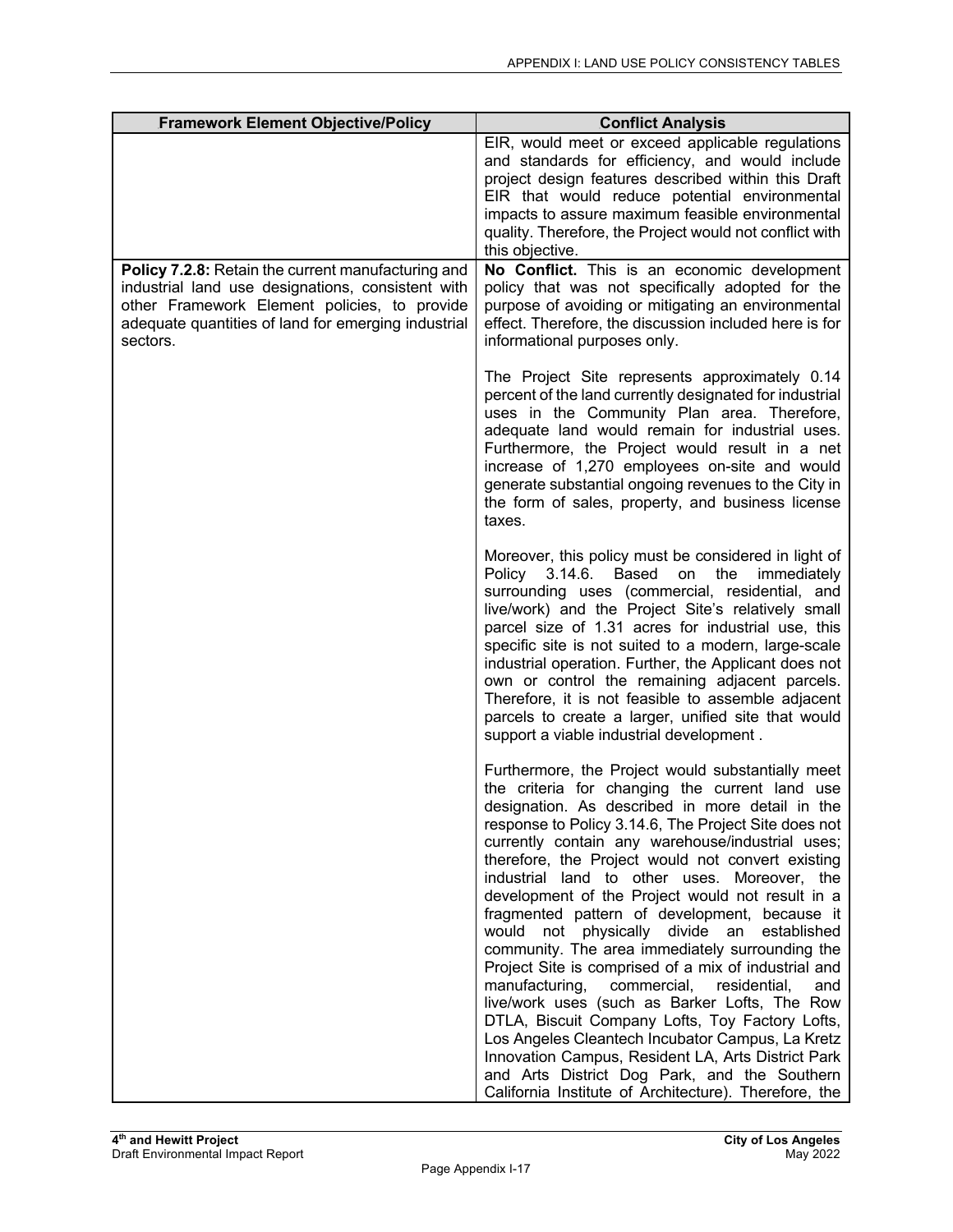| <b>Framework Element Objective/Policy</b>                                                                                                                                                                                  | <b>Conflict Analysis</b>                                                                                                                                                                                                                                                                                                                                                                                                                                                                                                                                                                                                                                                                                                                                                                                                                                                                                                                                                                                       |
|----------------------------------------------------------------------------------------------------------------------------------------------------------------------------------------------------------------------------|----------------------------------------------------------------------------------------------------------------------------------------------------------------------------------------------------------------------------------------------------------------------------------------------------------------------------------------------------------------------------------------------------------------------------------------------------------------------------------------------------------------------------------------------------------------------------------------------------------------------------------------------------------------------------------------------------------------------------------------------------------------------------------------------------------------------------------------------------------------------------------------------------------------------------------------------------------------------------------------------------------------|
|                                                                                                                                                                                                                            | EIR, would meet or exceed applicable regulations<br>and standards for efficiency, and would include<br>project design features described within this Draft<br>EIR that would reduce potential environmental<br>impacts to assure maximum feasible environmental<br>quality. Therefore, the Project would not conflict with<br>this objective.                                                                                                                                                                                                                                                                                                                                                                                                                                                                                                                                                                                                                                                                  |
| Policy 7.2.8: Retain the current manufacturing and<br>industrial land use designations, consistent with<br>other Framework Element policies, to provide<br>adequate quantities of land for emerging industrial<br>sectors. | No Conflict. This is an economic development<br>policy that was not specifically adopted for the<br>purpose of avoiding or mitigating an environmental<br>effect. Therefore, the discussion included here is for<br>informational purposes only.                                                                                                                                                                                                                                                                                                                                                                                                                                                                                                                                                                                                                                                                                                                                                               |
|                                                                                                                                                                                                                            | The Project Site represents approximately 0.14<br>percent of the land currently designated for industrial<br>uses in the Community Plan area. Therefore,<br>adequate land would remain for industrial uses.<br>Furthermore, the Project would result in a net<br>increase of 1,270 employees on-site and would<br>generate substantial ongoing revenues to the City in<br>the form of sales, property, and business license<br>taxes.                                                                                                                                                                                                                                                                                                                                                                                                                                                                                                                                                                          |
|                                                                                                                                                                                                                            | Moreover, this policy must be considered in light of<br>Policy 3.14.6.<br>Based<br>on the<br>immediately<br>surrounding uses (commercial, residential, and<br>live/work) and the Project Site's relatively small<br>parcel size of 1.31 acres for industrial use, this<br>specific site is not suited to a modern, large-scale<br>industrial operation. Further, the Applicant does not<br>own or control the remaining adjacent parcels.<br>Therefore, it is not feasible to assemble adjacent<br>parcels to create a larger, unified site that would<br>support a viable industrial development.                                                                                                                                                                                                                                                                                                                                                                                                             |
|                                                                                                                                                                                                                            | Furthermore, the Project would substantially meet<br>the criteria for changing the current land use<br>designation. As described in more detail in the<br>response to Policy 3.14.6, The Project Site does not<br>currently contain any warehouse/industrial uses;<br>therefore, the Project would not convert existing<br>industrial land to other uses. Moreover, the<br>development of the Project would not result in a<br>fragmented pattern of development, because it<br>would not physically divide an established<br>community. The area immediately surrounding the<br>Project Site is comprised of a mix of industrial and<br>manufacturing, commercial, residential,<br>and<br>live/work uses (such as Barker Lofts, The Row<br>DTLA, Biscuit Company Lofts, Toy Factory Lofts,<br>Los Angeles Cleantech Incubator Campus, La Kretz<br>Innovation Campus, Resident LA, Arts District Park<br>and Arts District Dog Park, and the Southern<br>California Institute of Architecture). Therefore, the |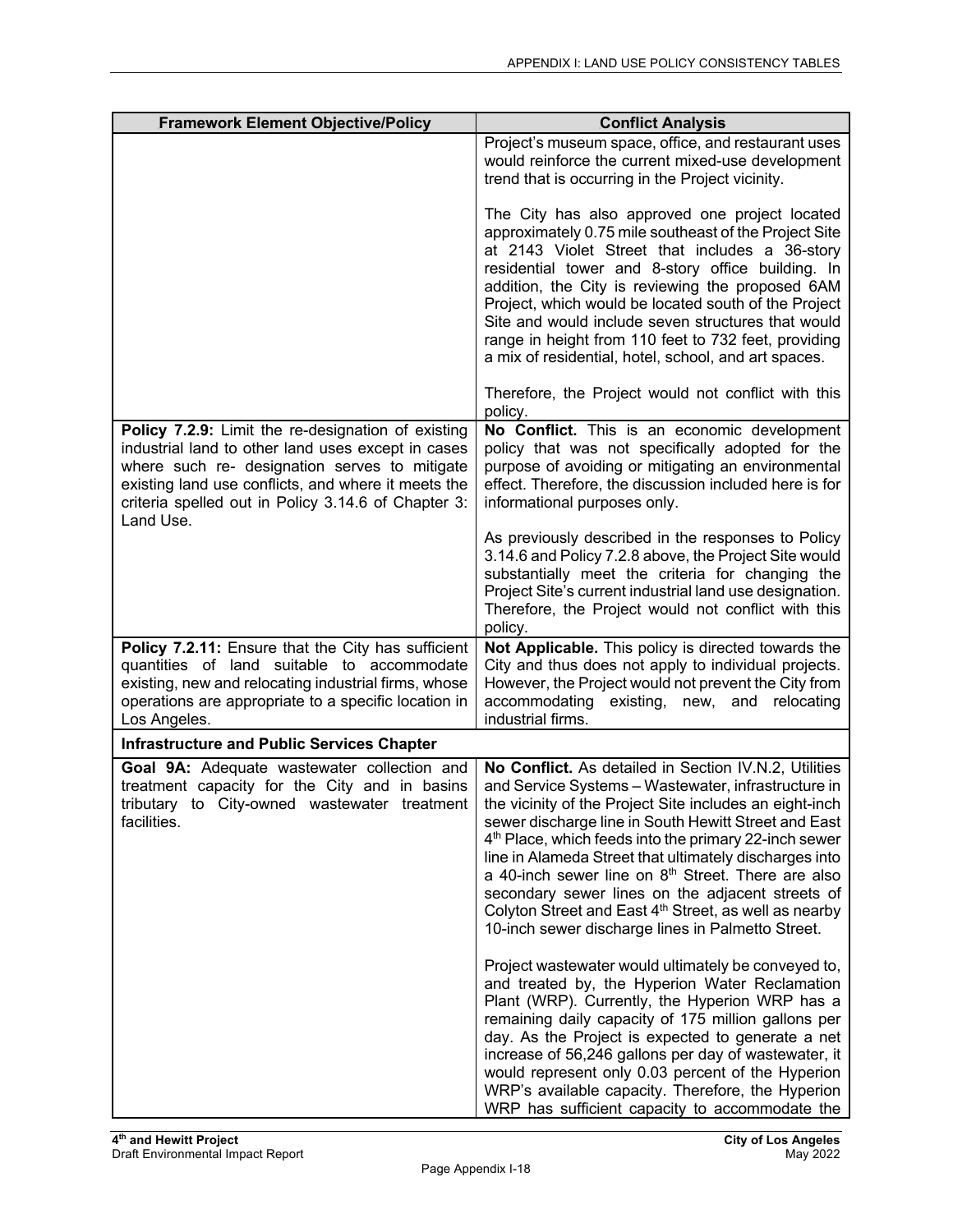| <b>Framework Element Objective/Policy</b>                                                                                                                                                                                                                                            | <b>Conflict Analysis</b>                                                                                                                                                                                                                                                                                                                                                                                                                                                                                                                                                                                       |
|--------------------------------------------------------------------------------------------------------------------------------------------------------------------------------------------------------------------------------------------------------------------------------------|----------------------------------------------------------------------------------------------------------------------------------------------------------------------------------------------------------------------------------------------------------------------------------------------------------------------------------------------------------------------------------------------------------------------------------------------------------------------------------------------------------------------------------------------------------------------------------------------------------------|
|                                                                                                                                                                                                                                                                                      | Project's museum space, office, and restaurant uses<br>would reinforce the current mixed-use development<br>trend that is occurring in the Project vicinity.                                                                                                                                                                                                                                                                                                                                                                                                                                                   |
|                                                                                                                                                                                                                                                                                      | The City has also approved one project located<br>approximately 0.75 mile southeast of the Project Site<br>at 2143 Violet Street that includes a 36-story<br>residential tower and 8-story office building. In<br>addition, the City is reviewing the proposed 6AM<br>Project, which would be located south of the Project<br>Site and would include seven structures that would<br>range in height from 110 feet to 732 feet, providing<br>a mix of residential, hotel, school, and art spaces.                                                                                                               |
|                                                                                                                                                                                                                                                                                      | Therefore, the Project would not conflict with this<br>policy.                                                                                                                                                                                                                                                                                                                                                                                                                                                                                                                                                 |
| Policy 7.2.9: Limit the re-designation of existing<br>industrial land to other land uses except in cases<br>where such re- designation serves to mitigate<br>existing land use conflicts, and where it meets the<br>criteria spelled out in Policy 3.14.6 of Chapter 3:<br>Land Use. | No Conflict. This is an economic development<br>policy that was not specifically adopted for the<br>purpose of avoiding or mitigating an environmental<br>effect. Therefore, the discussion included here is for<br>informational purposes only.                                                                                                                                                                                                                                                                                                                                                               |
|                                                                                                                                                                                                                                                                                      | As previously described in the responses to Policy<br>3.14.6 and Policy 7.2.8 above, the Project Site would<br>substantially meet the criteria for changing the<br>Project Site's current industrial land use designation.<br>Therefore, the Project would not conflict with this<br>policy.                                                                                                                                                                                                                                                                                                                   |
| Policy 7.2.11: Ensure that the City has sufficient<br>quantities of land suitable to accommodate<br>existing, new and relocating industrial firms, whose<br>operations are appropriate to a specific location in<br>Los Angeles.                                                     | Not Applicable. This policy is directed towards the<br>City and thus does not apply to individual projects.<br>However, the Project would not prevent the City from<br>accommodating existing, new, and relocating<br>industrial firms.                                                                                                                                                                                                                                                                                                                                                                        |
| <b>Infrastructure and Public Services Chapter</b>                                                                                                                                                                                                                                    |                                                                                                                                                                                                                                                                                                                                                                                                                                                                                                                                                                                                                |
| Goal 9A: Adequate wastewater collection and<br>treatment capacity for the City and in basins<br>tributary to City-owned wastewater treatment<br>facilities.                                                                                                                          | No Conflict. As detailed in Section IV.N.2, Utilities<br>and Service Systems - Wastewater, infrastructure in<br>the vicinity of the Project Site includes an eight-inch<br>sewer discharge line in South Hewitt Street and East<br>4 <sup>th</sup> Place, which feeds into the primary 22-inch sewer<br>line in Alameda Street that ultimately discharges into<br>a 40-inch sewer line on 8 <sup>th</sup> Street. There are also<br>secondary sewer lines on the adjacent streets of<br>Colyton Street and East 4 <sup>th</sup> Street, as well as nearby<br>10-inch sewer discharge lines in Palmetto Street. |
|                                                                                                                                                                                                                                                                                      | Project wastewater would ultimately be conveyed to,<br>and treated by, the Hyperion Water Reclamation<br>Plant (WRP). Currently, the Hyperion WRP has a<br>remaining daily capacity of 175 million gallons per<br>day. As the Project is expected to generate a net<br>increase of 56,246 gallons per day of wastewater, it<br>would represent only 0.03 percent of the Hyperion<br>WRP's available capacity. Therefore, the Hyperion<br>WRP has sufficient capacity to accommodate the                                                                                                                        |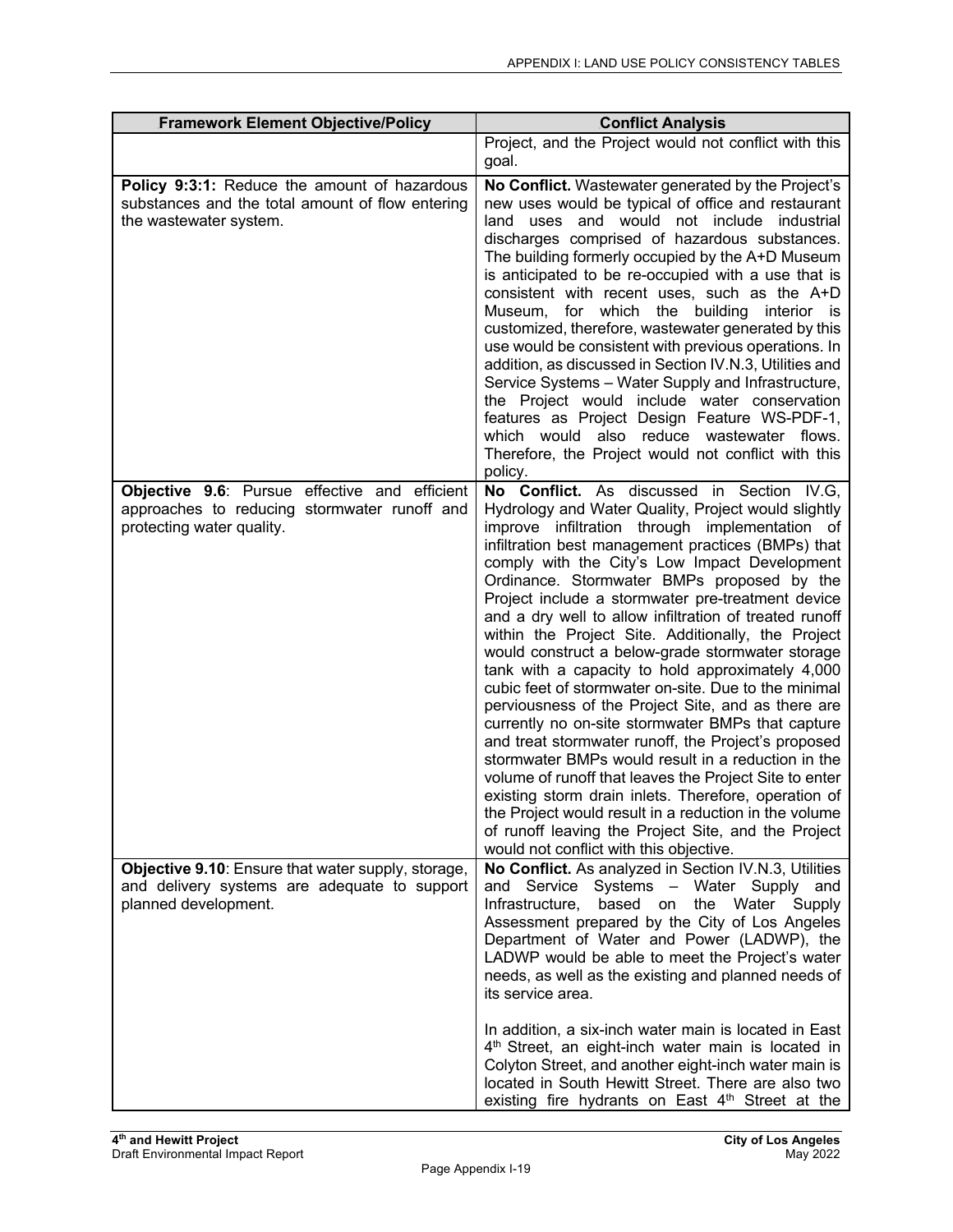| <b>Framework Element Objective/Policy</b>                                                                                  | <b>Conflict Analysis</b>                                                                                                                                                                                                                                                                                                                                                                                                                                                                                                                                                                                                                                                                                                                                                                                                                                                                                                                                                                                                                                                                                                                           |
|----------------------------------------------------------------------------------------------------------------------------|----------------------------------------------------------------------------------------------------------------------------------------------------------------------------------------------------------------------------------------------------------------------------------------------------------------------------------------------------------------------------------------------------------------------------------------------------------------------------------------------------------------------------------------------------------------------------------------------------------------------------------------------------------------------------------------------------------------------------------------------------------------------------------------------------------------------------------------------------------------------------------------------------------------------------------------------------------------------------------------------------------------------------------------------------------------------------------------------------------------------------------------------------|
|                                                                                                                            | Project, and the Project would not conflict with this<br>goal.                                                                                                                                                                                                                                                                                                                                                                                                                                                                                                                                                                                                                                                                                                                                                                                                                                                                                                                                                                                                                                                                                     |
| Policy 9:3:1: Reduce the amount of hazardous<br>substances and the total amount of flow entering<br>the wastewater system. | No Conflict. Wastewater generated by the Project's<br>new uses would be typical of office and restaurant<br>uses and would not include industrial<br>land<br>discharges comprised of hazardous substances.<br>The building formerly occupied by the A+D Museum<br>is anticipated to be re-occupied with a use that is<br>consistent with recent uses, such as the A+D<br>Museum, for which the building interior is<br>customized, therefore, wastewater generated by this<br>use would be consistent with previous operations. In<br>addition, as discussed in Section IV.N.3, Utilities and<br>Service Systems - Water Supply and Infrastructure,<br>the Project would include water conservation<br>features as Project Design Feature WS-PDF-1,<br>which would also reduce wastewater flows.<br>Therefore, the Project would not conflict with this<br>policy.                                                                                                                                                                                                                                                                                 |
| Objective 9.6: Pursue effective and efficient<br>approaches to reducing stormwater runoff and<br>protecting water quality. | No Conflict. As discussed in Section IV.G,<br>Hydrology and Water Quality, Project would slightly<br>improve infiltration through implementation of<br>infiltration best management practices (BMPs) that<br>comply with the City's Low Impact Development<br>Ordinance. Stormwater BMPs proposed by the<br>Project include a stormwater pre-treatment device<br>and a dry well to allow infiltration of treated runoff<br>within the Project Site. Additionally, the Project<br>would construct a below-grade stormwater storage<br>tank with a capacity to hold approximately 4,000<br>cubic feet of stormwater on-site. Due to the minimal<br>perviousness of the Project Site, and as there are<br>currently no on-site stormwater BMPs that capture<br>and treat stormwater runoff, the Project's proposed<br>stormwater BMPs would result in a reduction in the<br>volume of runoff that leaves the Project Site to enter<br>existing storm drain inlets. Therefore, operation of<br>the Project would result in a reduction in the volume<br>of runoff leaving the Project Site, and the Project<br>would not conflict with this objective. |
| Objective 9.10: Ensure that water supply, storage,<br>and delivery systems are adequate to support<br>planned development. | No Conflict. As analyzed in Section IV.N.3, Utilities<br>and Service Systems - Water Supply and<br>based on the Water<br>Infrastructure,<br>Supply<br>Assessment prepared by the City of Los Angeles<br>Department of Water and Power (LADWP), the<br>LADWP would be able to meet the Project's water<br>needs, as well as the existing and planned needs of<br>its service area.                                                                                                                                                                                                                                                                                                                                                                                                                                                                                                                                                                                                                                                                                                                                                                  |
|                                                                                                                            | In addition, a six-inch water main is located in East<br>4 <sup>th</sup> Street, an eight-inch water main is located in<br>Colyton Street, and another eight-inch water main is<br>located in South Hewitt Street. There are also two<br>existing fire hydrants on East 4th Street at the                                                                                                                                                                                                                                                                                                                                                                                                                                                                                                                                                                                                                                                                                                                                                                                                                                                          |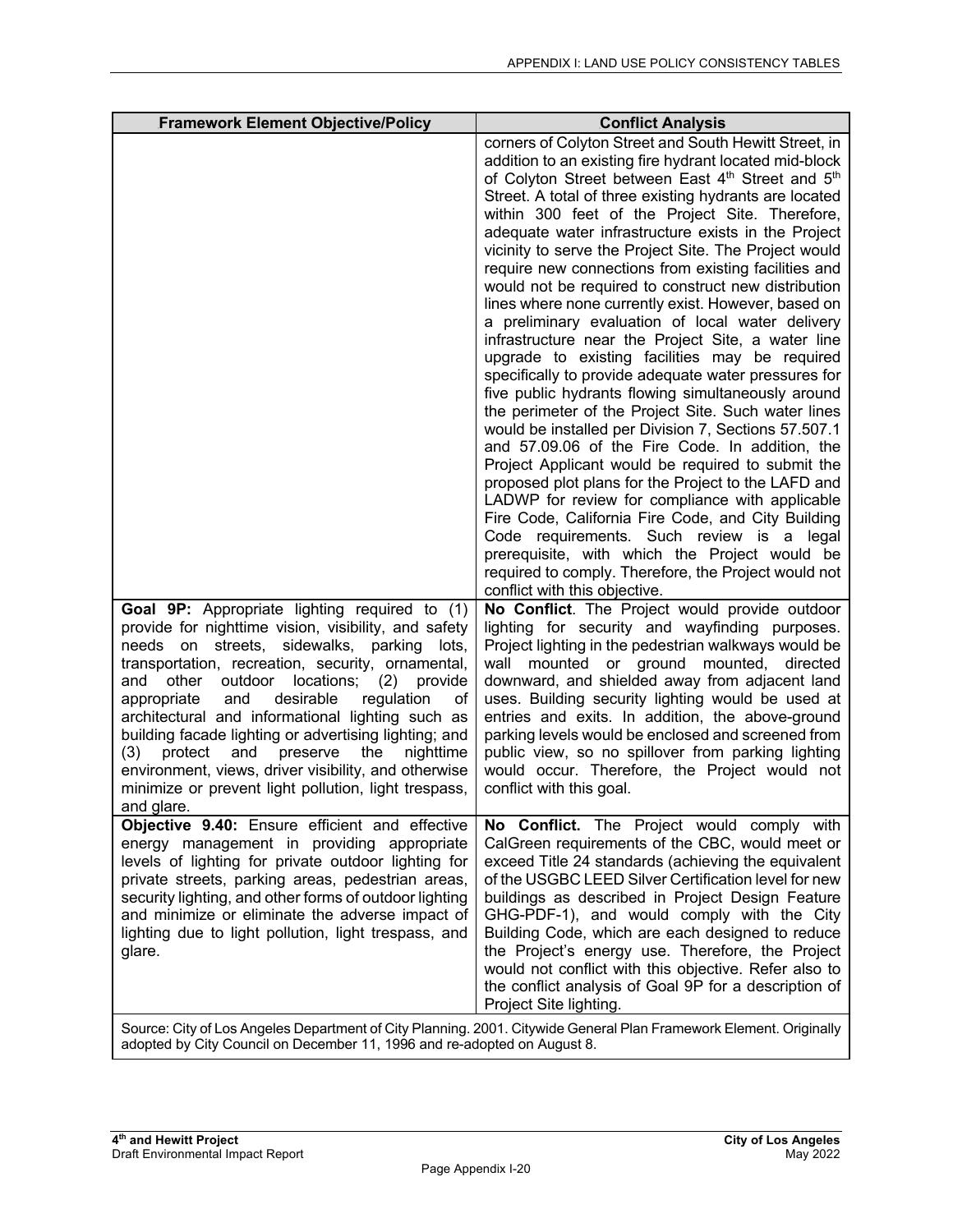| <b>Framework Element Objective/Policy</b>                                                                                                                                                                                                                                                                                                                                                                                                                                                                                                                                                                                         | <b>Conflict Analysis</b>                                                                                                                                                                                                                                                                                                                                                                                                                                                                                                                                                                                                                                                                                                                                                                                                                                                                                                                                                                                                                                                                                                                                                                                                                                                                                                                                                                                                        |
|-----------------------------------------------------------------------------------------------------------------------------------------------------------------------------------------------------------------------------------------------------------------------------------------------------------------------------------------------------------------------------------------------------------------------------------------------------------------------------------------------------------------------------------------------------------------------------------------------------------------------------------|---------------------------------------------------------------------------------------------------------------------------------------------------------------------------------------------------------------------------------------------------------------------------------------------------------------------------------------------------------------------------------------------------------------------------------------------------------------------------------------------------------------------------------------------------------------------------------------------------------------------------------------------------------------------------------------------------------------------------------------------------------------------------------------------------------------------------------------------------------------------------------------------------------------------------------------------------------------------------------------------------------------------------------------------------------------------------------------------------------------------------------------------------------------------------------------------------------------------------------------------------------------------------------------------------------------------------------------------------------------------------------------------------------------------------------|
|                                                                                                                                                                                                                                                                                                                                                                                                                                                                                                                                                                                                                                   | corners of Colyton Street and South Hewitt Street, in<br>addition to an existing fire hydrant located mid-block<br>of Colyton Street between East 4th Street and 5th<br>Street. A total of three existing hydrants are located<br>within 300 feet of the Project Site. Therefore,<br>adequate water infrastructure exists in the Project<br>vicinity to serve the Project Site. The Project would<br>require new connections from existing facilities and<br>would not be required to construct new distribution<br>lines where none currently exist. However, based on<br>a preliminary evaluation of local water delivery<br>infrastructure near the Project Site, a water line<br>upgrade to existing facilities may be required<br>specifically to provide adequate water pressures for<br>five public hydrants flowing simultaneously around<br>the perimeter of the Project Site. Such water lines<br>would be installed per Division 7, Sections 57.507.1<br>and 57.09.06 of the Fire Code. In addition, the<br>Project Applicant would be required to submit the<br>proposed plot plans for the Project to the LAFD and<br>LADWP for review for compliance with applicable<br>Fire Code, California Fire Code, and City Building<br>Code requirements. Such review is a legal<br>prerequisite, with which the Project would be<br>required to comply. Therefore, the Project would not<br>conflict with this objective. |
| Goal 9P: Appropriate lighting required to (1)<br>provide for nighttime vision, visibility, and safety<br>needs on streets, sidewalks,<br>parking<br>lots,<br>transportation, recreation, security, ornamental,<br>outdoor locations;<br>(2)<br>and<br>other<br>provide<br>appropriate<br>desirable<br>and<br>regulation<br>0f<br>architectural and informational lighting such as<br>building facade lighting or advertising lighting; and<br>(3)<br>protect<br>and<br>preserve<br>the<br>nighttime<br>environment, views, driver visibility, and otherwise<br>minimize or prevent light pollution, light trespass,<br>and glare. | No Conflict. The Project would provide outdoor<br>lighting for security and wayfinding purposes.<br>Project lighting in the pedestrian walkways would be<br>mounted or ground mounted, directed<br>wall<br>downward, and shielded away from adjacent land<br>uses. Building security lighting would be used at<br>entries and exits. In addition, the above-ground<br>parking levels would be enclosed and screened from<br>public view, so no spillover from parking lighting<br>would occur. Therefore, the Project would not<br>conflict with this goal.                                                                                                                                                                                                                                                                                                                                                                                                                                                                                                                                                                                                                                                                                                                                                                                                                                                                     |
| Objective 9.40: Ensure efficient and effective<br>energy management in providing appropriate<br>levels of lighting for private outdoor lighting for<br>private streets, parking areas, pedestrian areas,<br>security lighting, and other forms of outdoor lighting<br>and minimize or eliminate the adverse impact of<br>lighting due to light pollution, light trespass, and<br>glare.                                                                                                                                                                                                                                           | No Conflict. The Project would comply with<br>CalGreen requirements of the CBC, would meet or<br>exceed Title 24 standards (achieving the equivalent<br>of the USGBC LEED Silver Certification level for new<br>buildings as described in Project Design Feature<br>GHG-PDF-1), and would comply with the City<br>Building Code, which are each designed to reduce<br>the Project's energy use. Therefore, the Project<br>would not conflict with this objective. Refer also to<br>the conflict analysis of Goal 9P for a description of<br>Project Site lighting.                                                                                                                                                                                                                                                                                                                                                                                                                                                                                                                                                                                                                                                                                                                                                                                                                                                              |
|                                                                                                                                                                                                                                                                                                                                                                                                                                                                                                                                                                                                                                   | Source: City of Los Angeles Department of City Planning, 2001. Citywide General Plan Framework Element, Originally                                                                                                                                                                                                                                                                                                                                                                                                                                                                                                                                                                                                                                                                                                                                                                                                                                                                                                                                                                                                                                                                                                                                                                                                                                                                                                              |

 $\overline{1}$ Source: City of Los Angeles Department of City Planning. 2001. Citywide General Plan Framework Element. Originally adopted by City Council on December 11, 1996 and re-adopted on August 8.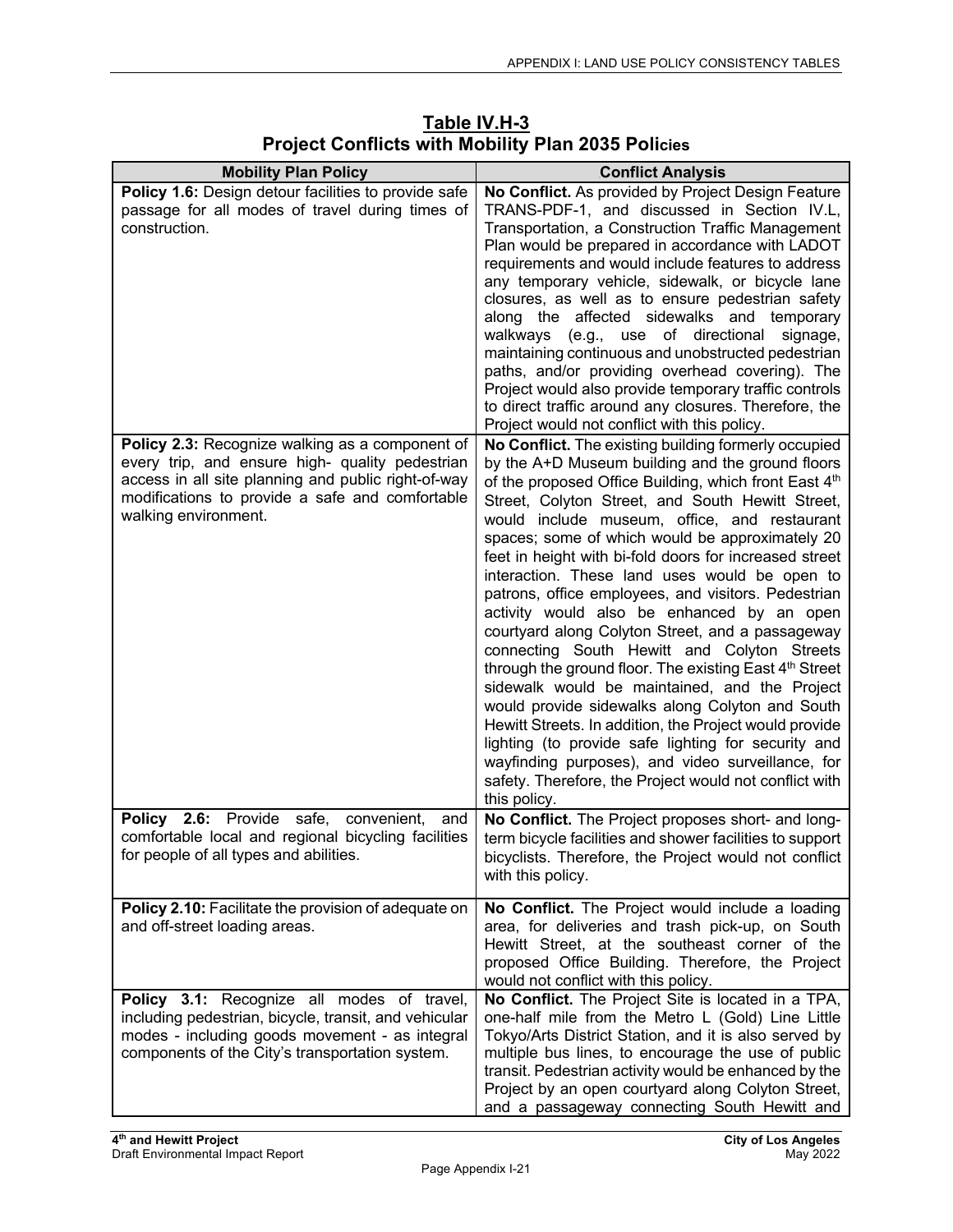| <b>Mobility Plan Policy</b>                                                                                                                                                                                                          | <b>Conflict Analysis</b>                                                                                                                                                                                                                                                                                                                                                                                                                                                                                                                                                                                                                                                                                                                                                                                                                                                                                                                                                                                                                                              |
|--------------------------------------------------------------------------------------------------------------------------------------------------------------------------------------------------------------------------------------|-----------------------------------------------------------------------------------------------------------------------------------------------------------------------------------------------------------------------------------------------------------------------------------------------------------------------------------------------------------------------------------------------------------------------------------------------------------------------------------------------------------------------------------------------------------------------------------------------------------------------------------------------------------------------------------------------------------------------------------------------------------------------------------------------------------------------------------------------------------------------------------------------------------------------------------------------------------------------------------------------------------------------------------------------------------------------|
| Policy 1.6: Design detour facilities to provide safe<br>passage for all modes of travel during times of<br>construction.                                                                                                             | No Conflict. As provided by Project Design Feature<br>TRANS-PDF-1, and discussed in Section IV.L,<br>Transportation, a Construction Traffic Management<br>Plan would be prepared in accordance with LADOT<br>requirements and would include features to address<br>any temporary vehicle, sidewalk, or bicycle lane<br>closures, as well as to ensure pedestrian safety<br>along the affected sidewalks and temporary<br>walkways (e.g., use of directional<br>signage,<br>maintaining continuous and unobstructed pedestrian<br>paths, and/or providing overhead covering). The<br>Project would also provide temporary traffic controls<br>to direct traffic around any closures. Therefore, the<br>Project would not conflict with this policy.                                                                                                                                                                                                                                                                                                                    |
| Policy 2.3: Recognize walking as a component of<br>every trip, and ensure high- quality pedestrian<br>access in all site planning and public right-of-way<br>modifications to provide a safe and comfortable<br>walking environment. | No Conflict. The existing building formerly occupied<br>by the A+D Museum building and the ground floors<br>of the proposed Office Building, which front East 4th<br>Street, Colyton Street, and South Hewitt Street,<br>would include museum, office, and restaurant<br>spaces; some of which would be approximately 20<br>feet in height with bi-fold doors for increased street<br>interaction. These land uses would be open to<br>patrons, office employees, and visitors. Pedestrian<br>activity would also be enhanced by an open<br>courtyard along Colyton Street, and a passageway<br>connecting South Hewitt and Colyton Streets<br>through the ground floor. The existing East 4 <sup>th</sup> Street<br>sidewalk would be maintained, and the Project<br>would provide sidewalks along Colyton and South<br>Hewitt Streets. In addition, the Project would provide<br>lighting (to provide safe lighting for security and<br>wayfinding purposes), and video surveillance, for<br>safety. Therefore, the Project would not conflict with<br>this policy. |
| Policy 2.6: Provide safe,<br>convenient,<br>and<br>comfortable local and regional bicycling facilities<br>for people of all types and abilities.                                                                                     | No Conflict. The Project proposes short- and long-<br>term bicycle facilities and shower facilities to support<br>bicyclists. Therefore, the Project would not conflict<br>with this policy.                                                                                                                                                                                                                                                                                                                                                                                                                                                                                                                                                                                                                                                                                                                                                                                                                                                                          |
| Policy 2.10: Facilitate the provision of adequate on<br>and off-street loading areas.                                                                                                                                                | No Conflict. The Project would include a loading<br>area, for deliveries and trash pick-up, on South<br>Hewitt Street, at the southeast corner of the<br>proposed Office Building. Therefore, the Project<br>would not conflict with this policy.                                                                                                                                                                                                                                                                                                                                                                                                                                                                                                                                                                                                                                                                                                                                                                                                                     |
| Policy 3.1: Recognize all modes of travel,<br>including pedestrian, bicycle, transit, and vehicular<br>modes - including goods movement - as integral<br>components of the City's transportation system.                             | No Conflict. The Project Site is located in a TPA,<br>one-half mile from the Metro L (Gold) Line Little<br>Tokyo/Arts District Station, and it is also served by<br>multiple bus lines, to encourage the use of public<br>transit. Pedestrian activity would be enhanced by the<br>Project by an open courtyard along Colyton Street,<br>and a passageway connecting South Hewitt and                                                                                                                                                                                                                                                                                                                                                                                                                                                                                                                                                                                                                                                                                 |

 **Table IV.H-3 Project Conflicts with Mobility Plan 2035 Policies**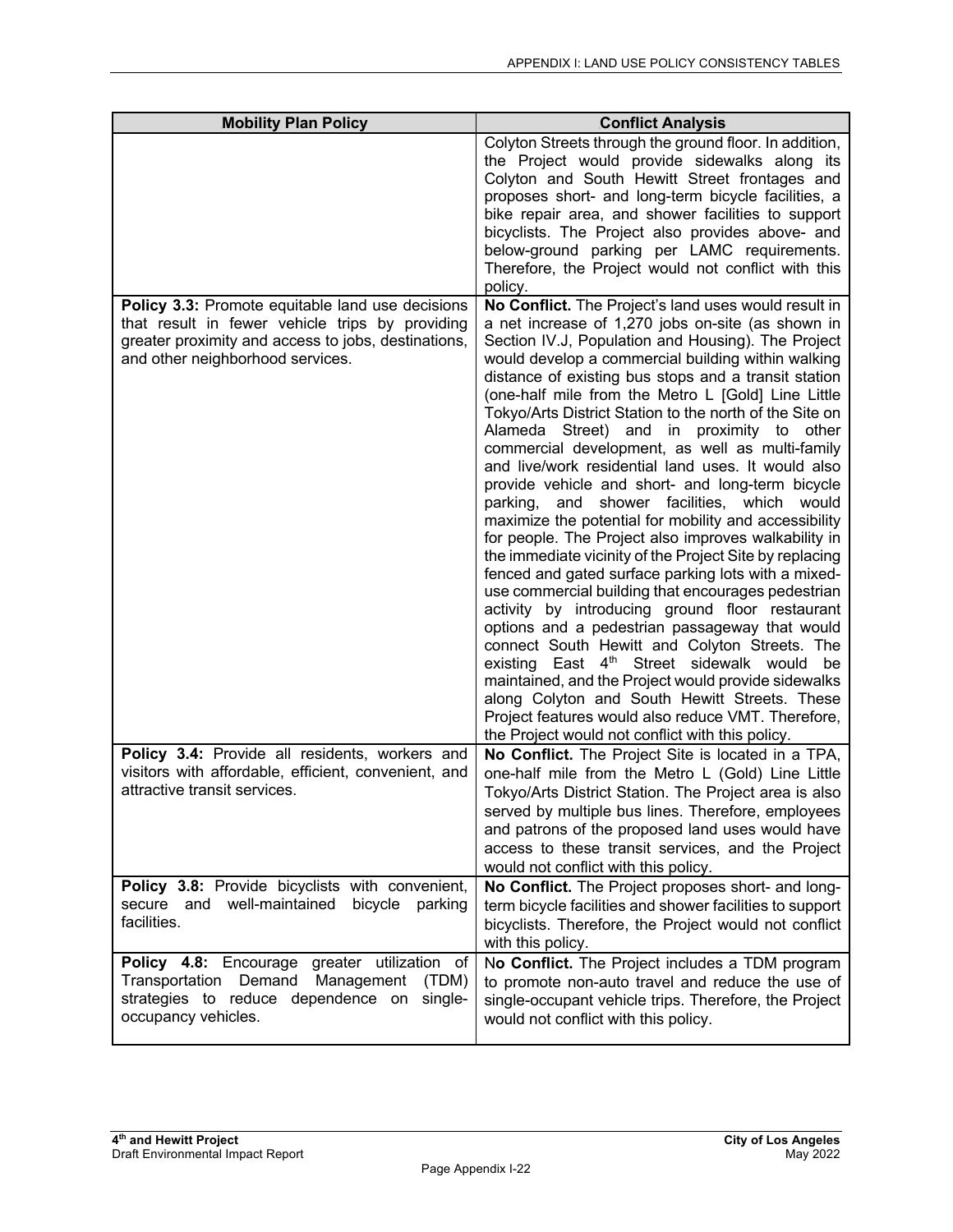| <b>Mobility Plan Policy</b>                                                                                                                                                | <b>Conflict Analysis</b>                                                                                                                                                                                                                                                                                                                                                                                                                                                                                                                                                                                                                                                                                                                                                                                                                                                                                                                                                                                                                                                                                                                                                                                                                                                                                                               |
|----------------------------------------------------------------------------------------------------------------------------------------------------------------------------|----------------------------------------------------------------------------------------------------------------------------------------------------------------------------------------------------------------------------------------------------------------------------------------------------------------------------------------------------------------------------------------------------------------------------------------------------------------------------------------------------------------------------------------------------------------------------------------------------------------------------------------------------------------------------------------------------------------------------------------------------------------------------------------------------------------------------------------------------------------------------------------------------------------------------------------------------------------------------------------------------------------------------------------------------------------------------------------------------------------------------------------------------------------------------------------------------------------------------------------------------------------------------------------------------------------------------------------|
|                                                                                                                                                                            | Colyton Streets through the ground floor. In addition,<br>the Project would provide sidewalks along its<br>Colyton and South Hewitt Street frontages and<br>proposes short- and long-term bicycle facilities, a<br>bike repair area, and shower facilities to support<br>bicyclists. The Project also provides above- and<br>below-ground parking per LAMC requirements.<br>Therefore, the Project would not conflict with this<br>policy.                                                                                                                                                                                                                                                                                                                                                                                                                                                                                                                                                                                                                                                                                                                                                                                                                                                                                             |
| Policy 3.3: Promote equitable land use decisions                                                                                                                           | No Conflict. The Project's land uses would result in                                                                                                                                                                                                                                                                                                                                                                                                                                                                                                                                                                                                                                                                                                                                                                                                                                                                                                                                                                                                                                                                                                                                                                                                                                                                                   |
| that result in fewer vehicle trips by providing<br>greater proximity and access to jobs, destinations,<br>and other neighborhood services.                                 | a net increase of 1,270 jobs on-site (as shown in<br>Section IV.J, Population and Housing). The Project<br>would develop a commercial building within walking<br>distance of existing bus stops and a transit station<br>(one-half mile from the Metro L [Gold] Line Little<br>Tokyo/Arts District Station to the north of the Site on<br>Alameda Street) and in proximity to other<br>commercial development, as well as multi-family<br>and live/work residential land uses. It would also<br>provide vehicle and short- and long-term bicycle<br>shower facilities, which<br>and<br>parking,<br>would<br>maximize the potential for mobility and accessibility<br>for people. The Project also improves walkability in<br>the immediate vicinity of the Project Site by replacing<br>fenced and gated surface parking lots with a mixed-<br>use commercial building that encourages pedestrian<br>activity by introducing ground floor restaurant<br>options and a pedestrian passageway that would<br>connect South Hewitt and Colyton Streets. The<br>existing East 4 <sup>th</sup> Street sidewalk would<br>be<br>maintained, and the Project would provide sidewalks<br>along Colyton and South Hewitt Streets. These<br>Project features would also reduce VMT. Therefore,<br>the Project would not conflict with this policy. |
| Policy 3.4: Provide all residents, workers and                                                                                                                             | No Conflict. The Project Site is located in a TPA,                                                                                                                                                                                                                                                                                                                                                                                                                                                                                                                                                                                                                                                                                                                                                                                                                                                                                                                                                                                                                                                                                                                                                                                                                                                                                     |
| visitors with affordable, efficient, convenient, and<br>attractive transit services.                                                                                       | one-half mile from the Metro L (Gold) Line Little<br>Tokyo/Arts District Station. The Project area is also<br>served by multiple bus lines. Therefore, employees<br>and patrons of the proposed land uses would have<br>access to these transit services, and the Project<br>would not conflict with this policy.                                                                                                                                                                                                                                                                                                                                                                                                                                                                                                                                                                                                                                                                                                                                                                                                                                                                                                                                                                                                                      |
| Policy 3.8: Provide bicyclists with convenient,<br>well-maintained<br>bicycle<br>and<br>parking<br>secure<br>facilities.                                                   | No Conflict. The Project proposes short- and long-<br>term bicycle facilities and shower facilities to support<br>bicyclists. Therefore, the Project would not conflict<br>with this policy.                                                                                                                                                                                                                                                                                                                                                                                                                                                                                                                                                                                                                                                                                                                                                                                                                                                                                                                                                                                                                                                                                                                                           |
| Policy 4.8: Encourage greater utilization<br>of<br>Demand<br>Transportation<br>Management<br>(TDM)<br>strategies to reduce dependence on<br>single-<br>occupancy vehicles. | No Conflict. The Project includes a TDM program<br>to promote non-auto travel and reduce the use of<br>single-occupant vehicle trips. Therefore, the Project<br>would not conflict with this policy.                                                                                                                                                                                                                                                                                                                                                                                                                                                                                                                                                                                                                                                                                                                                                                                                                                                                                                                                                                                                                                                                                                                                   |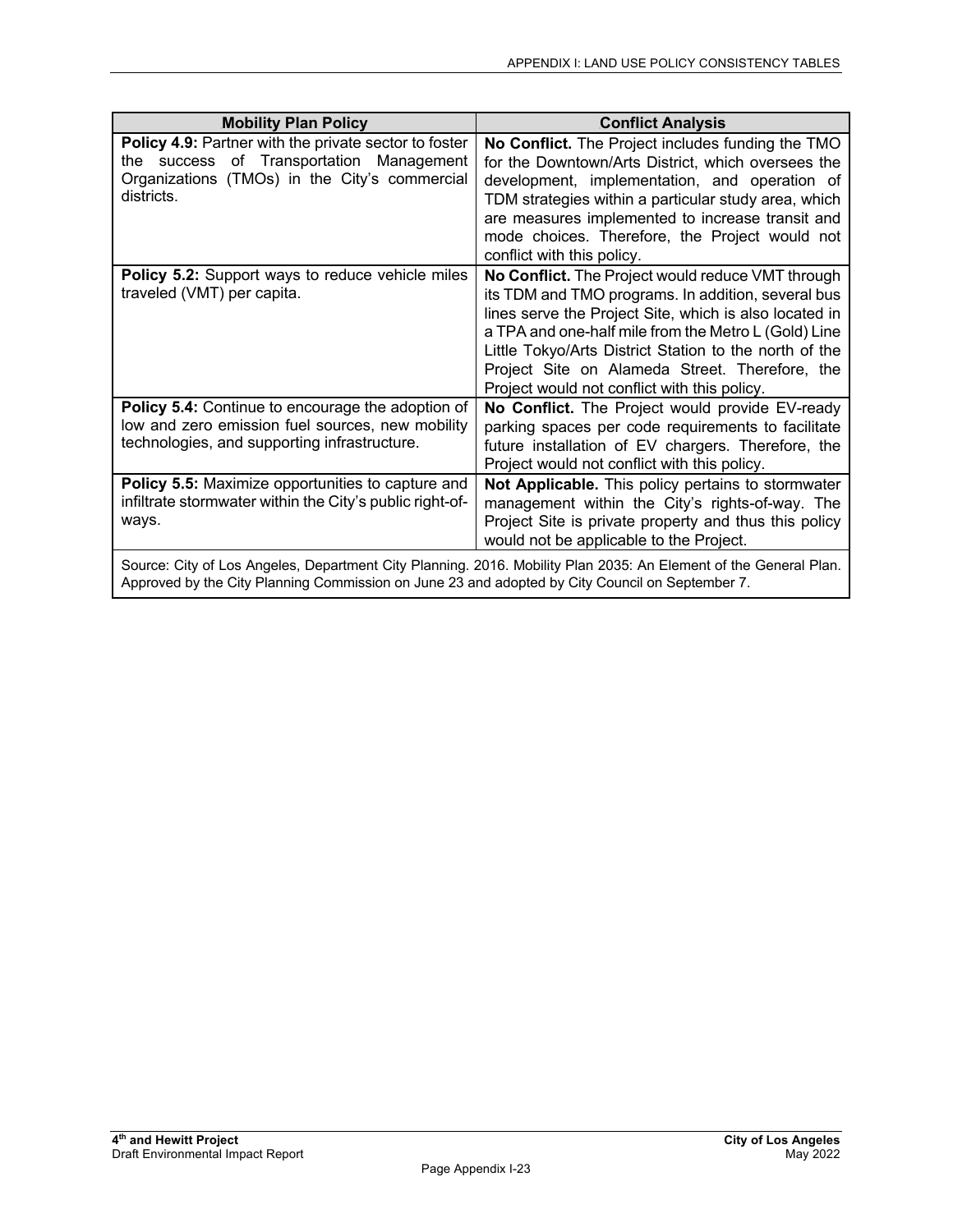| <b>Mobility Plan Policy</b>                                                                                                                                            | <b>Conflict Analysis</b>                                                                                                                                                                                                                                                                                                                                                              |
|------------------------------------------------------------------------------------------------------------------------------------------------------------------------|---------------------------------------------------------------------------------------------------------------------------------------------------------------------------------------------------------------------------------------------------------------------------------------------------------------------------------------------------------------------------------------|
| Policy 4.9: Partner with the private sector to foster<br>of Transportation Management<br>success<br>the<br>Organizations (TMOs) in the City's commercial<br>districts. | No Conflict. The Project includes funding the TMO<br>for the Downtown/Arts District, which oversees the<br>development, implementation, and operation of<br>TDM strategies within a particular study area, which<br>are measures implemented to increase transit and<br>mode choices. Therefore, the Project would not<br>conflict with this policy.                                  |
| <b>Policy 5.2:</b> Support ways to reduce vehicle miles<br>traveled (VMT) per capita.                                                                                  | No Conflict. The Project would reduce VMT through<br>its TDM and TMO programs. In addition, several bus<br>lines serve the Project Site, which is also located in<br>a TPA and one-half mile from the Metro L (Gold) Line<br>Little Tokyo/Arts District Station to the north of the<br>Project Site on Alameda Street. Therefore, the<br>Project would not conflict with this policy. |
| Policy 5.4: Continue to encourage the adoption of<br>low and zero emission fuel sources, new mobility<br>technologies, and supporting infrastructure.                  | No Conflict. The Project would provide EV-ready<br>parking spaces per code requirements to facilitate<br>future installation of EV chargers. Therefore, the<br>Project would not conflict with this policy.                                                                                                                                                                           |
| Policy 5.5: Maximize opportunities to capture and<br>infiltrate stormwater within the City's public right-of-<br>ways.                                                 | Not Applicable. This policy pertains to stormwater<br>management within the City's rights-of-way. The<br>Project Site is private property and thus this policy<br>would not be applicable to the Project.                                                                                                                                                                             |
| Approved by the City Planning Commission on June 23 and adopted by City Council on September 7.                                                                        | Source: City of Los Angeles, Department City Planning. 2016. Mobility Plan 2035: An Element of the General Plan.                                                                                                                                                                                                                                                                      |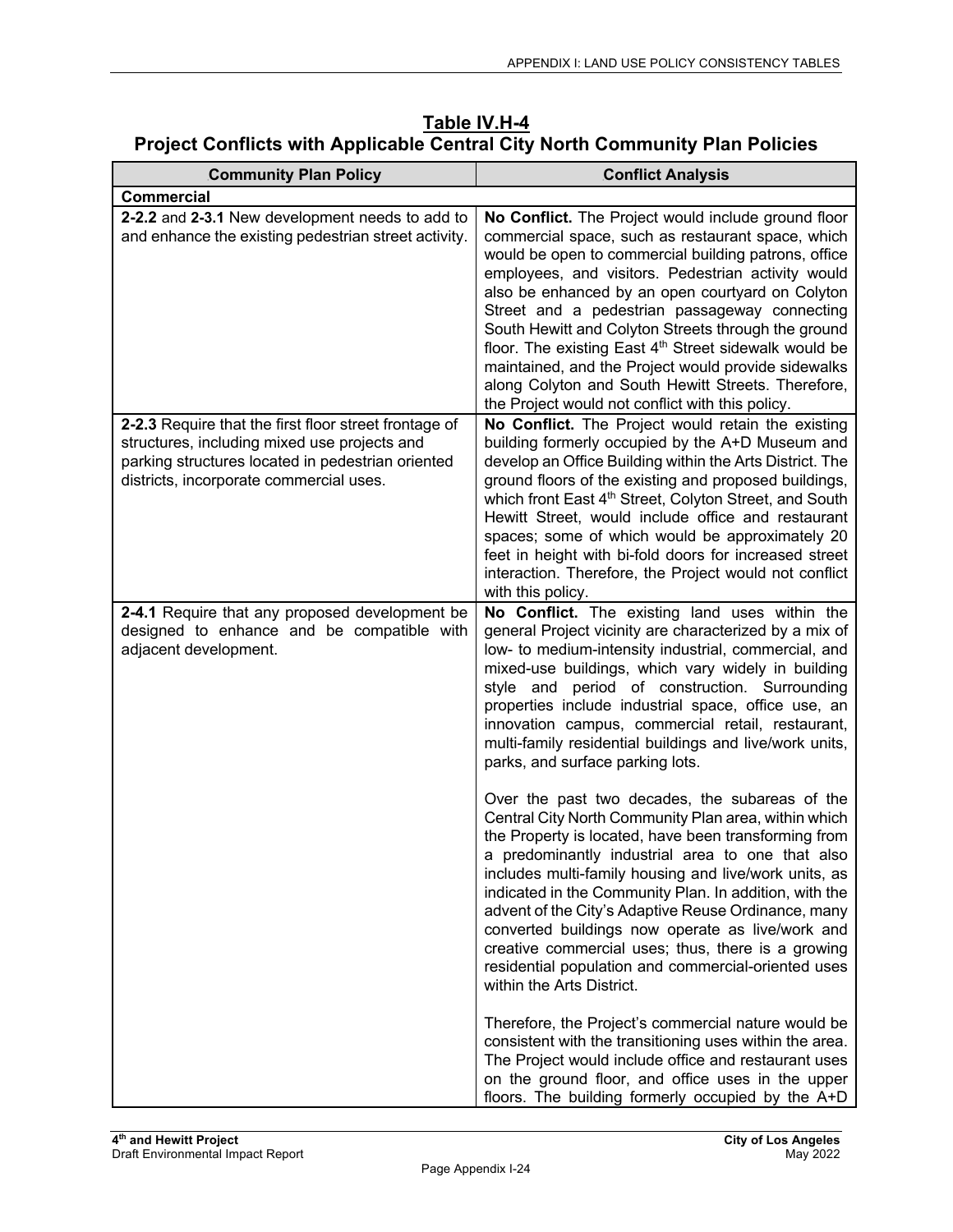| Table IV.H-4                                                                        |
|-------------------------------------------------------------------------------------|
| <b>Project Conflicts with Applicable Central City North Community Plan Policies</b> |

| <b>Community Plan Policy</b>                                                                                                                                                                          | <b>Conflict Analysis</b>                                                                                                                                                                                                                                                                                                                                                                                                                                                                                                                                                                                                 |
|-------------------------------------------------------------------------------------------------------------------------------------------------------------------------------------------------------|--------------------------------------------------------------------------------------------------------------------------------------------------------------------------------------------------------------------------------------------------------------------------------------------------------------------------------------------------------------------------------------------------------------------------------------------------------------------------------------------------------------------------------------------------------------------------------------------------------------------------|
| <b>Commercial</b>                                                                                                                                                                                     |                                                                                                                                                                                                                                                                                                                                                                                                                                                                                                                                                                                                                          |
| 2-2.2 and 2-3.1 New development needs to add to<br>and enhance the existing pedestrian street activity.                                                                                               | No Conflict. The Project would include ground floor<br>commercial space, such as restaurant space, which<br>would be open to commercial building patrons, office<br>employees, and visitors. Pedestrian activity would<br>also be enhanced by an open courtyard on Colyton<br>Street and a pedestrian passageway connecting<br>South Hewitt and Colyton Streets through the ground<br>floor. The existing East 4 <sup>th</sup> Street sidewalk would be<br>maintained, and the Project would provide sidewalks<br>along Colyton and South Hewitt Streets. Therefore,<br>the Project would not conflict with this policy. |
| 2-2.3 Require that the first floor street frontage of<br>structures, including mixed use projects and<br>parking structures located in pedestrian oriented<br>districts, incorporate commercial uses. | No Conflict. The Project would retain the existing<br>building formerly occupied by the A+D Museum and<br>develop an Office Building within the Arts District. The<br>ground floors of the existing and proposed buildings,<br>which front East 4 <sup>th</sup> Street, Colyton Street, and South<br>Hewitt Street, would include office and restaurant<br>spaces; some of which would be approximately 20<br>feet in height with bi-fold doors for increased street<br>interaction. Therefore, the Project would not conflict<br>with this policy.                                                                      |
| 2-4.1 Require that any proposed development be<br>designed to enhance and be compatible with<br>adjacent development.                                                                                 | No Conflict. The existing land uses within the<br>general Project vicinity are characterized by a mix of<br>low- to medium-intensity industrial, commercial, and<br>mixed-use buildings, which vary widely in building<br>style and period of construction. Surrounding<br>properties include industrial space, office use, an<br>innovation campus, commercial retail, restaurant,<br>multi-family residential buildings and live/work units,<br>parks, and surface parking lots.                                                                                                                                       |
|                                                                                                                                                                                                       | Over the past two decades, the subareas of the<br>Central City North Community Plan area, within which<br>the Property is located, have been transforming from<br>a predominantly industrial area to one that also<br>includes multi-family housing and live/work units, as<br>indicated in the Community Plan. In addition, with the<br>advent of the City's Adaptive Reuse Ordinance, many<br>converted buildings now operate as live/work and<br>creative commercial uses; thus, there is a growing<br>residential population and commercial-oriented uses<br>within the Arts District.                               |
|                                                                                                                                                                                                       | Therefore, the Project's commercial nature would be<br>consistent with the transitioning uses within the area.<br>The Project would include office and restaurant uses<br>on the ground floor, and office uses in the upper<br>floors. The building formerly occupied by the A+D                                                                                                                                                                                                                                                                                                                                         |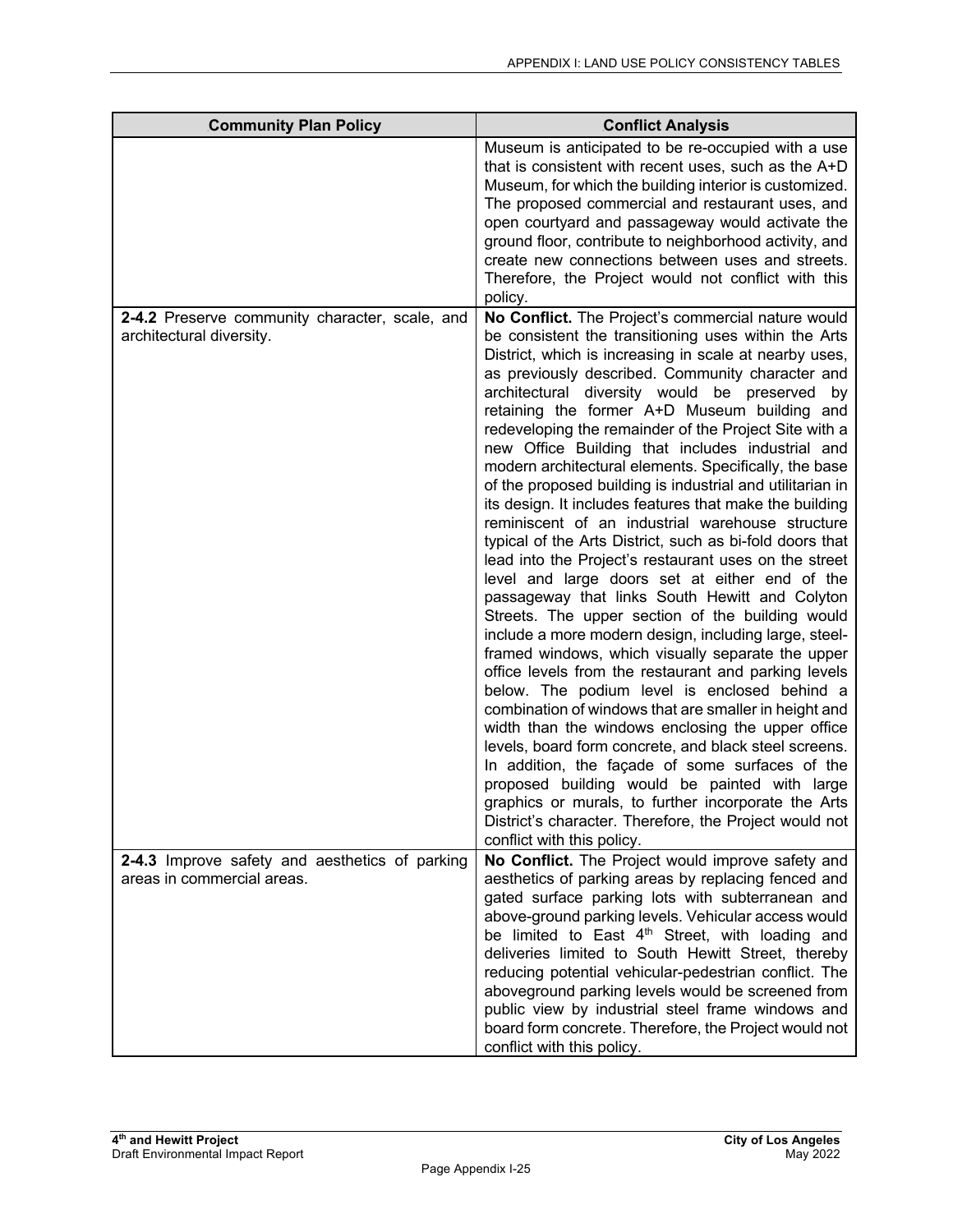| <b>Community Plan Policy</b>                                                 | <b>Conflict Analysis</b>                                                                                                                                                                                                                                                                                                                                                                                                                                                                                                                                                                                                                                                                                                                                                                                                                                                                                                                                                                                                                                                                                                                                                                                                                                                                                                                                                                                                                                                                                                                              |
|------------------------------------------------------------------------------|-------------------------------------------------------------------------------------------------------------------------------------------------------------------------------------------------------------------------------------------------------------------------------------------------------------------------------------------------------------------------------------------------------------------------------------------------------------------------------------------------------------------------------------------------------------------------------------------------------------------------------------------------------------------------------------------------------------------------------------------------------------------------------------------------------------------------------------------------------------------------------------------------------------------------------------------------------------------------------------------------------------------------------------------------------------------------------------------------------------------------------------------------------------------------------------------------------------------------------------------------------------------------------------------------------------------------------------------------------------------------------------------------------------------------------------------------------------------------------------------------------------------------------------------------------|
| 2-4.2 Preserve community character, scale, and                               | Museum is anticipated to be re-occupied with a use<br>that is consistent with recent uses, such as the A+D<br>Museum, for which the building interior is customized.<br>The proposed commercial and restaurant uses, and<br>open courtyard and passageway would activate the<br>ground floor, contribute to neighborhood activity, and<br>create new connections between uses and streets.<br>Therefore, the Project would not conflict with this<br>policy.<br>No Conflict. The Project's commercial nature would                                                                                                                                                                                                                                                                                                                                                                                                                                                                                                                                                                                                                                                                                                                                                                                                                                                                                                                                                                                                                                    |
| architectural diversity.                                                     | be consistent the transitioning uses within the Arts<br>District, which is increasing in scale at nearby uses,<br>as previously described. Community character and<br>architectural diversity would be preserved<br>by<br>retaining the former A+D Museum building and<br>redeveloping the remainder of the Project Site with a<br>new Office Building that includes industrial and<br>modern architectural elements. Specifically, the base<br>of the proposed building is industrial and utilitarian in<br>its design. It includes features that make the building<br>reminiscent of an industrial warehouse structure<br>typical of the Arts District, such as bi-fold doors that<br>lead into the Project's restaurant uses on the street<br>level and large doors set at either end of the<br>passageway that links South Hewitt and Colyton<br>Streets. The upper section of the building would<br>include a more modern design, including large, steel-<br>framed windows, which visually separate the upper<br>office levels from the restaurant and parking levels<br>below. The podium level is enclosed behind a<br>combination of windows that are smaller in height and<br>width than the windows enclosing the upper office<br>levels, board form concrete, and black steel screens.<br>In addition, the façade of some surfaces of the<br>proposed building would be painted with large<br>graphics or murals, to further incorporate the Arts<br>District's character. Therefore, the Project would not<br>conflict with this policy. |
| 2-4.3 Improve safety and aesthetics of parking<br>areas in commercial areas. | No Conflict. The Project would improve safety and<br>aesthetics of parking areas by replacing fenced and<br>gated surface parking lots with subterranean and<br>above-ground parking levels. Vehicular access would<br>be limited to East 4 <sup>th</sup> Street, with loading and<br>deliveries limited to South Hewitt Street, thereby<br>reducing potential vehicular-pedestrian conflict. The<br>aboveground parking levels would be screened from<br>public view by industrial steel frame windows and<br>board form concrete. Therefore, the Project would not<br>conflict with this policy.                                                                                                                                                                                                                                                                                                                                                                                                                                                                                                                                                                                                                                                                                                                                                                                                                                                                                                                                                    |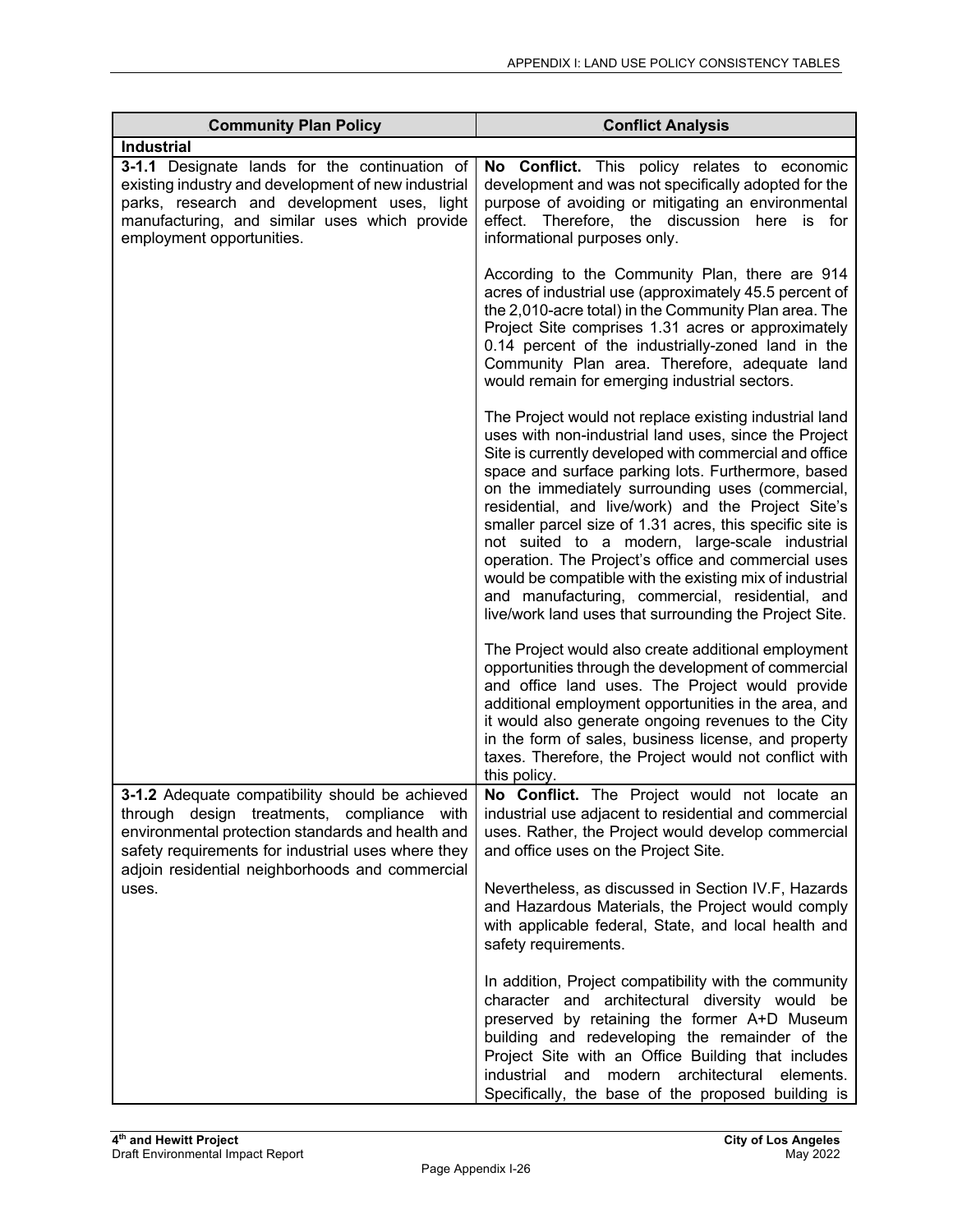| <b>Community Plan Policy</b>                                                                                                                                                                                                                                | <b>Conflict Analysis</b>                                                                                                                                                                                                                                                                                                                                                                                                                                                                                                                                                                                                                                                               |
|-------------------------------------------------------------------------------------------------------------------------------------------------------------------------------------------------------------------------------------------------------------|----------------------------------------------------------------------------------------------------------------------------------------------------------------------------------------------------------------------------------------------------------------------------------------------------------------------------------------------------------------------------------------------------------------------------------------------------------------------------------------------------------------------------------------------------------------------------------------------------------------------------------------------------------------------------------------|
| <b>Industrial</b>                                                                                                                                                                                                                                           |                                                                                                                                                                                                                                                                                                                                                                                                                                                                                                                                                                                                                                                                                        |
| 3-1.1 Designate lands for the continuation of<br>existing industry and development of new industrial<br>parks, research and development uses, light<br>manufacturing, and similar uses which provide<br>employment opportunities.                           | No Conflict. This policy relates to economic<br>development and was not specifically adopted for the<br>purpose of avoiding or mitigating an environmental<br>effect. Therefore, the discussion here is for<br>informational purposes only.                                                                                                                                                                                                                                                                                                                                                                                                                                            |
|                                                                                                                                                                                                                                                             | According to the Community Plan, there are 914<br>acres of industrial use (approximately 45.5 percent of<br>the 2,010-acre total) in the Community Plan area. The<br>Project Site comprises 1.31 acres or approximately<br>0.14 percent of the industrially-zoned land in the<br>Community Plan area. Therefore, adequate land<br>would remain for emerging industrial sectors.                                                                                                                                                                                                                                                                                                        |
|                                                                                                                                                                                                                                                             | The Project would not replace existing industrial land<br>uses with non-industrial land uses, since the Project<br>Site is currently developed with commercial and office<br>space and surface parking lots. Furthermore, based<br>on the immediately surrounding uses (commercial,<br>residential, and live/work) and the Project Site's<br>smaller parcel size of 1.31 acres, this specific site is<br>not suited to a modern, large-scale industrial<br>operation. The Project's office and commercial uses<br>would be compatible with the existing mix of industrial<br>and manufacturing, commercial, residential, and<br>live/work land uses that surrounding the Project Site. |
|                                                                                                                                                                                                                                                             | The Project would also create additional employment<br>opportunities through the development of commercial<br>and office land uses. The Project would provide<br>additional employment opportunities in the area, and<br>it would also generate ongoing revenues to the City<br>in the form of sales, business license, and property<br>taxes. Therefore, the Project would not conflict with<br>this policy.                                                                                                                                                                                                                                                                          |
| 3-1.2 Adequate compatibility should be achieved<br>through design treatments, compliance with<br>environmental protection standards and health and<br>safety requirements for industrial uses where they<br>adjoin residential neighborhoods and commercial | No Conflict. The Project would not locate an<br>industrial use adjacent to residential and commercial<br>uses. Rather, the Project would develop commercial<br>and office uses on the Project Site.                                                                                                                                                                                                                                                                                                                                                                                                                                                                                    |
| uses.                                                                                                                                                                                                                                                       | Nevertheless, as discussed in Section IV.F, Hazards<br>and Hazardous Materials, the Project would comply<br>with applicable federal, State, and local health and<br>safety requirements.                                                                                                                                                                                                                                                                                                                                                                                                                                                                                               |
|                                                                                                                                                                                                                                                             | In addition, Project compatibility with the community<br>character and architectural diversity would be<br>preserved by retaining the former A+D Museum<br>building and redeveloping the remainder of the<br>Project Site with an Office Building that includes<br>architectural<br>industrial<br>modern<br>and<br>elements.<br>Specifically, the base of the proposed building is                                                                                                                                                                                                                                                                                                     |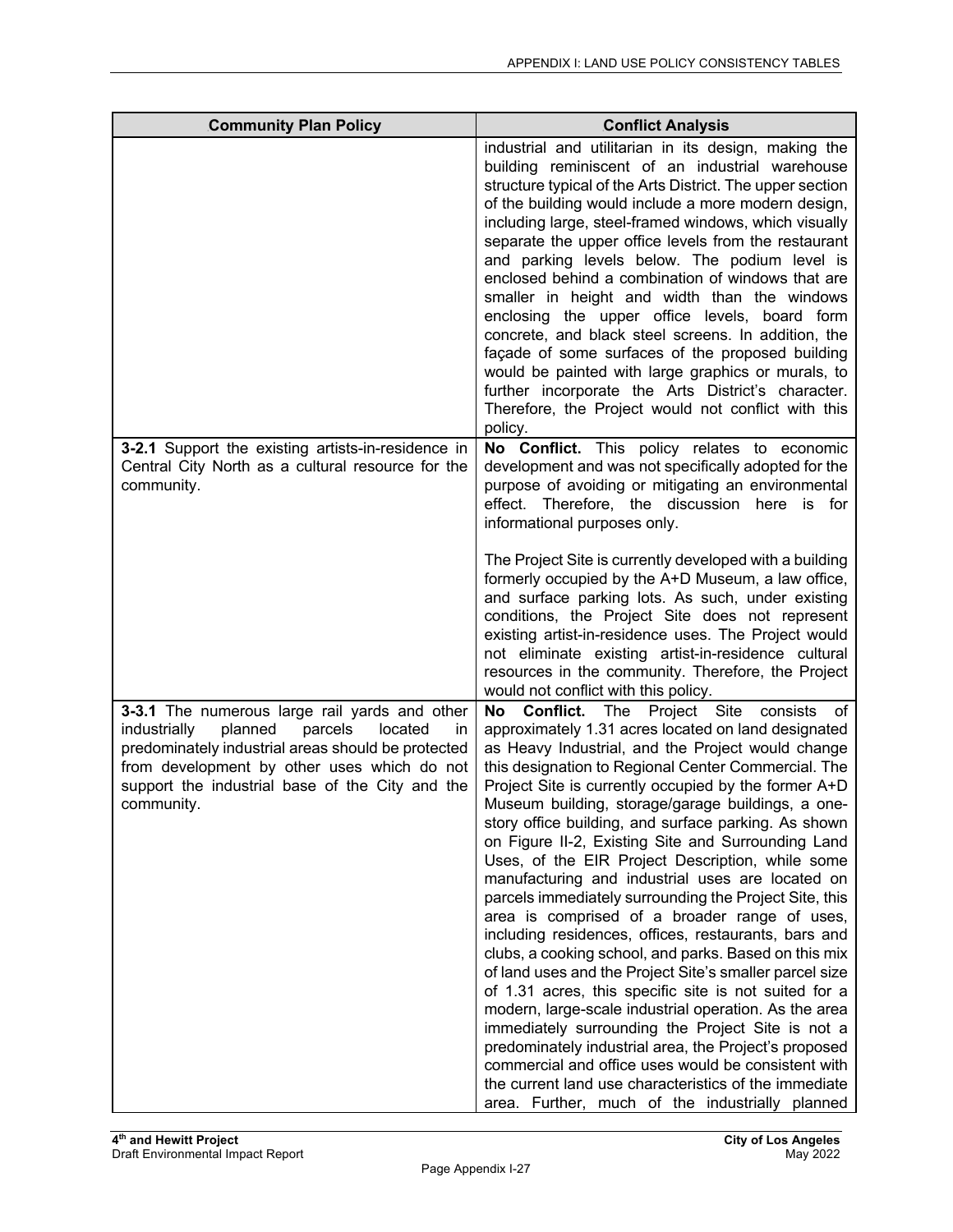| <b>Community Plan Policy</b>                                                                                                                                                                                                                                               | <b>Conflict Analysis</b>                                                                                                                                                                                                                                                                                                                                                                                                                                                                                                                                                                                                                                                                                                                                                                                                                                                                                                                                                                                                                                                                                                                                                                                                                                 |
|----------------------------------------------------------------------------------------------------------------------------------------------------------------------------------------------------------------------------------------------------------------------------|----------------------------------------------------------------------------------------------------------------------------------------------------------------------------------------------------------------------------------------------------------------------------------------------------------------------------------------------------------------------------------------------------------------------------------------------------------------------------------------------------------------------------------------------------------------------------------------------------------------------------------------------------------------------------------------------------------------------------------------------------------------------------------------------------------------------------------------------------------------------------------------------------------------------------------------------------------------------------------------------------------------------------------------------------------------------------------------------------------------------------------------------------------------------------------------------------------------------------------------------------------|
|                                                                                                                                                                                                                                                                            | industrial and utilitarian in its design, making the<br>building reminiscent of an industrial warehouse<br>structure typical of the Arts District. The upper section<br>of the building would include a more modern design,<br>including large, steel-framed windows, which visually<br>separate the upper office levels from the restaurant<br>and parking levels below. The podium level is<br>enclosed behind a combination of windows that are<br>smaller in height and width than the windows<br>enclosing the upper office levels, board form<br>concrete, and black steel screens. In addition, the<br>façade of some surfaces of the proposed building<br>would be painted with large graphics or murals, to<br>further incorporate the Arts District's character.<br>Therefore, the Project would not conflict with this<br>policy.                                                                                                                                                                                                                                                                                                                                                                                                             |
| 3-2.1 Support the existing artists-in-residence in<br>Central City North as a cultural resource for the<br>community.                                                                                                                                                      | No Conflict. This policy relates to economic<br>development and was not specifically adopted for the<br>purpose of avoiding or mitigating an environmental<br>effect. Therefore, the discussion here is for<br>informational purposes only.                                                                                                                                                                                                                                                                                                                                                                                                                                                                                                                                                                                                                                                                                                                                                                                                                                                                                                                                                                                                              |
|                                                                                                                                                                                                                                                                            | The Project Site is currently developed with a building<br>formerly occupied by the A+D Museum, a law office,<br>and surface parking lots. As such, under existing<br>conditions, the Project Site does not represent<br>existing artist-in-residence uses. The Project would<br>not eliminate existing artist-in-residence cultural<br>resources in the community. Therefore, the Project<br>would not conflict with this policy.                                                                                                                                                                                                                                                                                                                                                                                                                                                                                                                                                                                                                                                                                                                                                                                                                       |
| 3-3.1 The numerous large rail yards and other<br>industrially<br>planned<br>parcels<br>located<br>in<br>predominately industrial areas should be protected<br>from development by other uses which do not<br>support the industrial base of the City and the<br>community. | Project Site<br>No<br>Conflict.<br>The<br>consists<br>0f<br>approximately 1.31 acres located on land designated<br>as Heavy Industrial, and the Project would change<br>this designation to Regional Center Commercial. The<br>Project Site is currently occupied by the former A+D<br>Museum building, storage/garage buildings, a one-<br>story office building, and surface parking. As shown<br>on Figure II-2, Existing Site and Surrounding Land<br>Uses, of the EIR Project Description, while some<br>manufacturing and industrial uses are located on<br>parcels immediately surrounding the Project Site, this<br>area is comprised of a broader range of uses,<br>including residences, offices, restaurants, bars and<br>clubs, a cooking school, and parks. Based on this mix<br>of land uses and the Project Site's smaller parcel size<br>of 1.31 acres, this specific site is not suited for a<br>modern, large-scale industrial operation. As the area<br>immediately surrounding the Project Site is not a<br>predominately industrial area, the Project's proposed<br>commercial and office uses would be consistent with<br>the current land use characteristics of the immediate<br>area. Further, much of the industrially planned |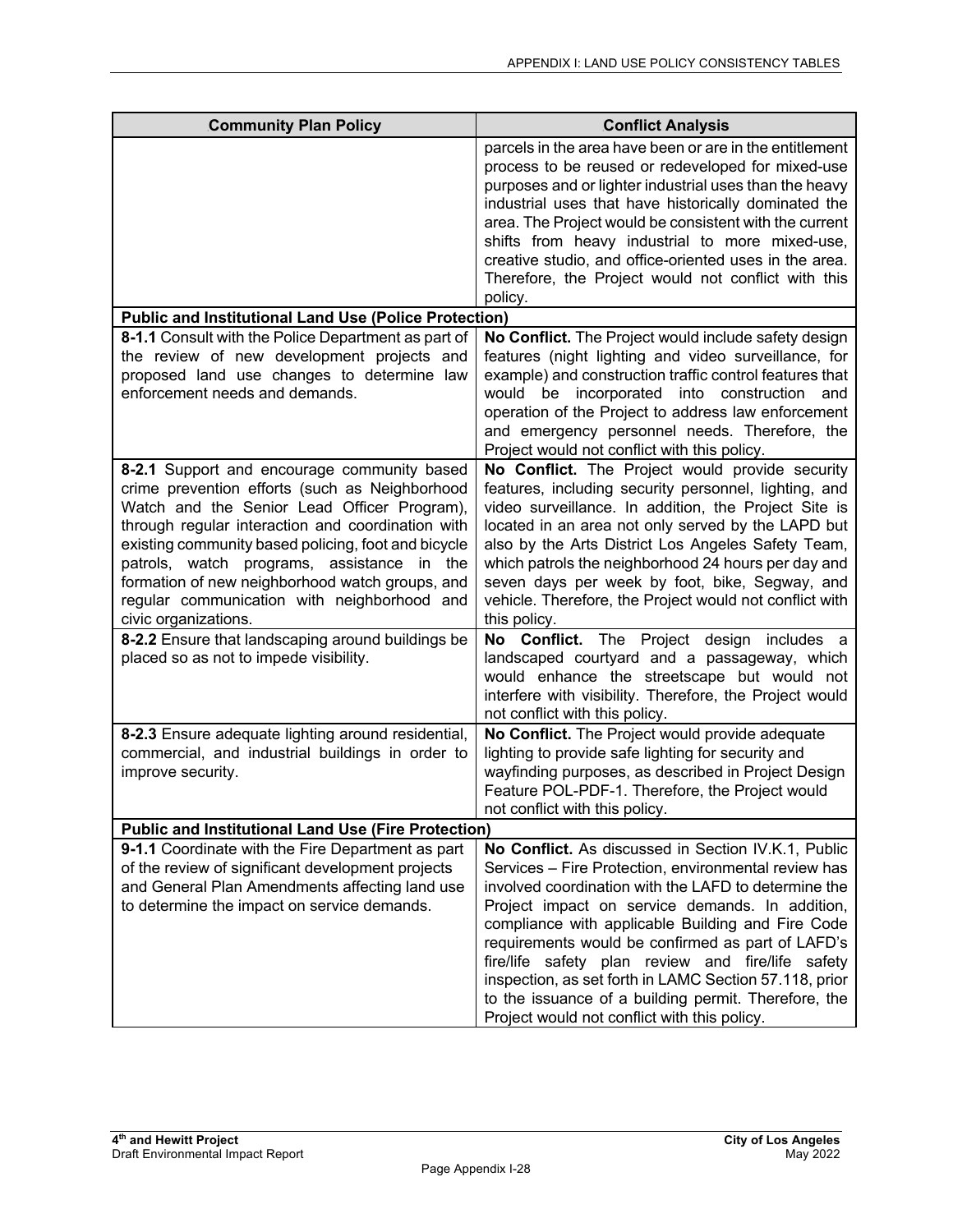| <b>Community Plan Policy</b>                                                                                                                                                                                                                                                                                                                                                                                                     | <b>Conflict Analysis</b>                                                                                                                                                                                                                                                                                                                                                                                                                                                                                                                                |
|----------------------------------------------------------------------------------------------------------------------------------------------------------------------------------------------------------------------------------------------------------------------------------------------------------------------------------------------------------------------------------------------------------------------------------|---------------------------------------------------------------------------------------------------------------------------------------------------------------------------------------------------------------------------------------------------------------------------------------------------------------------------------------------------------------------------------------------------------------------------------------------------------------------------------------------------------------------------------------------------------|
|                                                                                                                                                                                                                                                                                                                                                                                                                                  | parcels in the area have been or are in the entitlement<br>process to be reused or redeveloped for mixed-use<br>purposes and or lighter industrial uses than the heavy<br>industrial uses that have historically dominated the<br>area. The Project would be consistent with the current<br>shifts from heavy industrial to more mixed-use,                                                                                                                                                                                                             |
|                                                                                                                                                                                                                                                                                                                                                                                                                                  | creative studio, and office-oriented uses in the area.<br>Therefore, the Project would not conflict with this<br>policy.                                                                                                                                                                                                                                                                                                                                                                                                                                |
| <b>Public and Institutional Land Use (Police Protection)</b>                                                                                                                                                                                                                                                                                                                                                                     |                                                                                                                                                                                                                                                                                                                                                                                                                                                                                                                                                         |
| 8-1.1 Consult with the Police Department as part of<br>the review of new development projects and<br>proposed land use changes to determine law<br>enforcement needs and demands.                                                                                                                                                                                                                                                | No Conflict. The Project would include safety design<br>features (night lighting and video surveillance, for<br>example) and construction traffic control features that<br>would<br>incorporated<br>into construction<br>be<br>and<br>operation of the Project to address law enforcement<br>and emergency personnel needs. Therefore, the<br>Project would not conflict with this policy.                                                                                                                                                              |
| 8-2.1 Support and encourage community based<br>crime prevention efforts (such as Neighborhood<br>Watch and the Senior Lead Officer Program),<br>through regular interaction and coordination with<br>existing community based policing, foot and bicycle<br>patrols, watch programs, assistance in the<br>formation of new neighborhood watch groups, and<br>regular communication with neighborhood and<br>civic organizations. | No Conflict. The Project would provide security<br>features, including security personnel, lighting, and<br>video surveillance. In addition, the Project Site is<br>located in an area not only served by the LAPD but<br>also by the Arts District Los Angeles Safety Team,<br>which patrols the neighborhood 24 hours per day and<br>seven days per week by foot, bike, Segway, and<br>vehicle. Therefore, the Project would not conflict with<br>this policy.                                                                                        |
| 8-2.2 Ensure that landscaping around buildings be<br>placed so as not to impede visibility.                                                                                                                                                                                                                                                                                                                                      | No Conflict.<br>The Project design includes a<br>landscaped courtyard and a passageway, which<br>would enhance the streetscape but would not<br>interfere with visibility. Therefore, the Project would<br>not conflict with this policy.                                                                                                                                                                                                                                                                                                               |
| 8-2.3 Ensure adequate lighting around residential,<br>commercial, and industrial buildings in order to<br>improve security.                                                                                                                                                                                                                                                                                                      | No Conflict. The Project would provide adequate<br>lighting to provide safe lighting for security and<br>wayfinding purposes, as described in Project Design<br>Feature POL-PDF-1. Therefore, the Project would<br>not conflict with this policy.                                                                                                                                                                                                                                                                                                       |
| <b>Public and Institutional Land Use (Fire Protection)</b>                                                                                                                                                                                                                                                                                                                                                                       |                                                                                                                                                                                                                                                                                                                                                                                                                                                                                                                                                         |
| 9-1.1 Coordinate with the Fire Department as part<br>of the review of significant development projects<br>and General Plan Amendments affecting land use<br>to determine the impact on service demands.                                                                                                                                                                                                                          | No Conflict. As discussed in Section IV.K.1, Public<br>Services - Fire Protection, environmental review has<br>involved coordination with the LAFD to determine the<br>Project impact on service demands. In addition,<br>compliance with applicable Building and Fire Code<br>requirements would be confirmed as part of LAFD's<br>fire/life safety plan review and fire/life safety<br>inspection, as set forth in LAMC Section 57.118, prior<br>to the issuance of a building permit. Therefore, the<br>Project would not conflict with this policy. |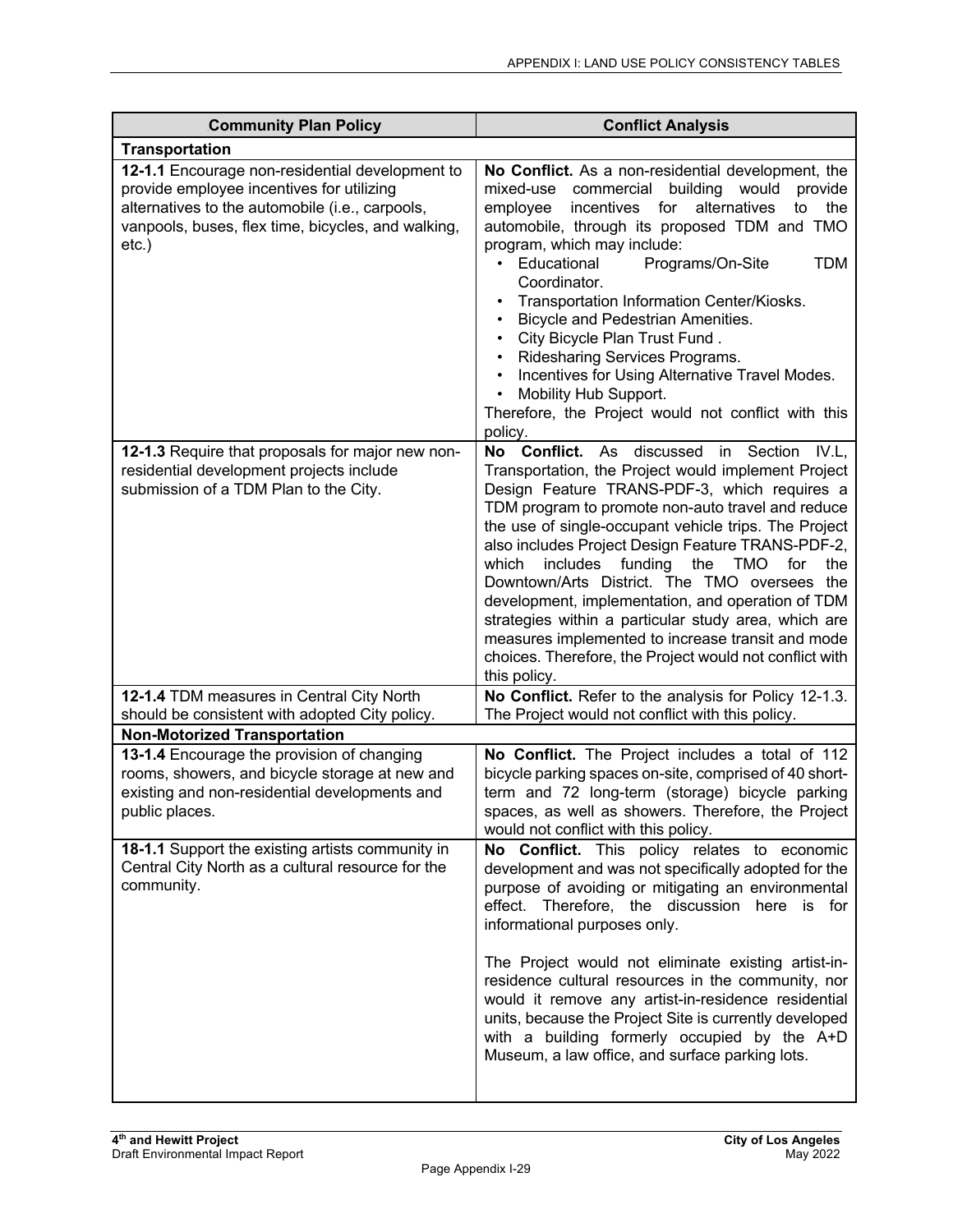| <b>Community Plan Policy</b>                                                                                                                                                                                   | <b>Conflict Analysis</b>                                                                                                                                                                                                                                                                                                                                                                                                                                                                                                                                                                                                                                                                      |
|----------------------------------------------------------------------------------------------------------------------------------------------------------------------------------------------------------------|-----------------------------------------------------------------------------------------------------------------------------------------------------------------------------------------------------------------------------------------------------------------------------------------------------------------------------------------------------------------------------------------------------------------------------------------------------------------------------------------------------------------------------------------------------------------------------------------------------------------------------------------------------------------------------------------------|
| <b>Transportation</b>                                                                                                                                                                                          |                                                                                                                                                                                                                                                                                                                                                                                                                                                                                                                                                                                                                                                                                               |
| 12-1.1 Encourage non-residential development to<br>provide employee incentives for utilizing<br>alternatives to the automobile (i.e., carpools,<br>vanpools, buses, flex time, bicycles, and walking,<br>etc.) | No Conflict. As a non-residential development, the<br>commercial<br>mixed-use<br>building<br>would<br>provide<br>employee<br>incentives<br>for<br>alternatives<br>the<br>to<br>automobile, through its proposed TDM and TMO<br>program, which may include:<br>Educational<br>Programs/On-Site<br><b>TDM</b><br>Coordinator.<br>Transportation Information Center/Kiosks.<br>Bicycle and Pedestrian Amenities.<br>City Bicycle Plan Trust Fund.<br>Ridesharing Services Programs.<br>Incentives for Using Alternative Travel Modes.<br>Mobility Hub Support.<br>Therefore, the Project would not conflict with this<br>policy.                                                                 |
| 12-1.3 Require that proposals for major new non-<br>residential development projects include<br>submission of a TDM Plan to the City.                                                                          | No Conflict.<br>As discussed<br>in<br>Section<br>IV.L,<br>Transportation, the Project would implement Project<br>Design Feature TRANS-PDF-3, which requires a<br>TDM program to promote non-auto travel and reduce<br>the use of single-occupant vehicle trips. The Project<br>also includes Project Design Feature TRANS-PDF-2,<br>which<br>includes funding<br>the<br><b>TMO</b><br>for<br>the<br>Downtown/Arts District. The TMO oversees the<br>development, implementation, and operation of TDM<br>strategies within a particular study area, which are<br>measures implemented to increase transit and mode<br>choices. Therefore, the Project would not conflict with<br>this policy. |
| 12-1.4 TDM measures in Central City North                                                                                                                                                                      | No Conflict. Refer to the analysis for Policy 12-1.3.                                                                                                                                                                                                                                                                                                                                                                                                                                                                                                                                                                                                                                         |
| should be consistent with adopted City policy.<br><b>Non-Motorized Transportation</b>                                                                                                                          | The Project would not conflict with this policy.                                                                                                                                                                                                                                                                                                                                                                                                                                                                                                                                                                                                                                              |
| 13-1.4 Encourage the provision of changing<br>rooms, showers, and bicycle storage at new and<br>existing and non-residential developments and<br>public places.                                                | No Conflict. The Project includes a total of 112<br>bicycle parking spaces on-site, comprised of 40 short-<br>term and 72 long-term (storage) bicycle parking<br>spaces, as well as showers. Therefore, the Project<br>would not conflict with this policy.                                                                                                                                                                                                                                                                                                                                                                                                                                   |
| 18-1.1 Support the existing artists community in<br>Central City North as a cultural resource for the<br>community.                                                                                            | No Conflict. This policy relates to economic<br>development and was not specifically adopted for the<br>purpose of avoiding or mitigating an environmental<br>effect. Therefore, the discussion here is for<br>informational purposes only.<br>The Project would not eliminate existing artist-in-<br>residence cultural resources in the community, nor<br>would it remove any artist-in-residence residential<br>units, because the Project Site is currently developed<br>with a building formerly occupied by the A+D<br>Museum, a law office, and surface parking lots.                                                                                                                  |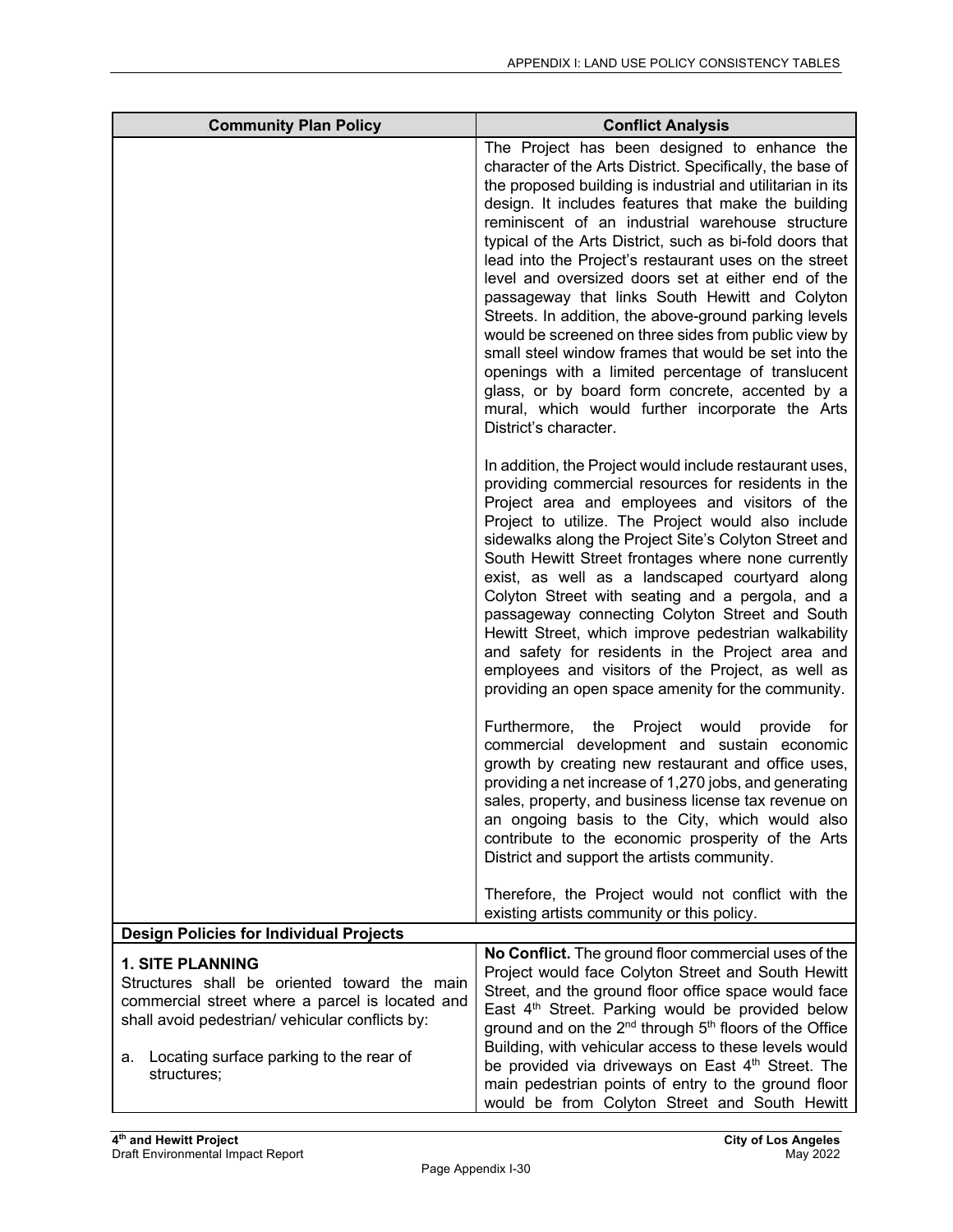| <b>Community Plan Policy</b>                                                                                                                                                  | <b>Conflict Analysis</b>                                                                                                                                                                                                                                                                                                                                                                                                                                                                                                                                                                                                                                                                                                                                                                                                                                                     |
|-------------------------------------------------------------------------------------------------------------------------------------------------------------------------------|------------------------------------------------------------------------------------------------------------------------------------------------------------------------------------------------------------------------------------------------------------------------------------------------------------------------------------------------------------------------------------------------------------------------------------------------------------------------------------------------------------------------------------------------------------------------------------------------------------------------------------------------------------------------------------------------------------------------------------------------------------------------------------------------------------------------------------------------------------------------------|
|                                                                                                                                                                               | The Project has been designed to enhance the<br>character of the Arts District. Specifically, the base of<br>the proposed building is industrial and utilitarian in its<br>design. It includes features that make the building<br>reminiscent of an industrial warehouse structure<br>typical of the Arts District, such as bi-fold doors that<br>lead into the Project's restaurant uses on the street<br>level and oversized doors set at either end of the<br>passageway that links South Hewitt and Colyton<br>Streets. In addition, the above-ground parking levels<br>would be screened on three sides from public view by<br>small steel window frames that would be set into the<br>openings with a limited percentage of translucent<br>glass, or by board form concrete, accented by a<br>mural, which would further incorporate the Arts<br>District's character. |
|                                                                                                                                                                               | In addition, the Project would include restaurant uses,<br>providing commercial resources for residents in the<br>Project area and employees and visitors of the<br>Project to utilize. The Project would also include<br>sidewalks along the Project Site's Colyton Street and<br>South Hewitt Street frontages where none currently<br>exist, as well as a landscaped courtyard along<br>Colyton Street with seating and a pergola, and a<br>passageway connecting Colyton Street and South<br>Hewitt Street, which improve pedestrian walkability<br>and safety for residents in the Project area and<br>employees and visitors of the Project, as well as<br>providing an open space amenity for the community.                                                                                                                                                          |
|                                                                                                                                                                               | Furthermore, the<br>Project would provide<br>for<br>commercial development and sustain economic<br>growth by creating new restaurant and office uses,<br>providing a net increase of 1,270 jobs, and generating<br>sales, property, and business license tax revenue on<br>an ongoing basis to the City, which would also<br>contribute to the economic prosperity of the Arts<br>District and support the artists community.                                                                                                                                                                                                                                                                                                                                                                                                                                                |
|                                                                                                                                                                               | Therefore, the Project would not conflict with the<br>existing artists community or this policy.                                                                                                                                                                                                                                                                                                                                                                                                                                                                                                                                                                                                                                                                                                                                                                             |
| <b>Design Policies for Individual Projects</b>                                                                                                                                |                                                                                                                                                                                                                                                                                                                                                                                                                                                                                                                                                                                                                                                                                                                                                                                                                                                                              |
| <b>1. SITE PLANNING</b><br>Structures shall be oriented toward the main<br>commercial street where a parcel is located and<br>shall avoid pedestrian/ vehicular conflicts by: | No Conflict. The ground floor commercial uses of the<br>Project would face Colyton Street and South Hewitt<br>Street, and the ground floor office space would face<br>East 4th Street. Parking would be provided below<br>ground and on the 2 <sup>nd</sup> through 5 <sup>th</sup> floors of the Office<br>Building, with vehicular access to these levels would                                                                                                                                                                                                                                                                                                                                                                                                                                                                                                            |
| a. Locating surface parking to the rear of<br>structures;                                                                                                                     | be provided via driveways on East 4 <sup>th</sup> Street. The<br>main pedestrian points of entry to the ground floor<br>would be from Colyton Street and South Hewitt                                                                                                                                                                                                                                                                                                                                                                                                                                                                                                                                                                                                                                                                                                        |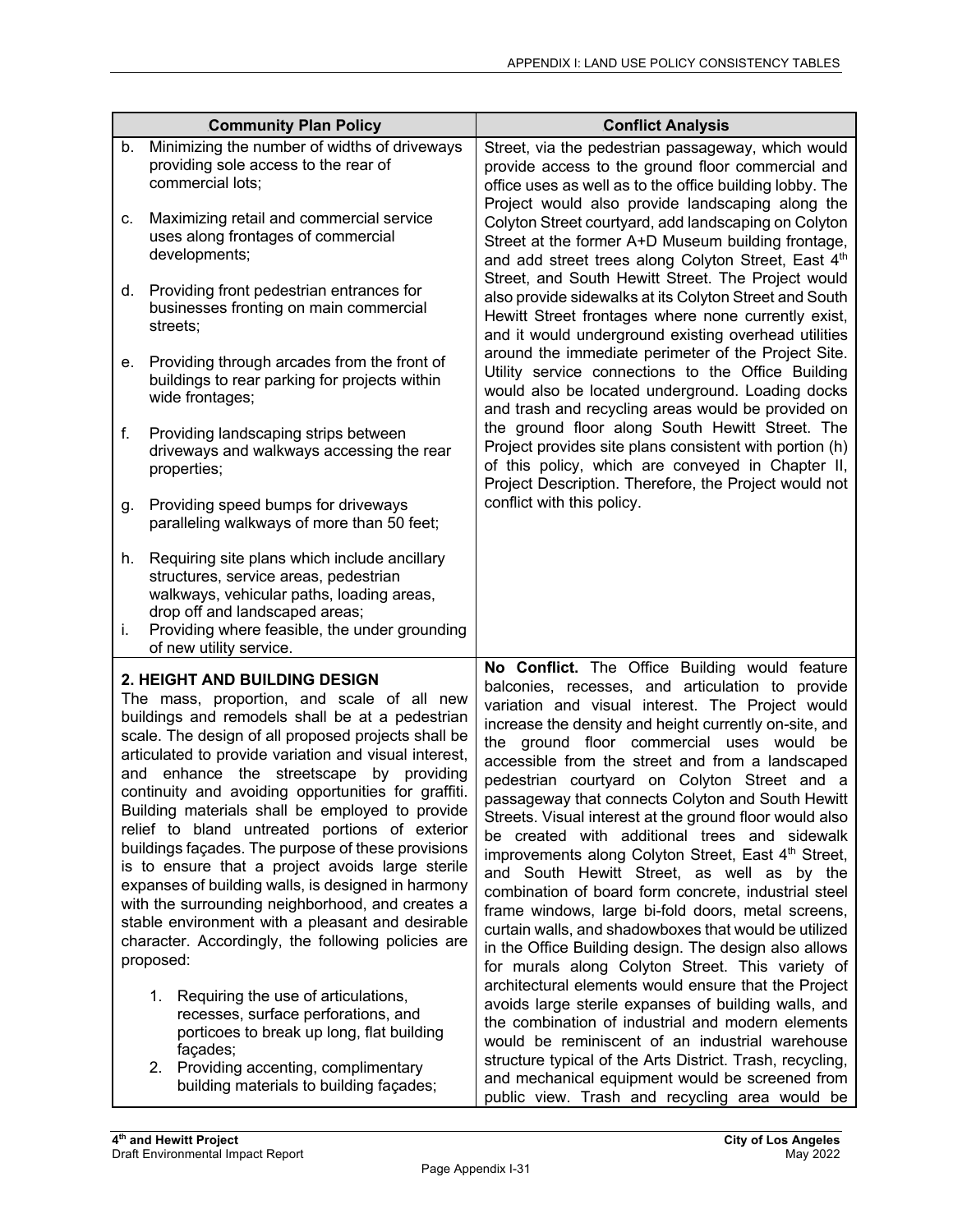|          | <b>Community Plan Policy</b>                                                                                                                                                                                                                                                                                                                                                                                                                                                                                                                                                                                                                                                                                                                                                                                                                                                                                                                   | <b>Conflict Analysis</b>                                                                                                                                                                                                                                                                                                                                                                                                                                                                                                                                                                                                                                                                                                                                                                                                                                                                                                                                                                                                                                                                                                                            |
|----------|------------------------------------------------------------------------------------------------------------------------------------------------------------------------------------------------------------------------------------------------------------------------------------------------------------------------------------------------------------------------------------------------------------------------------------------------------------------------------------------------------------------------------------------------------------------------------------------------------------------------------------------------------------------------------------------------------------------------------------------------------------------------------------------------------------------------------------------------------------------------------------------------------------------------------------------------|-----------------------------------------------------------------------------------------------------------------------------------------------------------------------------------------------------------------------------------------------------------------------------------------------------------------------------------------------------------------------------------------------------------------------------------------------------------------------------------------------------------------------------------------------------------------------------------------------------------------------------------------------------------------------------------------------------------------------------------------------------------------------------------------------------------------------------------------------------------------------------------------------------------------------------------------------------------------------------------------------------------------------------------------------------------------------------------------------------------------------------------------------------|
| b.       | Minimizing the number of widths of driveways<br>providing sole access to the rear of<br>commercial lots;                                                                                                                                                                                                                                                                                                                                                                                                                                                                                                                                                                                                                                                                                                                                                                                                                                       | Street, via the pedestrian passageway, which would<br>provide access to the ground floor commercial and<br>office uses as well as to the office building lobby. The                                                                                                                                                                                                                                                                                                                                                                                                                                                                                                                                                                                                                                                                                                                                                                                                                                                                                                                                                                                 |
| c.       | Maximizing retail and commercial service<br>uses along frontages of commercial<br>developments;                                                                                                                                                                                                                                                                                                                                                                                                                                                                                                                                                                                                                                                                                                                                                                                                                                                | Project would also provide landscaping along the<br>Colyton Street courtyard, add landscaping on Colyton<br>Street at the former A+D Museum building frontage,<br>and add street trees along Colyton Street, East 4th                                                                                                                                                                                                                                                                                                                                                                                                                                                                                                                                                                                                                                                                                                                                                                                                                                                                                                                               |
| d.       | Providing front pedestrian entrances for<br>businesses fronting on main commercial<br>streets;                                                                                                                                                                                                                                                                                                                                                                                                                                                                                                                                                                                                                                                                                                                                                                                                                                                 | Street, and South Hewitt Street. The Project would<br>also provide sidewalks at its Colyton Street and South<br>Hewitt Street frontages where none currently exist,<br>and it would underground existing overhead utilities                                                                                                                                                                                                                                                                                                                                                                                                                                                                                                                                                                                                                                                                                                                                                                                                                                                                                                                         |
| е.       | Providing through arcades from the front of<br>buildings to rear parking for projects within<br>wide frontages;                                                                                                                                                                                                                                                                                                                                                                                                                                                                                                                                                                                                                                                                                                                                                                                                                                | around the immediate perimeter of the Project Site.<br>Utility service connections to the Office Building<br>would also be located underground. Loading docks<br>and trash and recycling areas would be provided on                                                                                                                                                                                                                                                                                                                                                                                                                                                                                                                                                                                                                                                                                                                                                                                                                                                                                                                                 |
| f.       | Providing landscaping strips between<br>driveways and walkways accessing the rear<br>properties;                                                                                                                                                                                                                                                                                                                                                                                                                                                                                                                                                                                                                                                                                                                                                                                                                                               | the ground floor along South Hewitt Street. The<br>Project provides site plans consistent with portion (h)<br>of this policy, which are conveyed in Chapter II,<br>Project Description. Therefore, the Project would not                                                                                                                                                                                                                                                                                                                                                                                                                                                                                                                                                                                                                                                                                                                                                                                                                                                                                                                            |
| g.       | Providing speed bumps for driveways<br>paralleling walkways of more than 50 feet;                                                                                                                                                                                                                                                                                                                                                                                                                                                                                                                                                                                                                                                                                                                                                                                                                                                              | conflict with this policy.                                                                                                                                                                                                                                                                                                                                                                                                                                                                                                                                                                                                                                                                                                                                                                                                                                                                                                                                                                                                                                                                                                                          |
| h.<br>i. | Requiring site plans which include ancillary<br>structures, service areas, pedestrian<br>walkways, vehicular paths, loading areas,<br>drop off and landscaped areas;<br>Providing where feasible, the under grounding<br>of new utility service.                                                                                                                                                                                                                                                                                                                                                                                                                                                                                                                                                                                                                                                                                               |                                                                                                                                                                                                                                                                                                                                                                                                                                                                                                                                                                                                                                                                                                                                                                                                                                                                                                                                                                                                                                                                                                                                                     |
|          | 2. HEIGHT AND BUILDING DESIGN<br>The mass, proportion, and scale of all new<br>buildings and remodels shall be at a pedestrian<br>scale. The design of all proposed projects shall be<br>articulated to provide variation and visual interest,<br>and enhance the streetscape by providing<br>continuity and avoiding opportunities for graffiti.<br>Building materials shall be employed to provide<br>relief to bland untreated portions of exterior<br>buildings façades. The purpose of these provisions<br>is to ensure that a project avoids large sterile<br>expanses of building walls, is designed in harmony<br>with the surrounding neighborhood, and creates a<br>stable environment with a pleasant and desirable<br>character. Accordingly, the following policies are<br>proposed:<br>Requiring the use of articulations,<br>1.<br>recesses, surface perforations, and<br>porticoes to break up long, flat building<br>façades; | No Conflict. The Office Building would feature<br>balconies, recesses, and articulation to provide<br>variation and visual interest. The Project would<br>increase the density and height currently on-site, and<br>the ground floor commercial uses would be<br>accessible from the street and from a landscaped<br>pedestrian courtyard on Colyton Street and a<br>passageway that connects Colyton and South Hewitt<br>Streets. Visual interest at the ground floor would also<br>be created with additional trees and sidewalk<br>improvements along Colyton Street, East 4th Street,<br>and South Hewitt Street, as well as by the<br>combination of board form concrete, industrial steel<br>frame windows, large bi-fold doors, metal screens,<br>curtain walls, and shadowboxes that would be utilized<br>in the Office Building design. The design also allows<br>for murals along Colyton Street. This variety of<br>architectural elements would ensure that the Project<br>avoids large sterile expanses of building walls, and<br>the combination of industrial and modern elements<br>would be reminiscent of an industrial warehouse |
|          | Providing accenting, complimentary<br>2.<br>building materials to building façades;                                                                                                                                                                                                                                                                                                                                                                                                                                                                                                                                                                                                                                                                                                                                                                                                                                                            | structure typical of the Arts District. Trash, recycling,<br>and mechanical equipment would be screened from<br>public view. Trash and recycling area would be                                                                                                                                                                                                                                                                                                                                                                                                                                                                                                                                                                                                                                                                                                                                                                                                                                                                                                                                                                                      |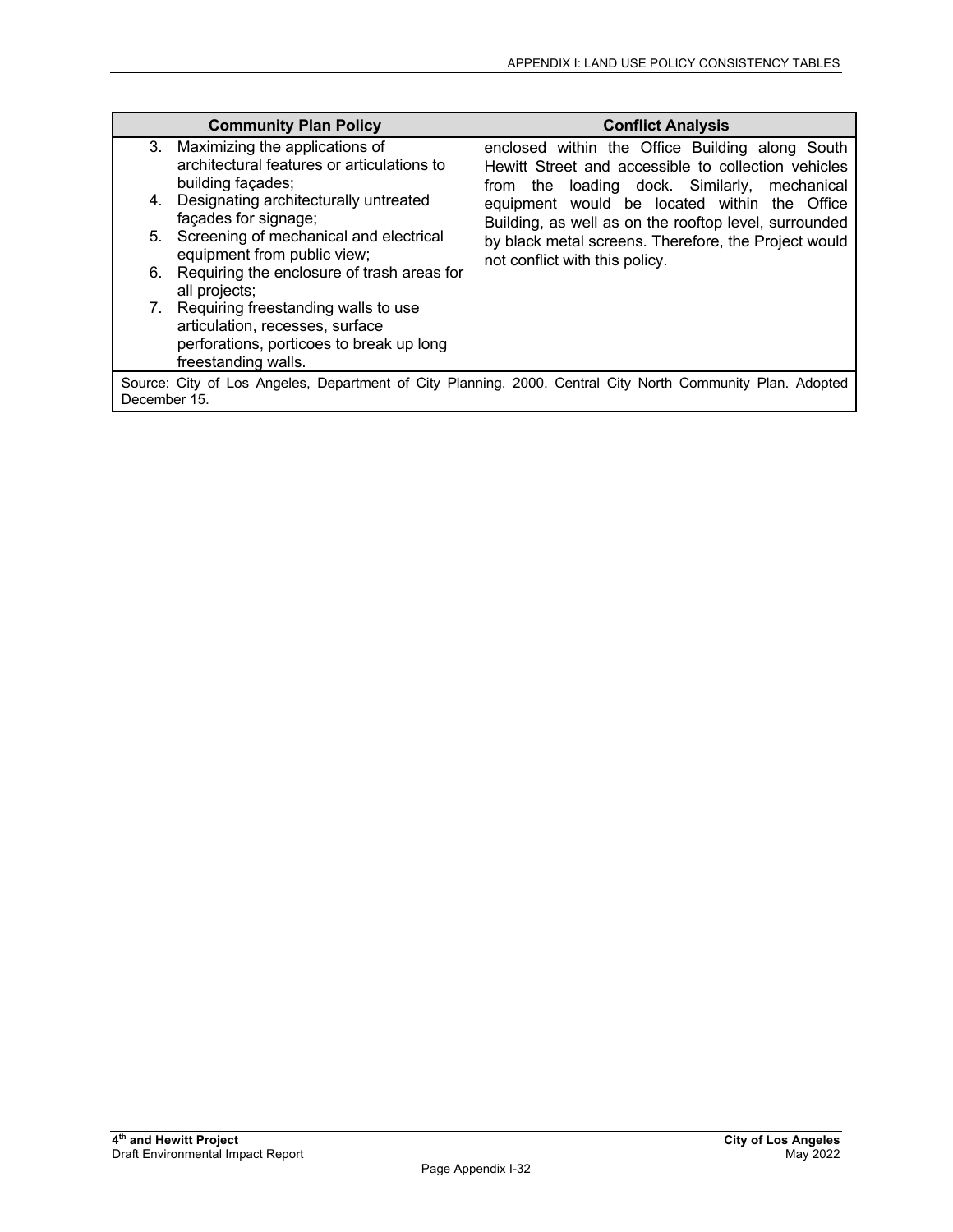|              | <b>Community Plan Policy</b>                                                                                                              | <b>Conflict Analysis</b>                                                                                                                                  |
|--------------|-------------------------------------------------------------------------------------------------------------------------------------------|-----------------------------------------------------------------------------------------------------------------------------------------------------------|
| 3.           | Maximizing the applications of<br>architectural features or articulations to<br>building facades;                                         | enclosed within the Office Building along South<br>Hewitt Street and accessible to collection vehicles<br>from the loading dock. Similarly,<br>mechanical |
| 4.           | Designating architecturally untreated<br>façades for signage;                                                                             | equipment would be located within the Office<br>Building, as well as on the rooftop level, surrounded                                                     |
| 5.           | Screening of mechanical and electrical<br>equipment from public view;                                                                     | by black metal screens. Therefore, the Project would<br>not conflict with this policy.                                                                    |
| 6.           | Requiring the enclosure of trash areas for<br>all projects;                                                                               |                                                                                                                                                           |
| 7.           | Requiring freestanding walls to use<br>articulation, recesses, surface<br>perforations, porticoes to break up long<br>freestanding walls. |                                                                                                                                                           |
| December 15. |                                                                                                                                           | Source: City of Los Angeles, Department of City Planning. 2000. Central City North Community Plan. Adopted                                                |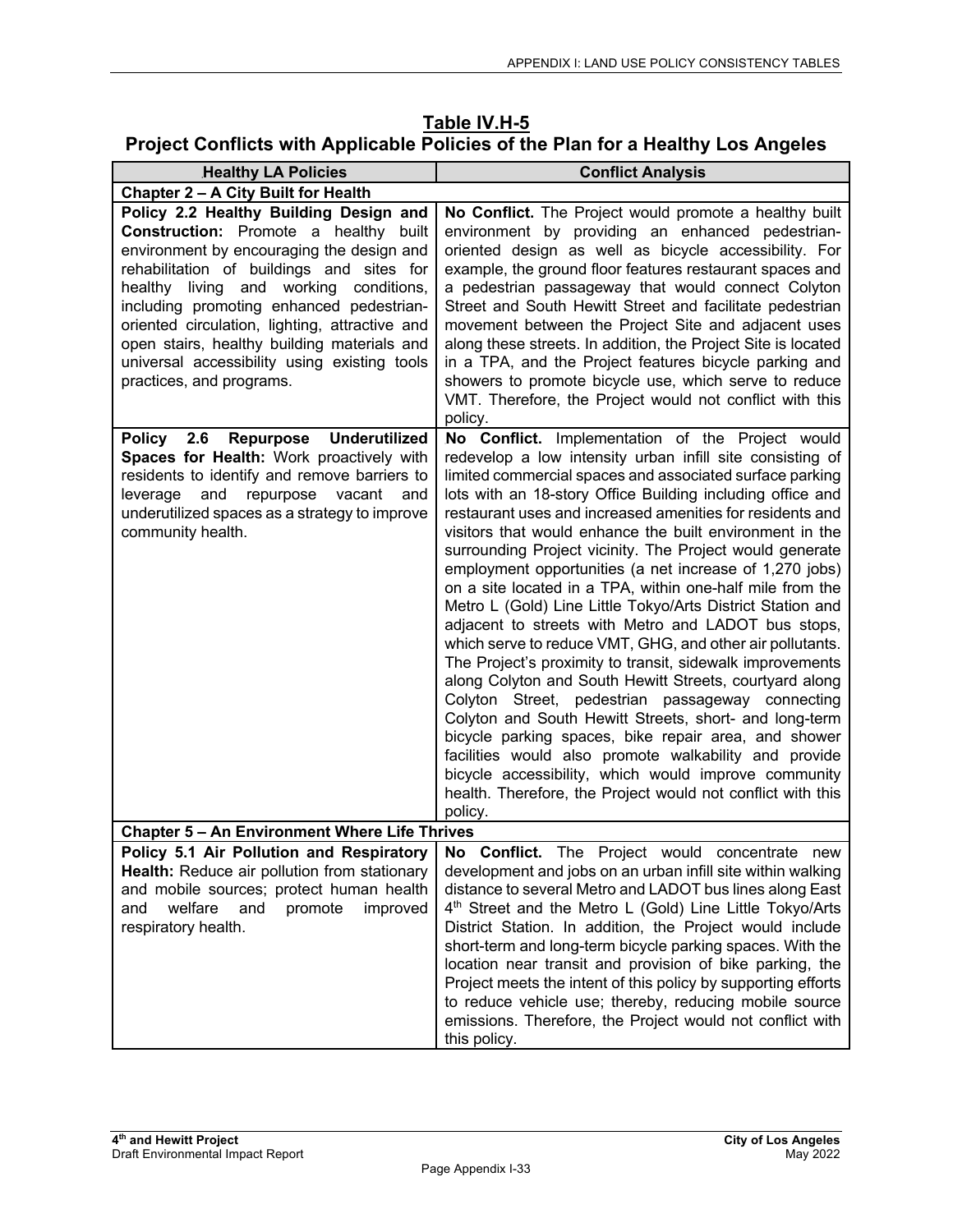**Table IV.H-5 Project Conflicts with Applicable Policies of the Plan for a Healthy Los Angeles** 

| <b>Healthy LA Policies</b>                                                                                                                                                                                                                                                                                                                                                                                                                          | <b>Conflict Analysis</b>                                                                                                                                                                                                                                                                                                                                                                                                                                                                                                                                                                                                                                                                                                                                                                                                                                                                                                                                                                                                                                                                                                                                                                                                        |
|-----------------------------------------------------------------------------------------------------------------------------------------------------------------------------------------------------------------------------------------------------------------------------------------------------------------------------------------------------------------------------------------------------------------------------------------------------|---------------------------------------------------------------------------------------------------------------------------------------------------------------------------------------------------------------------------------------------------------------------------------------------------------------------------------------------------------------------------------------------------------------------------------------------------------------------------------------------------------------------------------------------------------------------------------------------------------------------------------------------------------------------------------------------------------------------------------------------------------------------------------------------------------------------------------------------------------------------------------------------------------------------------------------------------------------------------------------------------------------------------------------------------------------------------------------------------------------------------------------------------------------------------------------------------------------------------------|
| Chapter 2 - A City Built for Health                                                                                                                                                                                                                                                                                                                                                                                                                 |                                                                                                                                                                                                                                                                                                                                                                                                                                                                                                                                                                                                                                                                                                                                                                                                                                                                                                                                                                                                                                                                                                                                                                                                                                 |
| Policy 2.2 Healthy Building Design and<br><b>Construction:</b> Promote a healthy built<br>environment by encouraging the design and<br>rehabilitation of buildings and sites for<br>healthy living and working conditions,<br>including promoting enhanced pedestrian-<br>oriented circulation, lighting, attractive and<br>open stairs, healthy building materials and<br>universal accessibility using existing tools<br>practices, and programs. | No Conflict. The Project would promote a healthy built<br>environment by providing an enhanced pedestrian-<br>oriented design as well as bicycle accessibility. For<br>example, the ground floor features restaurant spaces and<br>a pedestrian passageway that would connect Colyton<br>Street and South Hewitt Street and facilitate pedestrian<br>movement between the Project Site and adjacent uses<br>along these streets. In addition, the Project Site is located<br>in a TPA, and the Project features bicycle parking and<br>showers to promote bicycle use, which serve to reduce<br>VMT. Therefore, the Project would not conflict with this<br>policy.                                                                                                                                                                                                                                                                                                                                                                                                                                                                                                                                                             |
| <b>Underutilized</b><br><b>Repurpose</b><br>Policy 2.6<br>Spaces for Health: Work proactively with<br>residents to identify and remove barriers to<br>and<br>repurpose<br>vacant<br>leverage<br>and<br>underutilized spaces as a strategy to improve<br>community health.                                                                                                                                                                           | No Conflict. Implementation of the Project would<br>redevelop a low intensity urban infill site consisting of<br>limited commercial spaces and associated surface parking<br>lots with an 18-story Office Building including office and<br>restaurant uses and increased amenities for residents and<br>visitors that would enhance the built environment in the<br>surrounding Project vicinity. The Project would generate<br>employment opportunities (a net increase of 1,270 jobs)<br>on a site located in a TPA, within one-half mile from the<br>Metro L (Gold) Line Little Tokyo/Arts District Station and<br>adjacent to streets with Metro and LADOT bus stops,<br>which serve to reduce VMT, GHG, and other air pollutants.<br>The Project's proximity to transit, sidewalk improvements<br>along Colyton and South Hewitt Streets, courtyard along<br>Colyton Street, pedestrian passageway connecting<br>Colyton and South Hewitt Streets, short- and long-term<br>bicycle parking spaces, bike repair area, and shower<br>facilities would also promote walkability and provide<br>bicycle accessibility, which would improve community<br>health. Therefore, the Project would not conflict with this<br>policy. |
| <b>Chapter 5 - An Environment Where Life Thrives</b>                                                                                                                                                                                                                                                                                                                                                                                                |                                                                                                                                                                                                                                                                                                                                                                                                                                                                                                                                                                                                                                                                                                                                                                                                                                                                                                                                                                                                                                                                                                                                                                                                                                 |
| Health: Reduce air pollution from stationary<br>and mobile sources; protect human health<br>welfare<br>and<br>promote<br>improved<br>and<br>respiratory health.                                                                                                                                                                                                                                                                                     | Policy 5.1 Air Pollution and Respiratory   No Conflict. The Project would concentrate new<br>development and jobs on an urban infill site within walking<br>distance to several Metro and LADOT bus lines along East<br>4 <sup>th</sup> Street and the Metro L (Gold) Line Little Tokyo/Arts<br>District Station. In addition, the Project would include<br>short-term and long-term bicycle parking spaces. With the<br>location near transit and provision of bike parking, the<br>Project meets the intent of this policy by supporting efforts<br>to reduce vehicle use; thereby, reducing mobile source<br>emissions. Therefore, the Project would not conflict with<br>this policy.                                                                                                                                                                                                                                                                                                                                                                                                                                                                                                                                       |